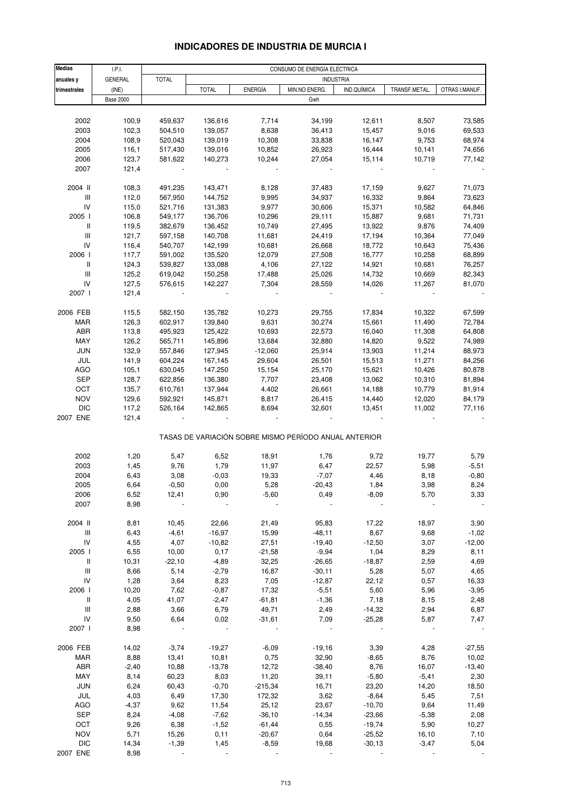# **INDICADORES DE INDUSTRIA DE MURCIA I**

| <b>Medias</b>                      | LPL              |              | CONSUMO DE ENERGÍA ELÉCTRICA |                |                                                       |             |               |                |  |
|------------------------------------|------------------|--------------|------------------------------|----------------|-------------------------------------------------------|-------------|---------------|----------------|--|
| anuales y                          | GENERAL          | <b>TOTAL</b> |                              |                | <b>INDUSTRIA</b>                                      |             |               |                |  |
| trimestrales                       | (INE)            |              | <b>TOTAL</b>                 | <b>ENERGÍA</b> | MIN.NO ENERG.                                         | IND.QUÍMICA | TRANSF.METAL. | OTRAS I.MANUF. |  |
|                                    | <b>Base 2000</b> |              |                              |                | Gwh                                                   |             |               |                |  |
|                                    |                  |              |                              |                |                                                       |             |               |                |  |
| 2002                               | 100,9            | 459,637      | 136,616                      | 7,714          | 34,199                                                | 12,611      | 8,507         | 73,585         |  |
| 2003                               | 102,3            | 504,510      | 139,057                      | 8,638          | 36,413                                                | 15,457      | 9,016         | 69,533         |  |
| 2004                               | 108,9            | 520,043      | 139,019                      | 10,308         | 33,838                                                | 16,147      | 9,753         | 68,974         |  |
| 2005                               | 116,1            | 517,430      | 139,016                      | 10,852         | 26,923                                                | 16,444      | 10,141        | 74,656         |  |
| 2006                               | 123,7            | 581,622      | 140,273                      | 10,244         | 27,054                                                | 15,114      | 10,719        |                |  |
|                                    |                  |              |                              |                |                                                       |             |               | 77,142         |  |
| 2007                               | 121,4            |              |                              |                |                                                       |             |               |                |  |
| 2004 II                            | 108,3            | 491,235      | 143,471                      | 8,128          | 37,483                                                | 17,159      | 9,627         | 71,073         |  |
| III                                | 112,0            | 567,950      | 144,752                      | 9,995          | 34,937                                                | 16,332      | 9,864         | 73,623         |  |
| IV                                 | 115,0            | 521,716      | 131,383                      | 9,977          | 30,606                                                | 15,371      | 10,582        | 64,846         |  |
| 2005 l                             | 106,8            | 549,177      | 136,706                      | 10,296         | 29,111                                                | 15,887      | 9,681         | 71,731         |  |
| Ш                                  | 119,5            | 382,679      | 136,452                      | 10,749         | 27,495                                                | 13,922      | 9,876         | 74,409         |  |
| $\mathsf{III}$                     |                  |              |                              |                |                                                       | 17,194      |               | 77,049         |  |
|                                    | 121,7            | 597,158      | 140,708                      | 11,681         | 24,419                                                |             | 10,364        |                |  |
| IV                                 | 116,4            | 540,707      | 142,199                      | 10,681         | 26,668                                                | 18,772      | 10,643        | 75,436         |  |
| 2006                               | 117,7            | 591,002      | 135,520                      | 12,079         | 27,508                                                | 16,777      | 10,258        | 68,899         |  |
| Ш                                  | 124,3            | 539,827      | 133,088                      | 4,106          | 27,122                                                | 14,921      | 10,681        | 76,257         |  |
| $\ensuremath{\mathsf{III}}\xspace$ | 125,2            | 619,042      | 150,258                      | 17,488         | 25,026                                                | 14,732      | 10,669        | 82,343         |  |
| IV                                 | 127,5            | 576,615      | 142,227                      | 7,304          | 28,559                                                | 14,026      | 11,267        | 81,070         |  |
| 2007 l                             | 121,4            |              |                              |                |                                                       |             |               |                |  |
|                                    |                  |              |                              |                |                                                       |             |               |                |  |
| 2006 FEB                           | 115,5            | 582,150      | 135,782                      | 10,273         | 29,755                                                | 17,834      | 10,322        | 67,599         |  |
| <b>MAR</b>                         | 126,3            | 602,917      | 139,840                      | 9,631          | 30,274                                                | 15,661      | 11,490        | 72,784         |  |
| ABR                                | 113,8            | 495,923      | 125,422                      | 10,693         | 22,573                                                | 16,040      | 11,308        | 64,808         |  |
| MAY                                | 126,2            | 565,711      | 145,896                      | 13,684         | 32,880                                                | 14,820      | 9,522         | 74,989         |  |
| <b>JUN</b>                         | 132,9            | 557,846      | 127,945                      | $-12,060$      | 25,914                                                | 13,903      | 11,214        | 88,973         |  |
| JUL                                | 141,9            | 604,224      | 167,145                      | 29,604         | 26,501                                                | 15,513      | 11,271        | 84,256         |  |
| <b>AGO</b>                         | 105,1            | 630,045      | 147,250                      | 15,154         | 25,170                                                | 15,621      | 10,426        | 80,878         |  |
| <b>SEP</b>                         | 128,7            | 622,856      | 136,380                      | 7,707          | 23,408                                                | 13,062      | 10,310        | 81,894         |  |
| OCT                                | 135,7            | 610,761      | 137,944                      | 4,402          | 26,661                                                | 14,188      | 10,779        | 81,914         |  |
| <b>NOV</b>                         | 129,6            | 592,921      | 145,871                      | 8,817          | 26,415                                                | 14,440      | 12,020        | 84,179         |  |
| <b>DIC</b>                         | 117,2            | 526,164      | 142,865                      | 8,694          | 32,601                                                | 13,451      | 11,002        | 77,116         |  |
| 2007 ENE                           | 121,4            |              |                              |                |                                                       |             |               |                |  |
|                                    |                  |              |                              |                | TASAS DE VARIACIÓN SOBRE MISMO PERÍODO ANUAL ANTERIOR |             |               |                |  |
|                                    |                  |              |                              |                |                                                       |             |               |                |  |
| 2002                               | 1,20             | 5,47         | 6,52                         | 18,91          | 1,76                                                  | 9,72        | 19,77         | 5,79           |  |
| 2003                               | 1,45             | 9,76         | 1,79                         | 11,97          | 6,47                                                  | 22,57       | 5,98          | $-5,51$        |  |
| 2004                               | 6,43             | 3,08         | $-0,03$                      | 19,33          | $-7,07$                                               | 4,46        | 8,18          | $-0,80$        |  |
| 2005                               | 6,64             | $-0,50$      | 0,00                         | 5,28           | $-20,43$                                              | 1,84        | 3,98          | 8,24           |  |
| 2006                               | 6,52             | 12,41        | 0,90                         | $-5,60$        | 0,49                                                  | -8,09       | 5,70          | 3,33           |  |
| 2007                               | 8,98             |              |                              |                |                                                       |             |               |                |  |
| 2004 II                            | 8,81             | 10,45        | 22,66                        | 21,49          | 95,83                                                 | 17,22       | 18,97         | 3,90           |  |
| Ш                                  | 6,43             | $-4,61$      | $-16,97$                     | 15,99          | $-48,11$                                              | 8,67        | 9,68          | $-1,02$        |  |
| IV                                 |                  |              |                              |                |                                                       |             |               |                |  |
|                                    | 4,55             | 4,07         | $-10,82$                     | 27,51          | $-19,40$                                              | $-12,50$    | 3,07          | $-12,00$       |  |
| 2005 l                             | 6,55             | 10,00        | 0,17                         | $-21,58$       | $-9,94$                                               | 1,04        | 8,29          | 8,11           |  |
| Ш                                  | 10,31            | $-22,10$     | $-4,89$                      | 32,25          | $-26,65$                                              | $-18,87$    | 2,59          | 4,69           |  |
| Ш                                  | 8,66             | 5,14         | $-2,79$                      | 16,87          | $-30,11$                                              | 5,28        | 5,07          | 4,65           |  |
| IV                                 | 1,28             | 3,64         | 8,23                         | 7,05           | $-12,87$                                              | 22,12       | 0,57          | 16,33          |  |
| 2006                               | 10,20            | 7,62         | $-0,87$                      | 17,32          | $-5,51$                                               | 5,60        | 5,96          | $-3,95$        |  |
| Ш                                  | 4,05             | 41,07        | $-2,47$                      | $-61,81$       | $-1,36$                                               | 7,18        | 8,15          | 2,48           |  |
| $\ensuremath{\mathsf{III}}\xspace$ | 2,88             | 3,66         | 6,79                         | 49,71          | 2,49                                                  | $-14,32$    | 2,94          | 6,87           |  |
| IV                                 | 9,50             | 6,64         | 0,02                         | $-31,61$       | 7,09                                                  | $-25,28$    | 5,87          | 7,47           |  |
| 2007 l                             | 8,98             |              |                              |                |                                                       |             |               |                |  |
| 2006 FEB                           | 14,02            | $-3,74$      | $-19,27$                     | $-6,09$        | $-19,16$                                              | 3,39        | 4,28          | $-27,55$       |  |
| MAR                                | 8,88             | 13,41        | 10,81                        | 0,75           | 32,90                                                 | $-8,65$     | 8,76          | 10,02          |  |
| ABR                                | $-2,40$          | 10,88        | $-13,78$                     | 12,72          | $-38,40$                                              | 8,76        | 16,07         | $-13,40$       |  |
| MAY                                | 8,14             | 60,23        | 8,03                         | 11,20          | 39,11                                                 | $-5,80$     | $-5,41$       | 2,30           |  |
| <b>JUN</b>                         | 6,24             | 60,43        | $-0,70$                      | $-215,34$      | 16,71                                                 | 23,20       | 14,20         | 18,50          |  |
| JUL                                | 4,03             | 6,49         | 17,30                        | 172,32         | 3,62                                                  | $-8,64$     | 5,45          | 7,51           |  |
| AGO                                | $-4,37$          | 9,62         | 11,54                        | 25,12          | 23,67                                                 | $-10,70$    | 9,64          | 11,49          |  |
| SEP                                | 8,24             | $-4,08$      | $-7,62$                      | $-36,10$       | $-14,34$                                              | $-23,66$    | $-5,38$       | 2,08           |  |
| OCT                                | 9,26             | 6,38         | $-1,52$                      | $-61,44$       | 0,55                                                  | $-19,74$    | 5,90          | 10,27          |  |
| <b>NOV</b>                         | 5,71             | 15,26        | 0,11                         | $-20,67$       | 0,64                                                  | $-25,52$    | 16,10         | 7,10           |  |
| <b>DIC</b>                         | 14,34            | $-1,39$      | 1,45                         | $-8,59$        | 19,68                                                 | $-30,13$    | $-3,47$       | 5,04           |  |
| 2007 ENE                           | 8,98             |              |                              |                |                                                       |             |               |                |  |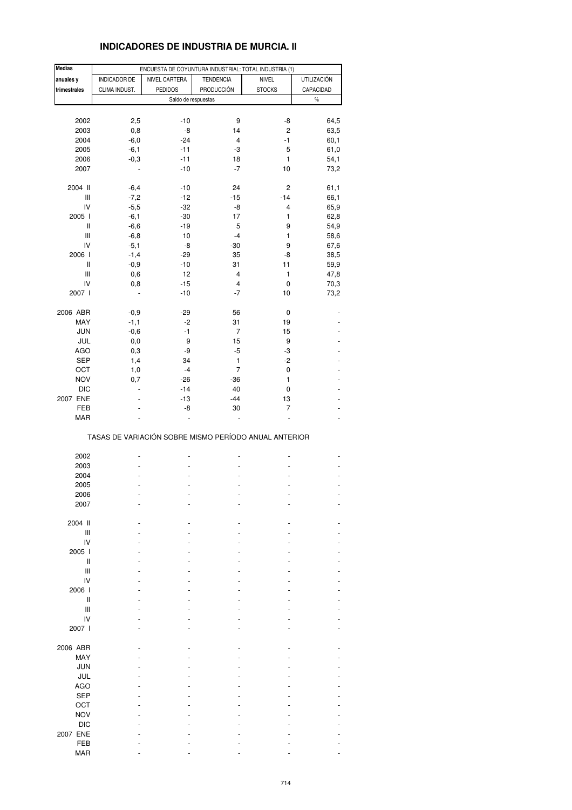# **INDICADORES DE INDUSTRIA DE MURCIA. II**

| <b>Medias</b>                      |               | ENCUESTA DE COYUNTURA INDUSTRIAL: TOTAL INDUSTRIA (1) |                         |                |                    |
|------------------------------------|---------------|-------------------------------------------------------|-------------------------|----------------|--------------------|
| anuales y                          | INDICADOR DE  | NIVEL CARTERA                                         | <b>TENDENCIA</b>        | <b>NIVEL</b>   | <b>UTILIZACIÓN</b> |
| trimestrales                       | CLIMA INDUST. | <b>PEDIDOS</b>                                        | <b>PRODUCCIÓN</b>       | <b>STOCKS</b>  | CAPACIDAD          |
|                                    |               |                                                       |                         |                |                    |
|                                    |               | Saldo de respuestas                                   |                         |                | $\%$               |
|                                    |               |                                                       |                         |                |                    |
| 2002                               | 2,5           | $-10$                                                 | 9                       | -8             | 64,5               |
| 2003                               | 0,8           | -8                                                    | 14                      | $\overline{c}$ | 63,5               |
| 2004                               | $-6,0$        | $-24$                                                 | 4                       | $-1$           | 60,1               |
| 2005                               | $-6,1$        | $-11$                                                 | -3                      | 5              | 61,0               |
| 2006                               | $-0,3$        | $-11$                                                 | 18                      | $\mathbf{1}$   | 54,1               |
| 2007                               |               | $-10$                                                 | $-7$                    | 10             | 73,2               |
|                                    |               |                                                       |                         |                |                    |
| 2004 II                            | $-6,4$        | $-10$                                                 | 24                      | 2              | 61,1               |
| Ш                                  | $-7,2$        | $-12$                                                 | $-15$                   | $-14$          | 66,1               |
| IV                                 | $-5,5$        | $-32$                                                 | -8                      | 4              | 65,9               |
| 2005 l                             | $-6,1$        | $-30$                                                 | 17                      | 1              | 62,8               |
|                                    |               |                                                       |                         |                |                    |
| $\sf II$                           | $-6,6$        | $-19$                                                 | 5                       | 9              | 54,9               |
| Ш                                  | $-6,8$        | 10                                                    | $-4$                    | 1              | 58,6               |
| IV                                 | $-5,1$        | -8                                                    | $-30$                   | 9              | 67,6               |
| 2006                               | $-1,4$        | $-29$                                                 | 35                      | -8             | 38,5               |
| Ш                                  | $-0,9$        | $-10$                                                 | 31                      | 11             | 59,9               |
| $\ensuremath{\mathsf{III}}\xspace$ | 0,6           | 12                                                    | 4                       | 1              | 47,8               |
| IV                                 | 0,8           | $-15$                                                 | $\overline{\mathbf{4}}$ | 0              | 70,3               |
| 2007 l                             |               | $-10$                                                 | $-7$                    | 10             | 73,2               |
|                                    |               |                                                       |                         |                |                    |
| 2006 ABR                           | $-0,9$        | $-29$                                                 | 56                      | 0              |                    |
| MAY                                | $-1,1$        | $-2$                                                  | 31                      | 19             |                    |
| <b>JUN</b>                         |               | $-1$                                                  | 7                       | 15             |                    |
|                                    | $-0,6$        |                                                       |                         |                |                    |
| JUL                                | 0,0           | 9                                                     | 15                      | 9              |                    |
| <b>AGO</b>                         | 0,3           | -9                                                    | $-5$                    | -3             |                    |
| SEP                                | 1,4           | 34                                                    | 1                       | $-2$           |                    |
| OCT                                | 1,0           | $-4$                                                  | 7                       | 0              |                    |
| <b>NOV</b>                         | 0,7           | $-26$                                                 | $-36$                   | 1              |                    |
| <b>DIC</b>                         |               | $-14$                                                 | 40                      | 0              |                    |
|                                    |               |                                                       |                         |                |                    |
| 2007 ENE                           |               | $-13$                                                 | $-44$                   | 13             |                    |
| FEB                                |               | -8                                                    | 30                      | 7              |                    |
| MAR                                |               |                                                       |                         |                |                    |
|                                    |               | TASAS DE VARIACIÓN SOBRE MISMO PERÍODO ANUAL ANTERIOR |                         |                |                    |
|                                    |               |                                                       |                         |                |                    |
| 2002                               |               |                                                       |                         | ٠              |                    |
| 2003                               |               |                                                       |                         |                |                    |
| 2004                               |               |                                                       |                         |                |                    |
| 2005                               |               |                                                       | ÷,                      |                |                    |
| 2006                               |               |                                                       |                         |                |                    |
| 2007                               |               |                                                       |                         |                |                    |
|                                    |               |                                                       |                         |                |                    |
| 2004 II                            |               |                                                       |                         |                |                    |
| Ш                                  |               |                                                       |                         |                |                    |
| IV                                 |               |                                                       |                         |                |                    |
|                                    |               |                                                       |                         |                |                    |
| 2005                               |               |                                                       |                         |                |                    |
| Ш                                  |               |                                                       |                         |                |                    |
| Ш                                  |               |                                                       |                         |                |                    |
| IV                                 |               |                                                       |                         |                |                    |
| 2006                               |               |                                                       |                         |                |                    |
| Ш                                  |               |                                                       |                         |                |                    |
| Ш                                  |               |                                                       |                         |                |                    |
| IV                                 |               |                                                       |                         |                |                    |
| 2007 l                             |               |                                                       |                         |                |                    |
|                                    |               |                                                       |                         |                |                    |
| 2006 ABR                           |               |                                                       |                         |                |                    |
| MAY                                |               |                                                       |                         |                |                    |
|                                    |               |                                                       |                         |                |                    |
| <b>JUN</b>                         |               |                                                       |                         |                |                    |
| JUL                                |               |                                                       |                         |                |                    |
| <b>AGO</b>                         |               |                                                       |                         |                |                    |
| <b>SEP</b>                         |               |                                                       |                         |                |                    |
| OCT                                |               |                                                       |                         |                |                    |
| <b>NOV</b>                         |               |                                                       |                         |                |                    |
|                                    |               |                                                       |                         |                |                    |
| <b>DIC</b>                         |               |                                                       |                         |                |                    |
| 2007 ENE                           |               |                                                       |                         |                |                    |
| FEB                                |               |                                                       |                         |                |                    |
| <b>MAR</b>                         |               |                                                       |                         |                |                    |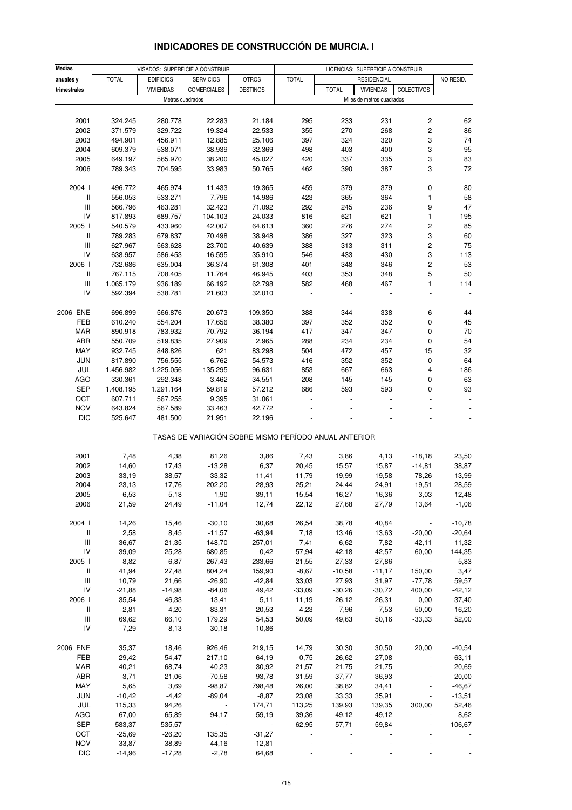| <b>Medias</b>                      |              |                  | VISADOS: SUPERFICIE A CONSTRUIR                       |                 | LICENCIAS: SUPERFICIE A CONSTRUIR |              |                           |                          |                          |
|------------------------------------|--------------|------------------|-------------------------------------------------------|-----------------|-----------------------------------|--------------|---------------------------|--------------------------|--------------------------|
| anuales y                          | <b>TOTAL</b> | <b>EDIFICIOS</b> | <b>SERVICIOS</b>                                      | <b>OTROS</b>    | <b>TOTAL</b>                      |              | <b>RESIDENCIAL</b>        |                          | NO RESID.                |
| trimestrales                       |              | <b>VIVIENDAS</b> | <b>COMERCIALES</b>                                    | <b>DESTINOS</b> |                                   | <b>TOTAL</b> | <b>VIVIENDAS</b>          | COLECTIVOS               |                          |
|                                    |              |                  | Metros cuadrados                                      |                 |                                   |              | Miles de metros cuadrados |                          |                          |
|                                    |              |                  |                                                       |                 |                                   |              |                           |                          |                          |
| 2001                               | 324.245      | 280.778          | 22.283                                                | 21.184          | 295                               | 233          | 231                       | 2                        | 62                       |
| 2002                               | 371.579      | 329.722          | 19.324                                                | 22.533          | 355                               | 270          | 268                       | $\mathbf 2$              | 86                       |
| 2003                               | 494.901      | 456.911          | 12.885                                                | 25.106          | 397                               | 324          | 320                       | 3                        | 74                       |
| 2004                               | 609.379      | 538.071          | 38.939                                                | 32.369          | 498                               | 403          | 400                       | 3                        | 95                       |
| 2005                               | 649.197      | 565.970          | 38.200                                                | 45.027          | 420                               | 337          | 335                       | 3                        | 83                       |
| 2006                               | 789.343      | 704.595          | 33.983                                                | 50.765          | 462                               | 390          | 387                       | 3                        | 72                       |
|                                    |              |                  |                                                       |                 |                                   |              |                           |                          |                          |
| 2004 l                             | 496.772      | 465.974          | 11.433                                                | 19.365          | 459                               | 379          | 379                       | 0                        | 80                       |
| $\, \parallel$                     | 556.053      | 533.271          | 7.796                                                 | 14.986          | 423                               | 365          | 364                       | 1                        | 58                       |
| Ш                                  | 566.796      | 463.281          | 32.423                                                | 71.092          | 292                               | 245          | 236                       | 9                        | 47                       |
| IV                                 | 817.893      | 689.757          | 104.103                                               | 24.033          | 816                               | 621          | 621                       | 1                        | 195                      |
| 2005 l                             | 540.579      | 433.960          | 42.007                                                | 64.613          | 360                               | 276          | 274                       | $\mathbf 2$              | 85                       |
| Ш                                  | 789.283      | 679.837          | 70.498                                                | 38.948          | 386                               | 327          | 323                       | 3                        | 60                       |
| $\ensuremath{\mathsf{III}}\xspace$ | 627.967      | 563.628          | 23.700                                                | 40.639          | 388                               | 313          | 311                       | $\mathbf 2$              | 75                       |
| IV                                 | 638.957      | 586.453          | 16.595                                                | 35.910          | 546                               | 433          | 430                       | 3                        | 113                      |
| 2006                               | 732.686      | 635.004          | 36.374                                                | 61.308          | 401                               | 348          | 346                       | $\mathbf 2$              | 53                       |
| $\,$ $\,$ $\,$                     | 767.115      | 708.405          | 11.764                                                | 46.945          | 403                               | 353          | 348                       | 5                        | 50                       |
| $\ensuremath{\mathsf{III}}\xspace$ | 1.065.179    | 936.189          | 66.192                                                | 62.798          | 582                               | 468          | 467                       | 1                        | 114                      |
| IV                                 | 592.394      | 538.781          | 21.603                                                | 32.010          |                                   |              |                           |                          |                          |
|                                    |              |                  |                                                       |                 |                                   |              |                           |                          |                          |
| 2006 ENE                           | 696.899      | 566.876          | 20.673                                                | 109.350         | 388                               | 344          | 338                       | 6                        | 44                       |
| FEB                                | 610.240      | 554.204          | 17.656                                                | 38.380          | 397                               | 352          | 352                       | 0                        | 45                       |
| <b>MAR</b>                         | 890.918      | 783.932          | 70.792                                                | 36.194          | 417                               | 347          | 347                       | 0                        | 70                       |
| ABR                                | 550.709      | 519.835          | 27.909                                                | 2.965           | 288                               | 234          | 234                       | 0                        | 54                       |
| MAY                                | 932.745      | 848.826          | 621                                                   | 83.298          | 504                               | 472          | 457                       | 15                       | 32                       |
| <b>JUN</b>                         | 817.890      | 756.555          | 6.762                                                 | 54.573          | 416                               | 352          | 352                       | 0                        | 64                       |
| JUL                                | 1.456.982    | 1.225.056        | 135.295                                               | 96.631          | 853                               | 667          | 663                       | 4                        | 186                      |
| AGO                                | 330.361      | 292.348          | 3.462                                                 | 34.551          | 208                               | 145          | 145                       | 0                        | 63                       |
| <b>SEP</b>                         | 1.408.195    | 1.291.164        | 59.819                                                | 57.212          | 686                               | 593          | 593                       | 0                        | 93                       |
| OCT                                | 607.711      | 567.255          | 9.395                                                 | 31.061          | $\blacksquare$                    |              | $\overline{\phantom{a}}$  |                          | $\overline{\phantom{a}}$ |
| <b>NOV</b>                         | 643.824      | 567.589          | 33.463                                                | 42.772          |                                   |              |                           |                          |                          |
| <b>DIC</b>                         | 525.647      | 481.500          | 21.951                                                | 22.196          |                                   |              |                           |                          |                          |
|                                    |              |                  | TASAS DE VARIACIÓN SOBRE MISMO PERÍODO ANUAL ANTERIOR |                 |                                   |              |                           |                          |                          |
| 2001                               | 7,48         | 4,38             | 81,26                                                 | 3,86            | 7,43                              | 3,86         | 4,13                      | $-18,18$                 | 23,50                    |
| 2002                               | 14,60        | 17,43            | $-13,28$                                              | 6,37            | 20,45                             | 15,57        | 15,87                     | $-14,81$                 | 38,87                    |
| 2003                               | 33,19        | 38,57            | $-33,32$                                              | 11,41           | 11,79                             | 19,99        | 19,58                     | 78,26                    | $-13,99$                 |
| 2004                               | 23,13        | 17,76            | 202,20                                                | 28,93           | 25,21                             | 24,44        | 24,91                     | $-19,51$                 | 28,59                    |
| 2005                               | 6,53         | 5,18             | -1,90                                                 | 39,11           | -15,54                            | -16,27       | -16,36                    | $-3,03$                  | -12,48                   |
| 2006                               | 21,59        | 24,49            | $-11,04$                                              | 12,74           | 22,12                             | 27,68        | 27,79                     | 13,64                    | $-1,06$                  |
|                                    |              |                  |                                                       |                 |                                   |              |                           |                          |                          |
| 2004 l                             | 14,26        | 15,46            | $-30,10$                                              | 30,68           | 26,54                             | 38,78        | 40,84                     | $\overline{\phantom{a}}$ | $-10,78$                 |
| $\mathbf{II}$                      | 2,58         | 8,45             | $-11,57$                                              | $-63,94$        | 7,18                              | 13,46        | 13,63                     | $-20,00$                 | $-20,64$                 |
| $\ensuremath{\mathsf{III}}\xspace$ | 36,67        | 21,35            | 148,70                                                | 257,01          | $-7,41$                           | $-6,62$      | $-7,82$                   | 42,11                    | $-11,32$                 |
| ${\sf IV}$                         | 39,09        | 25,28            | 680,85                                                | $-0,42$         | 57,94                             | 42,18        | 42,57                     | $-60,00$                 | 144,35                   |
| 2005                               | 8,82         | $-6,87$          | 267,43                                                | 233,66          | $-21,55$                          | $-27,33$     | $-27,86$                  |                          | 5,83                     |
| Ш                                  | 41,94        | 27,48            | 804,24                                                | 159,90          | $-8,67$                           | $-10,58$     | $-11,17$                  | 150,00                   | 3,47                     |
| Ш                                  | 10,79        | 21,66            | $-26,90$                                              | $-42,84$        | 33,03                             | 27,93        | 31,97                     | $-77,78$                 | 59,57                    |
| IV                                 | $-21,88$     | $-14,98$         | $-84,06$                                              | 49,42           | $-33,09$                          | $-30,26$     | $-30,72$                  | 400,00                   | $-42,12$                 |
| 2006                               | 35,54        | 46,33            | $-13,41$                                              | $-5,11$         | 11,19                             | 26,12        | 26,31                     | 0,00                     | $-37,40$                 |
| $\parallel$                        | $-2,81$      | 4,20             | $-83,31$                                              | 20,53           | 4,23                              | 7,96         | 7,53                      | 50,00                    | $-16,20$                 |
| $\  \ ^2$                          | 69,62        | 66,10            | 179,29                                                | 54,53           | 50,09                             | 49,63        | 50,16                     | $-33,33$                 | 52,00                    |
| IV                                 | $-7,29$      | $-8,13$          | 30,18                                                 | $-10,86$        |                                   |              |                           |                          |                          |
|                                    |              |                  |                                                       |                 |                                   |              |                           |                          |                          |
| 2006 ENE                           | 35,37        | 18,46            | 926,46                                                | 219,15          | 14,79                             | 30,30        | 30,50                     | 20,00                    | $-40,54$                 |
| FEB                                | 29,42        | 54,47            | 217,10                                                | $-64,19$        | $-0,75$                           | 26,62        | 27,08                     | $\blacksquare$           | $-63,11$                 |
| MAR                                | 40,21        | 68,74            | $-40,23$                                              | $-30,92$        | 21,57                             | 21,75        | 21,75                     |                          | 20,69                    |
| ABR                                | $-3,71$      | 21,06            | $-70,58$                                              | $-93,78$        | $-31,59$                          | $-37,77$     | $-36,93$                  | $\blacksquare$           | 20,00                    |
| MAY                                | 5,65         | 3,69             | $-98,87$                                              | 798,48          | 26,00                             | 38,82        | 34,41                     |                          | $-46,67$                 |
| <b>JUN</b>                         | $-10,42$     | $-4,42$          | $-89,04$                                              | $-8,87$         | 23,08                             | 33,33        | 35,91                     | $\blacksquare$           | $-13,51$                 |
| JUL                                | 115,33       | 94,26            | $\sim$ $\sim$                                         | 174,71          | 113,25                            | 139,93       | 139,35                    | 300,00                   | 52,46                    |
| AGO                                | $-67,00$     | $-65,89$         | $-94,17$                                              | $-59,19$        | $-39,36$                          | $-49,12$     | $-49,12$                  |                          | 8,62                     |
| <b>SEP</b>                         | 583,37       | 535,57           | $\sim$ $\sim$                                         | $\sim$          | 62,95                             | 57,71        | 59,84                     |                          | 106,67                   |
| OCT                                | $-25,69$     | $-26,20$         | 135,35                                                | $-31,27$        |                                   |              |                           | $\blacksquare$           |                          |
| <b>NOV</b>                         | 33,87        | 38,89            | 44,16                                                 | $-12,81$        |                                   |              |                           |                          |                          |
| <b>DIC</b>                         | $-14,96$     | $-17,28$         | $-2,78$                                               | 64,68           |                                   |              |                           |                          |                          |

# **INDICADORES DE CONSTRUCCIÓN DE MURCIA. I**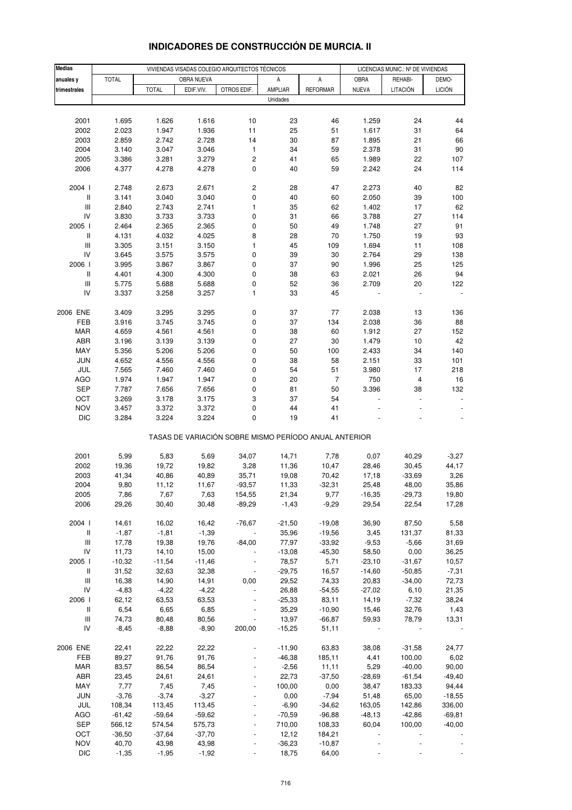| <b>Medias</b>                            |                   |                   |                   | VIVIENDAS VISADAS COLEGIO ARQUITECTOS TÉCNICOS        |                   | LICENCIAS MUNIC.: Nº DE VIVIENDAS |                   |                  |                |
|------------------------------------------|-------------------|-------------------|-------------------|-------------------------------------------------------|-------------------|-----------------------------------|-------------------|------------------|----------------|
| anuales y                                | <b>TOTAL</b>      |                   | OBRA NUEVA        |                                                       | Α                 | А                                 | OBRA              | REHABI-          | DEMO-          |
| trimestrales                             |                   | <b>TOTAL</b>      | EDIF.VIV.         | OTROS EDIF.                                           | AMPLIAR           | <b>REFORMAR</b>                   | <b>NUEVA</b>      | LITACIÓN         | <b>LICIÓN</b>  |
|                                          |                   |                   |                   |                                                       | Unidades          |                                   |                   |                  |                |
|                                          |                   |                   |                   |                                                       |                   |                                   |                   |                  |                |
| 2001                                     | 1.695             | 1.626             | 1.616             | 10                                                    | 23                | 46                                | 1.259             | 24               | 44             |
| 2002                                     | 2.023             | 1.947             | 1.936             | 11                                                    | 25                | 51                                | 1.617             | 31               | 64             |
| 2003                                     | 2.859             | 2.742             | 2.728             | 14                                                    | 30                | 87                                | 1.895             | 21               | 66             |
| 2004                                     | 3.140             | 3.047             | 3.046             | 1                                                     | 34                | 59                                | 2.378             | 31               | 90             |
| 2005                                     | 3.386             | 3.281             | 3.279             | 2                                                     | 41                | 65                                | 1.989             | 22               | 107            |
| 2006                                     | 4.377             | 4.278             | 4.278             | 0                                                     | 40                | 59                                | 2.242             | 24               | 114            |
|                                          |                   |                   |                   |                                                       |                   |                                   |                   |                  |                |
| 2004 l                                   | 2.748             | 2.673             | 2.671             | 2                                                     | 28                | 47                                | 2.273             | 40               | 82             |
| $\, \parallel$                           | 3.141             | 3.040             | 3.040             | 0                                                     | 40                | 60                                | 2.050             | 39               | 100            |
| $\ensuremath{\mathsf{III}}\xspace$       | 2.840             | 2.743             | 2.741             | $\mathbf{1}$                                          | 35                | 62                                | 1.402             | 17               | 62             |
| IV                                       | 3.830             | 3.733             | 3.733             | 0                                                     | 31                | 66                                | 3.788             | 27               | 114            |
| 2005 l                                   | 2.464             | 2.365             | 2.365             | 0                                                     | 50                | 49                                | 1.748             | 27               | 91             |
| $\, \parallel$                           | 4.131             | 4.032             | 4.025             | 8                                                     | 28                | 70                                | 1.750             | 19               | 93             |
| $\ensuremath{\mathsf{III}}\xspace$       | 3.305             | 3.151             | 3.150             | $\mathbf{1}$                                          | 45                | 109                               | 1.694             | 11               | 108            |
| IV                                       | 3.645             | 3.575             | 3.575             | 0                                                     | 39                | 30                                | 2.764             | 29               | 138            |
| 2006                                     | 3.995             | 3.867             | 3.867             | 0                                                     | 37                | 90                                | 1.996             | 25               | 125            |
| $\, \parallel$                           | 4.401             | 4.300             | 4.300             | 0                                                     | 38                | 63                                | 2.021             | 26               | 94             |
| $\ensuremath{\mathsf{III}}\xspace$<br>IV | 5.775<br>3.337    | 5.688             | 5.688             | 0<br>1                                                | 52<br>33          | 36<br>45                          | 2.709             | 20               | 122            |
|                                          |                   | 3.258             | 3.257             |                                                       |                   |                                   |                   |                  |                |
| 2006 ENE                                 | 3.409             | 3.295             | 3.295             | 0                                                     | 37                | 77                                | 2.038             | 13               | 136            |
| FEB                                      | 3.916             | 3.745             | 3.745             | 0                                                     | 37                | 134                               | 2.038             | 36               | 88             |
| <b>MAR</b>                               | 4.659             | 4.561             | 4.561             | 0                                                     | 38                | 60                                | 1.912             | 27               | 152            |
| ABR                                      | 3.196             | 3.139             | 3.139             | 0                                                     | 27                | 30                                | 1.479             | 10               | 42             |
| MAY                                      | 5.356             | 5.206             | 5.206             | 0                                                     | 50                | 100                               | 2.433             | 34               | 140            |
| <b>JUN</b>                               | 4.652             | 4.556             | 4.556             | 0                                                     | 38                | 58                                | 2.151             | 33               | 101            |
| JUL                                      | 7.565             | 7.460             | 7.460             | 0                                                     | 54                | 51                                | 3.980             | 17               | 218            |
| <b>AGO</b>                               | 1.974             | 1.947             | 1.947             | 0                                                     | 20                | 7                                 | 750               | 4                | 16             |
| <b>SEP</b>                               | 7.787             | 7.656             | 7.656             | 0                                                     | 81                | 50                                | 3.396             | 38               | 132            |
| OCT                                      | 3.269             | 3.178             | 3.175             | 3                                                     | 37                | 54                                |                   |                  |                |
| <b>NOV</b>                               | 3.457             | 3.372             | 3.372             | 0                                                     | 44                | 41                                |                   |                  |                |
| <b>DIC</b>                               | 3.284             | 3.224             | 3.224             | $\pmb{0}$                                             | 19                | 41                                |                   |                  |                |
|                                          |                   |                   |                   | TASAS DE VARIACIÓN SOBRE MISMO PERÍODO ANUAL ANTERIOR |                   |                                   |                   |                  |                |
| 2001                                     | 5,99              | 5,83              | 5,69              | 34,07                                                 | 14,71             | 7,78                              | 0,07              | 40,29            | $-3,27$        |
| 2002                                     | 19,36             | 19,72             | 19,82             | 3,28                                                  | 11,36             | 10,47                             | 28,46             | 30,45            | 44,17          |
| 2003                                     | 41,34             | 40,86             | 40,89             | 35,71                                                 | 19,08             | 70,42                             | 17,18             | $-33,69$         | 3,26           |
| 2004                                     | 9,80              | 11,12             | 11,67             | $-93,57$                                              | 11,33             | $-32,31$                          | 25,48             | 48,00            | 35,86          |
| 2005                                     | 7,86              | 7,67              | 7,63              | 154,55                                                | 21,34             | 9,77                              | $-16,35$          | $-29,73$         | 19,80          |
| 2006                                     | 29,26             | 30,40             | 30,48             | $-89,29$                                              | $-1,43$           | $-9,29$                           | 29,54             | 22,54            | 17,28          |
|                                          |                   |                   |                   |                                                       |                   |                                   |                   |                  |                |
| 2004 l                                   | 14,61             | 16,02             | 16,42             | $-76,67$                                              | $-21,50$          | $-19,08$                          | 36,90             | 87,50            | 5,58           |
| $\, \parallel$                           | $-1,87$           | $-1,81$           | $-1,39$           |                                                       | 35,96             | $-19,56$                          | 3,45              | 131,37           | 81,33          |
| $\ensuremath{\mathsf{III}}\xspace$<br>IV | 17,78             | 19,38             | 19,76             | $-84,00$                                              | 77,97             | $-33,92$                          | $-9,53$           | $-5,66$          | 31,69          |
| 2005 l                                   | 11,73<br>$-10,32$ | 14,10<br>$-11,54$ | 15,00<br>$-11,46$ |                                                       | $-13,08$<br>78,57 | $-45,30$<br>5,71                  | 58,50<br>$-23,10$ | 0,00<br>$-31,67$ | 36,25<br>10,57 |
| Ш                                        | 31,52             | 32,63             | 32,38             |                                                       | $-29,75$          | 16,57                             | $-14,60$          | $-50,85$         | $-7,31$        |
| $\ensuremath{\mathsf{III}}\xspace$       | 16,38             | 14,90             | 14,91             | 0,00                                                  | 29,52             | 74,33                             | 20,83             | $-34,00$         | 72,73          |
| IV                                       | $-4,83$           | $-4,22$           | $-4,22$           |                                                       | 26,88             | $-54,55$                          | $-27,02$          | 6,10             | 21,35          |
| 2006                                     | 62,12             | 63,53             | 63,53             |                                                       | $-25,33$          | 83,11                             | 14,19             | $-7,32$          | 38,24          |
| Ш                                        | 6,54              | 6,65              | 6,85              |                                                       | 35,29             | $-10,90$                          | 15,46             | 32,76            | 1,43           |
| $\ensuremath{\mathsf{III}}\xspace$       | 74,73             | 80,48             | 80,56             |                                                       | 13,97             | $-66,87$                          | 59,93             | 78,79            | 13,31          |
| IV                                       | $-8,45$           | $-8,88$           | $-8,90$           | 200,00                                                | $-15,25$          | 51,11                             |                   |                  |                |
|                                          |                   |                   |                   |                                                       |                   |                                   |                   |                  |                |
| 2006 ENE                                 | 22,41             | 22,22             | 22,22             |                                                       | $-11,90$          | 63,83                             | 38,08             | $-31,58$         | 24,77          |
| FEB                                      | 89,27             | 91,76             | 91,76             |                                                       | $-46,38$          | 185,11                            | 4,41              | 100,00           | 6,02           |
| <b>MAR</b>                               | 83,57             | 86,54             | 86,54             |                                                       | $-2,56$           | 11,11                             | 5,29              | $-40,00$         | 90,00          |
| ABR                                      | 23,45             | 24,61             | 24,61             |                                                       | 22,73             | $-37,50$                          | $-28,69$          | $-61,54$         | $-49,40$       |
| MAY                                      | 7,77              | 7,45              | 7,45              |                                                       | 100,00            | 0,00                              | 38,47             | 183,33           | 94,44          |
| <b>JUN</b>                               | $-3,76$           | $-3,74$           | $-3,27$           |                                                       | 0,00              | $-7,94$                           | 51,48             | 65,00            | $-18,55$       |
| JUL                                      | 108,34            | 113,45            | 113,45            |                                                       | $-6,90$           | $-34,62$                          | 163,05            | 142,86           | 336,00         |
| AGO                                      | $-61,42$          | $-59,64$          | $-59,62$          |                                                       | $-70,59$          | $-96,88$                          | $-48,13$          | $-42,86$         | $-69,81$       |
| SEP                                      | 566,12            | 574,54            | 575,73            |                                                       | 710,00            | 108,33                            | 60,04             | 100,00           | $-40,00$       |
| OCT<br><b>NOV</b>                        | $-36,50$<br>40,70 | $-37,64$<br>43,98 | $-37,70$<br>43,98 |                                                       | 12,12<br>$-36,23$ | 184,21<br>$-10,87$                |                   |                  |                |
| <b>DIC</b>                               | $-1,35$           | $-1,95$           | $-1,92$           |                                                       | 18,75             | 64,00                             |                   |                  |                |
|                                          |                   |                   |                   |                                                       |                   |                                   |                   |                  |                |

# **INDICADORES DE CONSTRUCCIÓN DE MURCIA. II**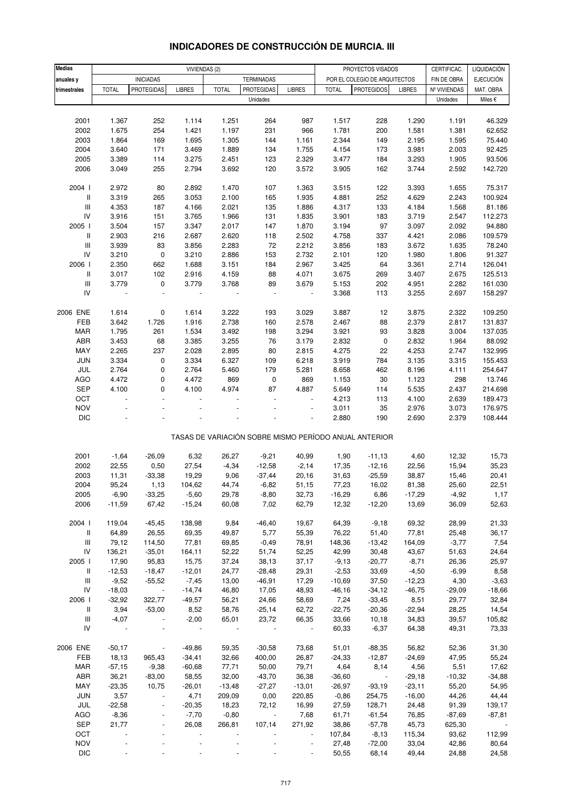| <b>Medias</b>                      |               |                          | VIVIENDAS (2) |              |                   |                          |              | PROYECTOS VISADOS                                     |               | CERTIFICAC.  | LIQUIDACIÓN      |
|------------------------------------|---------------|--------------------------|---------------|--------------|-------------------|--------------------------|--------------|-------------------------------------------------------|---------------|--------------|------------------|
| anuales y                          |               | <b>INICIADAS</b>         |               |              | <b>TERMINADAS</b> |                          |              | POR EL COLEGIO DE ARQUITECTOS                         |               | FIN DE OBRA  | <b>EJECUCIÓN</b> |
| trimestrales                       | <b>TOTAL</b>  | <b>PROTEGIDAS</b>        | <b>LIBRES</b> | <b>TOTAL</b> | <b>PROTEGIDAS</b> | <b>LIBRES</b>            | <b>TOTAL</b> | <b>PROTEGIDOS</b>                                     | <b>LIBRES</b> | Nº VIVIENDAS | MAT. OBRA        |
|                                    |               |                          |               |              | Unidades          |                          |              |                                                       |               | Unidades     | Miles €          |
|                                    |               |                          |               |              |                   |                          |              |                                                       |               |              |                  |
| 2001                               | 1.367         | 252                      | 1.114         | 1.251        | 264               | 987                      | 1.517        | 228                                                   | 1.290         | 1.191        | 46.329           |
| 2002                               | 1.675         | 254                      | 1.421         | 1.197        | 231               | 966                      | 1.781        | 200                                                   | 1.581         | 1.381        | 62.652           |
| 2003                               | 1.864         | 169                      | 1.695         | 1.305        | 144               | 1.161                    | 2.344        | 149                                                   | 2.195         | 1.595        | 75.440           |
| 2004                               | 3.640         | 171                      | 3.469         | 1.889        | 134               | 1.755                    | 4.154        | 173                                                   | 3.981         | 2.003        | 92.425           |
| 2005                               | 3.389         | 114                      | 3.275         | 2.451        | 123               | 2.329                    | 3.477        | 184                                                   | 3.293         | 1.905        | 93.506           |
| 2006                               | 3.049         | 255                      | 2.794         | 3.692        | 120               | 3.572                    | 3.905        | 162                                                   | 3.744         | 2.592        | 142.720          |
|                                    |               |                          |               |              |                   |                          |              |                                                       |               |              |                  |
| 2004 l                             | 2.972         | 80                       | 2.892         | 1.470        | 107               | 1.363                    | 3.515        | 122                                                   | 3.393         | 1.655        | 75.317           |
| $\,$ $\,$ $\,$                     | 3.319         | 265                      | 3.053         | 2.100        | 165               | 1.935                    | 4.881        | 252                                                   | 4.629         | 2.243        | 100.924          |
| $\ensuremath{\mathsf{III}}\xspace$ | 4.353         | 187                      | 4.166         | 2.021        | 135               | 1.886                    | 4.317        | 133                                                   | 4.184         | 1.568        | 81.186           |
| IV                                 | 3.916         | 151                      | 3.765         | 1.966        | 131               | 1.835                    | 3.901        | 183                                                   | 3.719         | 2.547        | 112.273          |
| 2005 l                             | 3.504         | 157                      | 3.347         | 2.017        | 147               | 1.870                    | 3.194        | 97                                                    | 3.097         | 2.092        | 94.880           |
| Ш                                  | 2.903         | 216                      | 2.687         | 2.620        | 118               | 2.502                    | 4.758        | 337                                                   | 4.421         | 2.086        | 109.579          |
| $\ensuremath{\mathsf{III}}\xspace$ | 3.939         | 83                       | 3.856         | 2.283        | 72                | 2.212                    | 3.856        | 183                                                   | 3.672         | 1.635        | 78.240           |
| IV                                 | 3.210         | $\pmb{0}$                | 3.210         | 2.886        | 153               | 2.732                    | 2.101        | 120                                                   | 1.980         | 1.806        | 91.327           |
| 2006                               | 2.350         | 662                      | 1.688         | 3.151        | 184               | 2.967                    | 3.425        | 64                                                    | 3.361         | 2.714        | 126.041          |
| II                                 | 3.017         | 102                      | 2.916         | 4.159        | 88                | 4.071                    | 3.675        | 269                                                   | 3.407         | 2.675        | 125.513          |
| $\ensuremath{\mathsf{III}}\xspace$ | 3.779         | 0                        | 3.779         | 3.768        | 89                | 3.679                    | 5.153        | 202                                                   | 4.951         | 2.282        | 161.030          |
| IV                                 |               | $\overline{\phantom{a}}$ |               |              | ÷,                | $\blacksquare$           | 3.368        | 113                                                   | 3.255         | 2.697        | 158.297          |
|                                    |               |                          |               |              |                   |                          |              |                                                       |               |              |                  |
| 2006 ENE                           | 1.614         | 0                        | 1.614         | 3.222        | 193               | 3.029                    | 3.887        | 12                                                    | 3.875         | 2.322        | 109.250          |
| FEB                                | 3.642         | 1.726                    | 1.916         | 2.738        | 160               | 2.578                    | 2.467        | 88                                                    | 2.379         | 2.817        | 131.837          |
| MAR                                | 1.795         | 261                      | 1.534         | 3.492        | 198               | 3.294                    | 3.921        | 93                                                    | 3.828         | 3.004        | 137.035          |
| ABR                                | 3.453         | 68                       | 3.385         | 3.255        | 76                | 3.179                    | 2.832        | 0                                                     | 2.832         | 1.964        | 88.092           |
| MAY                                | 2.265         | 237                      | 2.028         | 2.895        | 80                | 2.815                    | 4.275        | 22                                                    | 4.253         | 2.747        | 132.995          |
| JUN                                | 3.334         | $\pmb{0}$                | 3.334         | 6.327        | 109               | 6.218                    | 3.919        | 784                                                   | 3.135         | 3.315        | 155.453          |
| JUL                                | 2.764         | $\pmb{0}$                | 2.764         | 5.460        | 179               | 5.281                    | 8.658        | 462                                                   | 8.196         | 4.111        | 254.647          |
| AGO                                | 4.472         | $\mathbf 0$              | 4.472         | 869          | $\pmb{0}$         | 869                      | 1.153        | 30                                                    | 1.123         | 298          | 13.746           |
| SEP                                | 4.100         | 0                        | 4.100         | 4.974        | 87                | 4.887                    | 5.649        | 114                                                   | 5.535         | 2.437        | 214.698          |
| OCT                                |               | ÷.                       |               |              |                   |                          | 4.213        | 113                                                   | 4.100         | 2.639        | 189.473          |
| <b>NOV</b>                         |               |                          |               |              |                   | $\overline{a}$           | 3.011        | 35                                                    | 2.976         | 3.073        | 176.975          |
| <b>DIC</b>                         |               |                          |               |              |                   |                          | 2.880        | 190                                                   | 2.690         | 2.379        | 108.444          |
|                                    |               |                          |               |              |                   |                          |              |                                                       |               |              |                  |
|                                    |               |                          |               |              |                   |                          |              | TASAS DE VARIACIÓN SOBRE MISMO PERÍODO ANUAL ANTERIOR |               |              |                  |
|                                    |               |                          |               |              |                   |                          |              |                                                       |               |              |                  |
| 2001                               | $-1,64$       | $-26,09$                 | 6,32          | 26,27        | $-9,21$           | 40,99                    | 1,90         | $-11,13$                                              | 4,60          | 12,32        | 15,73            |
| 2002                               | 22,55         | 0,50                     | 27,54         | $-4,34$      | $-12,58$          | $-2,14$                  | 17,35        | $-12,16$                                              | 22,56         | 15,94        | 35,23            |
| 2003                               | 11,31         | $-33,38$                 | 19,29         | 9,06         | $-37,44$          | 20,16                    | 31,63        | $-25,59$                                              | 38,87         | 15,46        | 20,41            |
| 2004                               | 95,24         | 1,13                     | 104,62        | 44,74        | $-6,82$           | 51,15                    | 77,23        | 16,02                                                 | 81,38         | 25,60        | 22,51            |
| 2005                               | $-6,90$       | $-33,25$                 | $-5,60$       | 29,78        | $-8,80$           | 32,73                    | $-16,29$     | 6,86                                                  | $-17,29$      | $-4,92$      | 1,17             |
| 2006                               | $-11,59$      | 67,42                    | $-15,24$      | 60,08        | 7,02              | 62,79                    | 12,32        | $-12,20$                                              | 13,69         | 36,09        | 52,63            |
|                                    |               |                          |               |              |                   |                          |              |                                                       |               |              |                  |
| 2004 l                             | 119,04        | $-45,45$                 | 138,98        | 9,84         | $-46,40$          | 19,67                    | 64,39        | $-9,18$                                               | 69,32         | 28,99        | 21,33            |
| Ш                                  | 64,89         | 26,55                    | 69,35         | 49,87        | 5,77              | 55,39                    | 76,22        | 51,40                                                 | 77,81         | 25,48        | 36,17            |
| Ш                                  | 79,12         | 114,50                   | 77,81         | 69,85        | $-0,49$           | 78,91                    | 148,36       | $-13,42$                                              | 164,09        | $-3,77$      | 7,54             |
| ${\sf IV}$                         | 136,21        | $-35,01$                 | 164,11        | 52,22        | 51,74             | 52,25                    | 42,99        | 30,48                                                 | 43,67         | 51,63        | 24,64            |
| 2005                               | 17,90         | 95,83                    | 15,75         | 37,24        | 38,13             | 37,17                    | $-9,13$      | $-20,77$                                              | $-8,71$       | 26,36        | 25,97            |
| Ш                                  | $-12,53$      | $-18,47$                 | $-12,01$      | 24,77        | $-28,48$          | 29,31                    | $-2,53$      | 33,69                                                 | $-4,50$       | $-6,99$      | 8,58             |
| Ш                                  | $-9,52$       | $-55,52$                 | $-7,45$       | 13,00        | $-46,91$          | 17,29                    | $-10,69$     | 37,50                                                 | $-12,23$      | 4,30         | $-3,63$          |
| IV                                 | $-18,03$      | $\sim$ $-$               | $-14,74$      | 46,80        | 17,05             | 48,93                    | $-46,16$     | $-34,12$                                              | $-46,75$      | $-29,09$     | $-18,66$         |
| 2006                               | $-32,92$      | 322,77                   | $-49,57$      | 56,21        | 24,66             | 58,69                    | 7,24         | $-33,45$                                              | 8,51          | 29,77        | 32,84            |
| Ш                                  | 3,94          | $-53,00$                 | 8,52          | 58,76        | $-25,14$          | 62,72                    | $-22,75$     | $-20,36$                                              | $-22,94$      | 28,25        | 14,54            |
| Ш                                  | $-4,07$       |                          | $-2,00$       | 65,01        | 23,72             | 66,35                    | 33,66        | 10, 18                                                | 34,83         | 39,57        | 105,82           |
| IV                                 | $\sim$ $\sim$ |                          |               |              |                   | $\overline{\phantom{a}}$ | 60,33        | $-6,37$                                               | 64,38         | 49,31        | 73,33            |
|                                    |               |                          |               |              |                   |                          |              |                                                       |               |              |                  |
| 2006 ENE                           | $-50,17$      | $\overline{\phantom{a}}$ | $-49,86$      | 59,35        | $-30,58$          | 73,68                    | 51,01        | $-88,35$                                              | 56,82         | 52,36        | 31,30            |
| FEB                                | 18,13         | 965,43                   | $-34,41$      | 32,66        | 400,00            | 26,87                    | $-24,33$     | $-12,87$                                              | $-24,69$      | 47,95        | 55,24            |
| <b>MAR</b>                         | $-57,15$      | $-9,38$                  | $-60,68$      | 77,71        | 50,00             | 79,71                    | 4,64         | 8,14                                                  | 4,56          | 5,51         | 17,62            |
| ABR                                | 36,21         | $-83,00$                 | 58,55         | 32,00        | $-43,70$          | 36,38                    | $-36,60$     | $\sim$                                                | $-29,18$      | $-10,32$     | $-34,88$         |
| MAY                                | $-23,35$      | 10,75                    | $-26,01$      | $-13,48$     | $-27,27$          | $-13,01$                 | $-26,97$     | $-93,19$                                              | $-23,11$      | 55,20        | 54,95            |
| <b>JUN</b>                         | 3,57          | $\blacksquare$           | 4,71          | 209,09       | 0,00              | 220,85                   | $-0,86$      | 254,75                                                | $-16,00$      | 44,26        | 44,44            |
| JUL                                | $-22,58$      |                          | $-20,35$      | 18,23        | 72,12             | 16,99                    | 27,59        | 128,71                                                | 24,48         | 91,39        | 139,17           |
| <b>AGO</b>                         | $-8,36$       | ÷,                       | $-7,70$       | $-0,80$      | $\sim$            | 7,68                     | 61,71        | $-61,54$                                              | 76,85         | $-87,69$     | -87,81           |
| SEP                                | 21,77         | $\blacksquare$           | 26,08         | 266,81       | 107,14            | 271,92                   | 38,86        | $-57,78$                                              | 45,73         | 625,30       |                  |
| OCT                                |               |                          |               |              |                   |                          | 107,84       | $-8,13$                                               | 115,34        | 93,62        | 112,99           |
| <b>NOV</b>                         |               |                          |               |              |                   |                          | 27,48        | $-72,00$                                              | 33,04         | 42,86        | 80,64            |
| <b>DIC</b>                         |               |                          |               |              |                   |                          | 50,55        | 68,14                                                 | 49,44         | 24,88        | 24,58            |

# **INDICADORES DE CONSTRUCCIÓN DE MURCIA. III**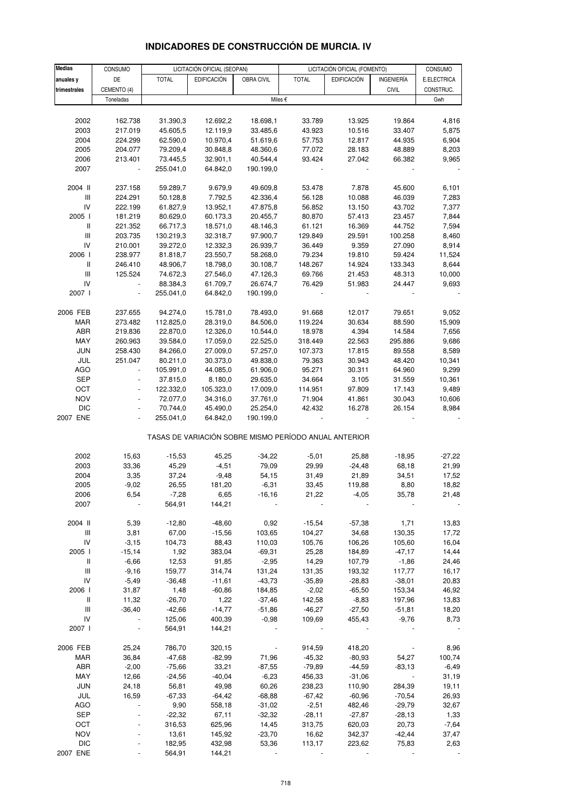| <b>Medias</b>                      | CONSUMO                  |              | LICITACIÓN OFICIAL (SEOPAN) |            |                                                       | LICITACIÓN OFICIAL (FOMENTO) |                   | CONSUMO     |
|------------------------------------|--------------------------|--------------|-----------------------------|------------|-------------------------------------------------------|------------------------------|-------------------|-------------|
|                                    |                          |              |                             |            |                                                       |                              |                   |             |
| anuales y                          | DE                       | <b>TOTAL</b> | <b>EDIFICACIÓN</b>          | OBRA CIVIL | <b>TOTAL</b>                                          | <b>EDIFICACIÓN</b>           | <b>INGENIERÍA</b> | E.ELECTRICA |
| trimestrales                       | CEMENTO (4)              |              |                             |            |                                                       |                              | <b>CIVIL</b>      | CONSTRUC.   |
|                                    | Toneladas                |              |                             |            | Miles €                                               |                              |                   | Gwh         |
|                                    |                          |              |                             |            |                                                       |                              |                   |             |
| 2002                               | 162.738                  | 31.390,3     | 12.692,2                    | 18.698,1   | 33.789                                                | 13.925                       | 19.864            | 4,816       |
| 2003                               | 217.019                  | 45.605,5     | 12.119,9                    | 33.485,6   | 43.923                                                | 10.516                       | 33.407            | 5,875       |
| 2004                               | 224.299                  | 62.590,0     | 10.970,4                    | 51.619,6   | 57.753                                                | 12.817                       | 44.935            | 6,904       |
| 2005                               | 204.077                  | 79.209,4     | 30.848,8                    | 48.360,6   | 77.072                                                | 28.183                       | 48.889            | 8,203       |
| 2006                               | 213.401                  | 73.445,5     | 32.901,1                    | 40.544,4   | 93.424                                                | 27.042                       | 66.382            | 9,965       |
|                                    |                          |              | 64.842,0                    |            |                                                       |                              |                   |             |
| 2007                               | $\overline{\phantom{a}}$ | 255.041,0    |                             | 190.199,0  |                                                       |                              |                   |             |
|                                    |                          |              |                             |            |                                                       |                              |                   |             |
| 2004 II                            | 237.158                  | 59.289,7     | 9.679,9                     | 49.609,8   | 53.478                                                | 7.878                        | 45.600            | 6,101       |
| III                                | 224.291                  | 50.128,8     | 7.792,5                     | 42.336,4   | 56.128                                                | 10.088                       | 46.039            | 7,283       |
| IV                                 | 222.199                  | 61.827,9     | 13.952,1                    | 47.875,8   | 56.852                                                | 13.150                       | 43.702            | 7,377       |
| 2005 l                             | 181.219                  | 80.629,0     | 60.173,3                    | 20.455,7   | 80.870                                                | 57.413                       | 23.457            | 7,844       |
| $\mathbf{II}$                      | 221.352                  | 66.717,3     | 18.571,0                    | 48.146,3   | 61.121                                                | 16.369                       | 44.752            | 7,594       |
| $\ensuremath{\mathsf{III}}\xspace$ | 203.735                  | 130.219,3    | 32.318,7                    | 97.900,7   | 129.849                                               | 29.591                       | 100.258           | 8,460       |
| IV                                 | 210.001                  | 39.272,0     | 12.332,3                    | 26.939,7   | 36.449                                                | 9.359                        | 27.090            | 8,914       |
| 2006                               | 238.977                  | 81.818,7     | 23.550,7                    | 58.268,0   | 79.234                                                | 19.810                       | 59.424            | 11,524      |
| $\mathbf{II}$                      | 246.410                  | 48.906,7     | 18.798,0                    | 30.108,7   | 148.267                                               | 14.924                       | 133.343           | 8,644       |
| III                                | 125.524                  | 74.672,3     | 27.546,0                    | 47.126,3   | 69.766                                                | 21.453                       | 48.313            | 10,000      |
| IV                                 | $\blacksquare$           | 88.384,3     | 61.709,7                    | 26.674,7   | 76.429                                                | 51.983                       | 24.447            | 9,693       |
| 2007 l                             |                          | 255.041,0    | 64.842,0                    | 190.199,0  |                                                       |                              |                   |             |
|                                    |                          |              |                             |            |                                                       |                              |                   |             |
|                                    |                          |              |                             |            | 91.668                                                | 12.017                       |                   |             |
| 2006 FEB                           | 237.655                  | 94.274,0     | 15.781,0                    | 78.493,0   |                                                       |                              | 79.651            | 9,052       |
| <b>MAR</b>                         | 273.482                  | 112.825,0    | 28.319,0                    | 84.506,0   | 119.224                                               | 30.634                       | 88.590            | 15,909      |
| ABR                                | 219.836                  | 22.870,0     | 12.326,0                    | 10.544,0   | 18.978                                                | 4.394                        | 14.584            | 7,656       |
| MAY                                | 260.963                  | 39.584,0     | 17.059,0                    | 22.525,0   | 318.449                                               | 22.563                       | 295.886           | 9,686       |
| <b>JUN</b>                         | 258.430                  | 84.266,0     | 27.009,0                    | 57.257,0   | 107.373                                               | 17.815                       | 89.558            | 8,589       |
| JUL                                | 251.047                  | 80.211,0     | 30.373,0                    | 49.838,0   | 79.363                                                | 30.943                       | 48.420            | 10,341      |
| <b>AGO</b>                         |                          | 105.991,0    | 44.085,0                    | 61.906,0   | 95.271                                                | 30.311                       | 64.960            | 9,299       |
| <b>SEP</b>                         | $\blacksquare$           | 37.815,0     | 8.180,0                     | 29.635,0   | 34.664                                                | 3.105                        | 31.559            | 10,361      |
| OCT                                |                          | 122.332,0    | 105.323,0                   | 17.009,0   | 114.951                                               | 97.809                       | 17.143            | 9,489       |
| <b>NOV</b>                         | ÷,                       | 72.077,0     | 34.316,0                    | 37.761,0   | 71.904                                                | 41.861                       | 30.043            | 10,606      |
| <b>DIC</b>                         | $\blacksquare$           | 70.744,0     | 45.490,0                    | 25.254,0   | 42.432                                                | 16.278                       | 26.154            | 8,984       |
| 2007 ENE                           |                          | 255.041,0    | 64.842,0                    | 190.199,0  |                                                       |                              |                   |             |
|                                    |                          |              |                             |            |                                                       |                              |                   |             |
|                                    |                          |              |                             |            | TASAS DE VARIACIÓN SOBRE MISMO PERÍODO ANUAL ANTERIOR |                              |                   |             |
|                                    |                          |              |                             |            |                                                       |                              |                   |             |
| 2002                               | 15,63                    | $-15,53$     | 45,25                       | $-34,22$   | $-5,01$                                               | 25,88                        | $-18,95$          | $-27,22$    |
|                                    |                          |              |                             |            |                                                       |                              |                   |             |
| 2003                               | 33,36                    | 45,29        | $-4,51$                     | 79,09      | 29,99                                                 | $-24,48$                     | 68,18             | 21,99       |
| 2004                               | 3,35                     | 37,24        | $-9,48$                     | 54,15      | 31,49                                                 | 21,89                        | 34,51             | 17,52       |
| 2005                               | $-9,02$                  | 26,55        | 181,20                      | $-6,31$    | 33,45                                                 | 119,88                       | 8,80              | 18,82       |
| 2006                               | 6,54                     | $-7,28$      | 6,65                        | $-16,16$   | 21,22                                                 | $-4,05$                      | 35,78             | 21,48       |
| 2007                               |                          | 564,91       | 144,21                      |            |                                                       |                              |                   |             |
|                                    |                          |              |                             |            |                                                       |                              |                   |             |
| 2004 II                            | 5,39                     | $-12,80$     | $-48,60$                    | 0,92       | $-15,54$                                              | $-57,38$                     | 1,71              | 13,83       |
| $\ensuremath{\mathsf{III}}\xspace$ | 3,81                     | 67,00        | $-15,56$                    | 103,65     | 104,27                                                | 34,68                        | 130,35            | 17,72       |
| IV                                 | $-3,15$                  | 104,73       | 88,43                       | 110,03     | 105,76                                                | 106,26                       | 105,60            | 16,04       |
| 2005 l                             | $-15,14$                 | 1,92         | 383,04                      | $-69,31$   | 25,28                                                 | 184,89                       | $-47,17$          | 14,44       |
| $\mathbf{II}$                      | $-6,66$                  | 12,53        | 91,85                       | $-2,95$    | 14,29                                                 | 107,79                       | $-1,86$           | 24,46       |
| III                                | $-9,16$                  | 159,77       | 314,74                      | 131,24     | 131,35                                                | 193,32                       | 117,77            | 16,17       |
| IV                                 | $-5,49$                  | $-36,48$     | $-11,61$                    | $-43,73$   | $-35,89$                                              | $-28,83$                     | $-38,01$          | 20,83       |
|                                    |                          |              |                             |            |                                                       |                              |                   |             |
| 2006                               | 31,87                    | 1,48         | $-60,86$                    | 184,85     | $-2,02$                                               | $-65,50$                     | 153,34            | 46,92       |
| Ш                                  | 11,32                    | $-26,70$     | 1,22                        | $-37,46$   | 142,58                                                | $-8,83$                      | 197,96            | 13,83       |
| III                                | $-36,40$                 | -42,66       | $-14,77$                    | $-51,86$   | $-46,27$                                              | $-27,50$                     | $-51,81$          | 18,20       |
| IV                                 |                          | 125,06       | 400,39                      | $-0,98$    | 109,69                                                | 455,43                       | $-9,76$           | 8,73        |
| 2007 l                             |                          | 564,91       | 144,21                      |            |                                                       |                              |                   |             |
|                                    |                          |              |                             |            |                                                       |                              |                   |             |
| 2006 FEB                           | 25,24                    | 786,70       | 320,15                      |            | 914,59                                                | 418,20                       |                   | 8,96        |
| <b>MAR</b>                         | 36,84                    | $-47,68$     | $-82,99$                    | 71,96      | $-45,32$                                              | $-80,93$                     | 54,27             | 100,74      |
| ABR                                | $-2,00$                  | $-75,66$     | 33,21                       | $-87,55$   | $-79,89$                                              | $-44,59$                     | $-83,13$          | $-6,49$     |
| MAY                                | 12,66                    | $-24,56$     | $-40,04$                    | $-6,23$    | 456,33                                                | $-31,06$                     |                   | 31,19       |
| <b>JUN</b>                         | 24,18                    | 56,81        | 49,98                       | 60,26      | 238,23                                                | 110,90                       | 284,39            | 19,11       |
| JUL                                | 16,59                    | -67,33       | $-64,42$                    | $-68,88$   | $-67,42$                                              | $-60,96$                     | $-70,54$          | 26,93       |
| <b>AGO</b>                         |                          | 9,90         | 558,18                      | $-31,02$   | $-2,51$                                               | 482,46                       | $-29,79$          | 32,67       |
|                                    |                          |              |                             |            |                                                       |                              |                   |             |
| SEP                                |                          | $-22,32$     | 67,11                       | $-32,32$   | $-28,11$                                              | $-27,87$                     | $-28,13$          | 1,33        |
| OCT                                |                          | 316,53       | 625,96                      | 14,45      | 313,75                                                | 620,03                       | 20,73             | $-7,64$     |
| <b>NOV</b>                         |                          | 13,61        | 145,92                      | $-23,70$   | 16,62                                                 | 342,37                       | $-42,44$          | 37,47       |
| <b>DIC</b>                         |                          | 182,95       | 432,98                      | 53,36      | 113,17                                                | 223,62                       | 75,83             | 2,63        |

# **INDICADORES DE CONSTRUCCIÓN DE MURCIA. IV**

2007 ENE - 564,91 144,21 - - - - -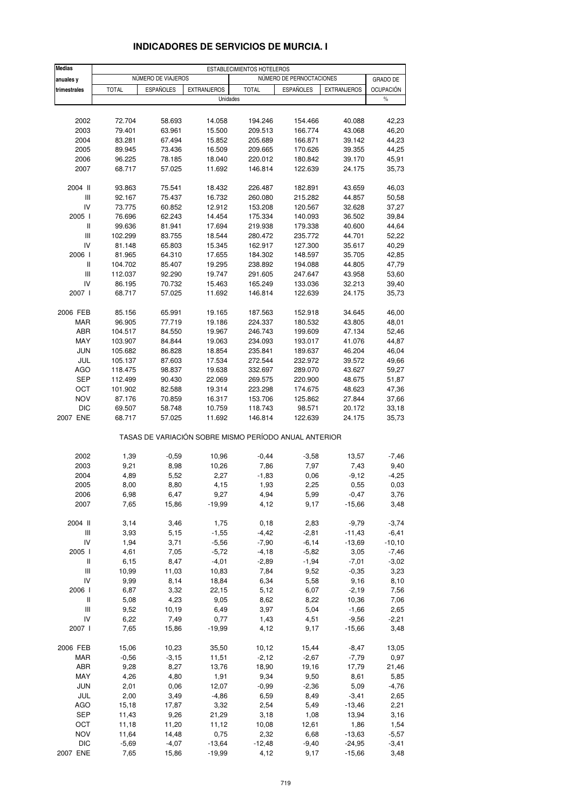| <b>Medias</b>                      |              |                    |                                                       | ESTABLECIMIENTOS HOTELEROS |                          |                    |                          |
|------------------------------------|--------------|--------------------|-------------------------------------------------------|----------------------------|--------------------------|--------------------|--------------------------|
| anuales y                          |              | NÚMERO DE VIAJEROS |                                                       |                            | NÚMERO DE PERNOCTACIONES |                    | <b>GRADO DE</b>          |
| trimestrales                       | <b>TOTAL</b> | <b>ESPAÑOLES</b>   | <b>EXTRANJEROS</b><br>Unidades                        | <b>TOTAL</b>               | <b>ESPAÑOLES</b>         | <b>EXTRANJEROS</b> | <b>OCUPACIÓN</b><br>$\%$ |
|                                    |              |                    |                                                       |                            |                          |                    |                          |
| 2002                               | 72.704       | 58.693             | 14.058                                                | 194.246                    | 154.466                  | 40.088             | 42,23                    |
| 2003                               | 79.401       | 63.961             | 15.500                                                | 209.513                    | 166.774                  | 43.068             | 46,20                    |
| 2004                               | 83.281       | 67.494             | 15.852                                                | 205.689                    | 166.871                  | 39.142             | 44,23                    |
| 2005                               | 89.945       | 73.436             | 16.509                                                | 209.665                    | 170.626                  | 39.355             | 44,25                    |
| 2006                               | 96.225       | 78.185             | 18.040                                                | 220.012                    | 180.842                  | 39.170             | 45,91                    |
| 2007                               | 68.717       | 57.025             | 11.692                                                | 146.814                    | 122.639                  | 24.175             | 35,73                    |
| 2004 II                            | 93.863       | 75.541             | 18.432                                                | 226.487                    | 182.891                  | 43.659             | 46,03                    |
| Ш                                  | 92.167       | 75.437             | 16.732                                                | 260.080                    | 215.282                  | 44.857             | 50,58                    |
| IV                                 | 73.775       | 60.852             | 12.912                                                | 153.208                    | 120.567                  | 32.628             | 37,27                    |
| 2005 l                             | 76.696       | 62.243             | 14.454                                                | 175.334                    | 140.093                  | 36.502             | 39,84                    |
| Ш                                  | 99.636       | 81.941             | 17.694                                                | 219.938                    | 179.338                  | 40.600             | 44,64                    |
| Ш                                  | 102.299      | 83.755             | 18.544                                                | 280.472                    | 235.772                  | 44.701             | 52,22                    |
| IV                                 | 81.148       | 65.803             | 15.345                                                | 162.917                    | 127.300                  | 35.617             | 40,29                    |
| 2006                               | 81.965       | 64.310             | 17.655                                                | 184.302                    | 148.597                  | 35.705             | 42,85                    |
| Ш                                  | 104.702      | 85.407             | 19.295                                                | 238.892                    | 194.088                  | 44.805             | 47,79                    |
| Ш                                  | 112.037      | 92.290             | 19.747                                                | 291.605                    | 247.647                  | 43.958             | 53,60                    |
| IV                                 | 86.195       | 70.732             | 15.463                                                | 165.249                    | 133.036                  | 32.213             | 39,40                    |
| 2007 l                             | 68.717       | 57.025             | 11.692                                                | 146.814                    | 122.639                  | 24.175             | 35,73                    |
| 2006 FEB                           | 85.156       | 65.991             | 19.165                                                | 187.563                    | 152.918                  | 34.645             | 46,00                    |
| MAR                                | 96.905       | 77.719             | 19.186                                                | 224.337                    | 180.532                  | 43.805             | 48,01                    |
| <b>ABR</b>                         | 104.517      | 84.550             | 19.967                                                | 246.743                    | 199.609                  | 47.134             | 52,46                    |
| MAY                                | 103.907      | 84.844             | 19.063                                                | 234.093                    | 193.017                  | 41.076             | 44,87                    |
| <b>JUN</b>                         | 105.682      | 86.828             | 18.854                                                | 235.841                    | 189.637                  | 46.204             | 46,04                    |
| JUL                                | 105.137      | 87.603             | 17.534                                                | 272.544                    | 232.972                  | 39.572             | 49,66                    |
| <b>AGO</b>                         | 118.475      | 98.837             | 19.638                                                | 332.697                    | 289.070                  | 43.627             | 59,27                    |
| <b>SEP</b>                         | 112.499      | 90.430             | 22.069                                                | 269.575                    | 220.900                  | 48.675             | 51,87                    |
| OCT                                | 101.902      | 82.588             | 19.314                                                | 223.298                    | 174.675                  | 48.623             | 47,36                    |
| <b>NOV</b>                         | 87.176       | 70.859             | 16.317                                                | 153.706                    | 125.862                  | 27.844             | 37,66                    |
| DIC                                | 69.507       | 58.748             | 10.759                                                | 118.743                    | 98.571                   | 20.172             | 33,18                    |
| 2007 ENE                           | 68.717       | 57.025             | 11.692                                                | 146.814                    | 122.639                  | 24.175             | 35,73                    |
|                                    |              |                    | TASAS DE VARIACIÓN SOBRE MISMO PERÍODO ANUAL ANTERIOR |                            |                          |                    |                          |
| 2002                               | 1,39         | $-0,59$            | 10,96                                                 | $-0,44$                    | $-3,58$                  | 13,57              | $-7,46$                  |
| 2003                               | 9,21         | 8,98               | 10,26                                                 | 7,86                       | 7,97                     | 7,43               | 9,40                     |
| 2004                               | 4,89         | 5,52               | 2,27                                                  | $-1,83$                    | 0,06                     | $-9,12$            | $-4,25$                  |
| 2005                               | 8,00         | 8,80               | 4,15                                                  | 1,93                       | 2,25                     | 0,55               | 0,03                     |
| 2006                               | 6,98         | 6,47               | 9,27                                                  | 4,94                       | 5,99                     | $-0,47$            | 3,76                     |
| 2007                               | 7,65         | 15,86              | $-19.99$                                              | 4,12                       | 9,17                     | $-15,66$           | 3,48                     |
| 2004 II                            | 3,14         | 3,46               | 1,75                                                  | 0,18                       | 2,83                     | $-9,79$            | $-3,74$                  |
| $\ensuremath{\mathsf{III}}\xspace$ | 3,93         | 5,15               | $-1,55$                                               | $-4,42$                    | $-2,81$                  | $-11,43$           | $-6,41$                  |
| IV                                 | 1,94         | 3,71               | $-5,56$                                               | $-7,90$                    | $-6, 14$                 | $-13,69$           | $-10, 10$                |
| 2005 l                             | 4,61         | 7,05               | $-5,72$                                               | $-4,18$                    | $-5,82$                  | 3,05               | $-7,46$                  |
| Ш                                  | 6,15         | 8,47               | $-4,01$                                               | $-2,89$                    | $-1,94$                  | $-7,01$            | $-3,02$                  |
| $\ensuremath{\mathsf{III}}\xspace$ | 10,99        | 11,03              | 10,83                                                 | 7,84                       | 9,52                     | $-0,35$            | 3,23                     |
| IV                                 | 9,99         | 8,14               | 18,84                                                 | 6,34                       | 5,58                     | 9,16               | 8,10                     |
| 2006 l                             | 6,87         | 3,32               | 22,15                                                 | 5,12                       | 6,07                     | $-2,19$            | 7,56                     |
| Ш                                  | 5,08         | 4,23               | 9,05                                                  | 8,62                       | 8,22                     | 10,36              | 7,06                     |
| $\ensuremath{\mathsf{III}}\xspace$ | 9,52         | 10,19              | 6,49                                                  | 3,97                       | 5,04                     | $-1,66$            | 2,65                     |
| IV                                 | 6,22         | 7,49               | 0,77                                                  | 1,43                       | 4,51                     | $-9,56$            | $-2,21$                  |
| 2007 l                             | 7,65         | 15,86              | $-19,99$                                              | 4,12                       | 9,17                     | $-15,66$           | 3,48                     |
| 2006 FEB                           | 15,06        | 10,23              | 35,50                                                 | 10,12                      | 15,44                    | $-8,47$            | 13,05                    |
| MAR                                | $-0,56$      | $-3,15$            | 11,51                                                 | $-2,12$                    | $-2,67$                  | $-7,79$            | 0,97                     |
| ABR                                | 9,28         | 8,27               | 13,76                                                 | 18,90                      | 19,16                    | 17,79              | 21,46                    |
| MAY                                | 4,26         | 4,80               | 1,91                                                  | 9,34                       | 9,50                     | 8,61               | 5,85                     |
| <b>JUN</b>                         | 2,01         | 0,06               | 12,07                                                 | $-0,99$                    | $-2,36$                  | 5,09               | $-4,76$                  |
| JUL                                | 2,00         | 3,49               | $-4,86$                                               | 6,59                       | 8,49                     | $-3,41$            | 2,65                     |
| <b>AGO</b>                         | 15,18        | 17,87              | 3,32                                                  | 2,54                       | 5,49                     | $-13,46$           | 2,21                     |
| <b>SEP</b>                         | 11,43        | 9,26               | 21,29                                                 | 3,18                       | 1,08                     | 13,94              | 3,16                     |
| OCT                                | 11,18        | 11,20              | 11,12                                                 | 10,08                      | 12,61                    | 1,86               | 1,54                     |
| <b>NOV</b>                         | 11,64        | 14,48              | 0,75                                                  | 2,32                       | 6,68                     | $-13,63$           | $-5,57$                  |
| <b>DIC</b>                         | $-5,69$      | $-4,07$            | $-13,64$                                              | $-12,48$                   | $-9,40$                  | $-24,95$           | $-3,41$                  |
| 2007 ENE                           | 7,65         | 15,86              | $-19,99$                                              | 4,12                       | 9,17                     | $-15,66$           | 3,48                     |
|                                    |              |                    |                                                       |                            |                          |                    |                          |

#### **INDICADORES DE SERVICIOS DE MURCIA. I**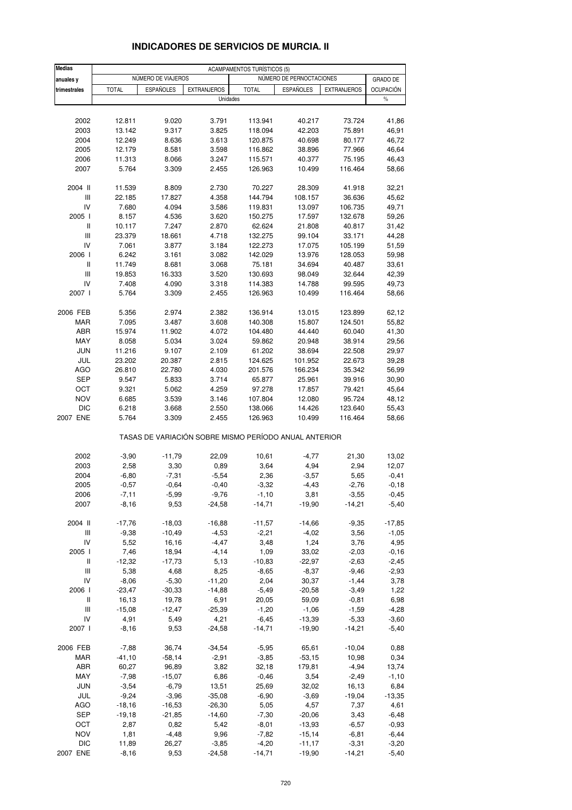| <b>Medias</b>                      |              |                    |                                                       | <b>ACAMPAMENTOS TURÍSTICOS (5)</b> |                          |                    |                  |
|------------------------------------|--------------|--------------------|-------------------------------------------------------|------------------------------------|--------------------------|--------------------|------------------|
| anuales y                          |              | NÚMERO DE VIAJEROS |                                                       |                                    | NÚMERO DE PERNOCTACIONES |                    | GRADO DE         |
| trimestrales                       | <b>TOTAL</b> | <b>ESPAÑOLES</b>   | <b>EXTRANJEROS</b>                                    | <b>TOTAL</b>                       | <b>ESPAÑOLES</b>         | <b>EXTRANJEROS</b> | <b>OCUPACIÓN</b> |
|                                    |              |                    | Unidades                                              |                                    |                          |                    | $\%$             |
|                                    |              |                    |                                                       |                                    |                          |                    |                  |
| 2002                               | 12.811       | 9.020              | 3.791                                                 | 113.941                            | 40.217                   | 73.724             | 41,86            |
| 2003                               | 13.142       | 9.317              | 3.825                                                 | 118.094                            | 42.203                   | 75.891             | 46,91            |
| 2004                               | 12.249       | 8.636              | 3.613                                                 | 120.875                            | 40.698                   | 80.177             | 46,72            |
| 2005                               | 12.179       | 8.581              | 3.598                                                 | 116.862                            | 38.896                   | 77.966             | 46,64            |
| 2006                               | 11.313       | 8.066              | 3.247                                                 | 115.571                            | 40.377                   | 75.195             | 46,43            |
| 2007                               | 5.764        | 3.309              | 2.455                                                 | 126.963                            | 10.499                   | 116.464            | 58,66            |
| 2004 II                            | 11.539       | 8.809              | 2.730                                                 | 70.227                             | 28.309                   | 41.918             | 32,21            |
| Ш                                  | 22.185       | 17.827             | 4.358                                                 | 144.794                            | 108.157                  | 36.636             | 45,62            |
| IV                                 | 7.680        | 4.094              | 3.586                                                 | 119.831                            | 13.097                   | 106.735            | 49,71            |
| 2005 l                             | 8.157        | 4.536              | 3.620                                                 | 150.275                            | 17.597                   | 132.678            | 59,26            |
| $\, \parallel$                     | 10.117       | 7.247              | 2.870                                                 | 62.624                             | 21.808                   | 40.817             | 31,42            |
| $\ensuremath{\mathsf{III}}\xspace$ | 23.379       | 18.661             | 4.718                                                 | 132.275                            | 99.104                   | 33.171             | 44,28            |
| IV                                 | 7.061        | 3.877              | 3.184                                                 | 122.273                            | 17.075                   | 105.199            | 51,59            |
| 2006                               | 6.242        | 3.161              | 3.082                                                 | 142.029                            | 13.976                   | 128.053            | 59,98            |
| Ш                                  | 11.749       | 8.681              | 3.068                                                 | 75.181                             | 34.694                   | 40.487             | 33,61            |
| Ш                                  | 19.853       | 16.333             | 3.520                                                 | 130.693                            | 98.049                   | 32.644             | 42,39            |
| IV                                 | 7.408        | 4.090              | 3.318                                                 | 114.383                            | 14.788                   | 99.595             | 49,73            |
| 2007 l                             | 5.764        | 3.309              | 2.455                                                 | 126.963                            | 10.499                   | 116.464            | 58,66            |
| 2006 FEB                           | 5.356        | 2.974              | 2.382                                                 | 136.914                            | 13.015                   | 123.899            | 62,12            |
| MAR                                | 7.095        | 3.487              | 3.608                                                 | 140.308                            | 15.807                   | 124.501            | 55,82            |
| ABR                                | 15.974       | 11.902             | 4.072                                                 | 104.480                            | 44.440                   | 60.040             | 41,30            |
| MAY                                | 8.058        | 5.034              | 3.024                                                 | 59.862                             | 20.948                   | 38.914             | 29,56            |
| <b>JUN</b>                         | 11.216       | 9.107              | 2.109                                                 | 61.202                             | 38.694                   | 22.508             | 29,97            |
| JUL                                | 23.202       | 20.387             | 2.815                                                 | 124.625                            | 101.952                  | 22.673             | 39,28            |
| <b>AGO</b>                         | 26.810       | 22.780             | 4.030                                                 | 201.576                            | 166.234                  | 35.342             | 56,99            |
| <b>SEP</b>                         | 9.547        | 5.833              | 3.714                                                 | 65.877                             | 25.961                   | 39.916             | 30,90            |
| ост                                | 9.321        | 5.062              | 4.259                                                 | 97.278                             | 17.857                   | 79.421             | 45,64            |
| <b>NOV</b>                         | 6.685        | 3.539              | 3.146                                                 | 107.804                            | 12.080                   | 95.724             | 48,12            |
| <b>DIC</b>                         | 6.218        | 3.668              | 2.550                                                 | 138.066                            | 14.426                   | 123.640            | 55,43            |
| 2007 ENE                           | 5.764        | 3.309              | 2.455                                                 | 126.963                            | 10.499                   | 116.464            | 58,66            |
|                                    |              |                    | TASAS DE VARIACIÓN SOBRE MISMO PERÍODO ANUAL ANTERIOR |                                    |                          |                    |                  |
| 2002                               | $-3,90$      | $-11,79$           | 22,09                                                 | 10,61                              | $-4,77$                  | 21,30              | 13,02            |
| 2003                               | 2,58         | 3,30               | 0,89                                                  | 3,64                               | 4,94                     | 2,94               | 12,07            |
| 2004                               | $-6,80$      | $-7,31$            | $-5,54$                                               | 2,36                               | $-3,57$                  | 5,65               | $-0,41$          |
| 2005                               | $-0,57$      | $-0,64$            | $-0,40$                                               | $-3,32$                            | $-4,43$                  | $-2,76$            | $-0,18$          |
| 2006                               | -7,11        | $-5,99$            | $-9,76$                                               | $-1,10$                            | 3,81                     | $-3,55$            | $-0,45$          |
| 2007                               | $-8,16$      | 9,53               | $-24,58$                                              | $-14,71$                           | $-19,90$                 | $-14,21$           | $-5,40$          |
| 2004 II                            | $-17,76$     | $-18,03$           | $-16,88$                                              | $-11,57$                           | $-14,66$                 | $-9,35$            | $-17,85$         |
| $\ensuremath{\mathsf{III}}\xspace$ | $-9,38$      | $-10,49$           | $-4,53$                                               | $-2,21$                            | $-4,02$                  | 3,56               | $-1,05$          |
| IV                                 | 5,52         | 16,16              | $-4,47$                                               | 3,48                               | 1,24                     | 3,76               | 4,95             |
| 2005 l                             | 7,46         | 18,94              | $-4, 14$                                              | 1,09                               | 33,02                    | $-2,03$            | $-0,16$          |
| Ш                                  | $-12,32$     | $-17,73$           | 5,13                                                  | $-10,83$                           | $-22,97$                 | $-2,63$            | $-2,45$          |
| Ш                                  | 5,38         | 4,68               | 8,25                                                  | $-8,65$                            | $-8,37$                  | $-9,46$            | $-2,93$          |
| IV                                 | $-8,06$      | $-5,30$            | $-11,20$                                              | 2,04                               | 30,37                    | $-1,44$            | 3,78             |
| 2006                               | $-23,47$     | $-30,33$           | $-14,88$                                              | $-5,49$                            | $-20,58$                 | $-3,49$            | 1,22             |
| Ш                                  | 16,13        | 19,78              | 6,91                                                  | 20,05                              | 59,09                    | $-0,81$            | 6,98             |
| Ш                                  | $-15,08$     | $-12,47$           | $-25,39$                                              | $-1,20$                            | $-1,06$                  | $-1,59$            | $-4,28$          |
| IV                                 | 4,91         | 5,49               | 4,21                                                  | $-6,45$                            | $-13,39$                 | $-5,33$            | $-3,60$          |
| 2007 l                             | $-8,16$      | 9,53               | $-24,58$                                              | $-14,71$                           | $-19,90$                 | $-14,21$           | $-5,40$          |
| 2006 FEB                           | $-7,88$      | 36,74              | $-34,54$                                              | $-5,95$                            | 65,61                    | $-10,04$           | 0,88             |
| MAR                                | $-41,10$     | $-58,14$           | $-2,91$                                               | $-3,85$                            | $-53,15$                 | 10,98              | 0,34             |
| ABR                                | 60,27        | 96,89              | 3,82                                                  | 32,18                              | 179,81                   | $-4,94$            | 13,74            |
| MAY                                | $-7,98$      | $-15,07$           | 6,86                                                  | $-0,46$                            | 3,54                     | $-2,49$            | $-1,10$          |
| <b>JUN</b>                         | $-3,54$      | $-6,79$            | 13,51                                                 | 25,69                              | 32,02                    | 16,13              | 6,84             |
| JUL                                | $-9,24$      | $-3,96$            | $-35,08$                                              | $-6,90$                            | $-3,69$                  | $-19,04$           | $-13,35$         |
| AGO                                | $-18,16$     | $-16,53$           | $-26,30$                                              | 5,05                               | 4,57                     | 7,37               | 4,61             |
| <b>SEP</b>                         | $-19,18$     | $-21,85$           | $-14,60$                                              | $-7,30$                            | $-20,06$                 | 3,43               | $-6,48$          |
| OCT                                | 2,87         | 0,82               | 5,42                                                  | $-8,01$                            | $-13,93$                 | $-6,57$            | $-0,93$          |
| <b>NOV</b>                         | 1,81         | $-4,48$            | 9,96                                                  | $-7,82$                            | $-15,14$                 | $-6, 81$           | $-6,44$          |
| <b>DIC</b>                         | 11,89        | 26,27              | $-3,85$                                               | $-4,20$                            | $-11,17$                 | $-3,31$            | $-3,20$          |
| 2007 ENE                           | $-8,16$      | 9,53               | $-24,58$                                              | $-14,71$                           | $-19,90$                 | $-14,21$           | $-5,40$          |

#### **INDICADORES DE SERVICIOS DE MURCIA. II**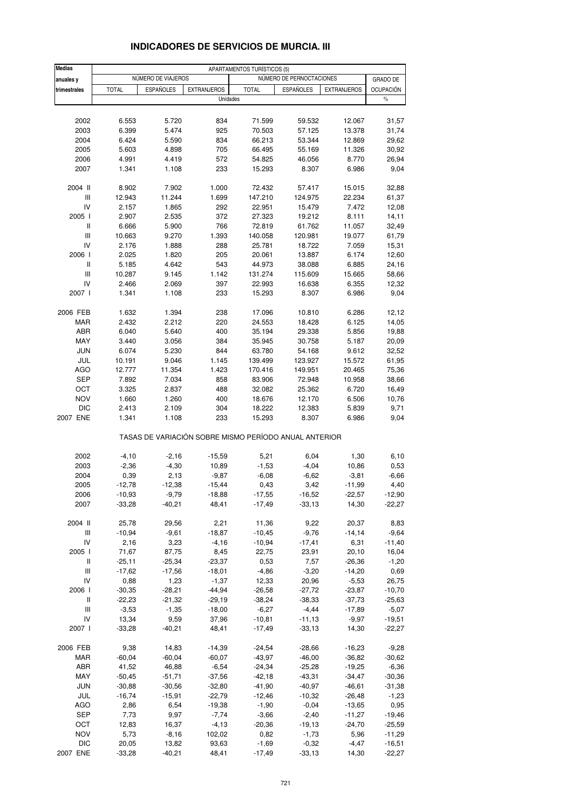| <b>Medias</b>                      |              |                    |                                                       | APARTAMENTOS TURÍSTICOS (5) |                          |                    |                   |
|------------------------------------|--------------|--------------------|-------------------------------------------------------|-----------------------------|--------------------------|--------------------|-------------------|
| anuales y                          |              | NÚMERO DE VIAJEROS |                                                       |                             | NÚMERO DE PERNOCTACIONES |                    | <b>GRADO DE</b>   |
| trimestrales                       | <b>TOTAL</b> | <b>ESPAÑOLES</b>   | <b>EXTRANJEROS</b><br>Unidades                        | <b>TOTAL</b>                | <b>ESPAÑOLES</b>         | <b>EXTRANJEROS</b> | OCUPACIÓN<br>$\%$ |
|                                    |              |                    |                                                       |                             |                          |                    |                   |
| 2002                               | 6.553        | 5.720              | 834                                                   | 71.599                      | 59.532                   | 12.067             | 31,57             |
| 2003                               | 6.399        | 5.474              | 925                                                   | 70.503                      | 57.125                   | 13.378             | 31,74             |
| 2004                               | 6.424        | 5.590              | 834                                                   | 66.213                      | 53.344                   | 12.869             | 29,62             |
| 2005                               | 5.603        | 4.898              | 705                                                   | 66.495                      | 55.169                   | 11.326             | 30,92             |
| 2006                               | 4.991        | 4.419              | 572                                                   | 54.825                      | 46.056                   | 8.770              | 26,94             |
| 2007                               | 1.341        | 1.108              | 233                                                   | 15.293                      | 8.307                    | 6.986              | 9,04              |
| 2004 II                            | 8.902        | 7.902              | 1.000                                                 | 72.432                      | 57.417                   | 15.015             | 32,88             |
| Ш                                  | 12.943       | 11.244             | 1.699                                                 | 147.210                     | 124.975                  | 22.234             | 61,37             |
| IV                                 | 2.157        | 1.865              | 292                                                   | 22.951                      | 15.479                   | 7.472              | 12,08             |
| 2005 l                             | 2.907        | 2.535              | 372                                                   | 27.323                      | 19.212                   | 8.111              | 14,11             |
| Ш                                  | 6.666        | 5.900              | 766                                                   | 72.819                      | 61.762                   | 11.057             | 32,49             |
| Ш                                  | 10.663       | 9.270              | 1.393                                                 | 140.058                     | 120.981                  | 19.077             | 61,79             |
| IV                                 | 2.176        | 1.888              | 288                                                   | 25.781                      | 18.722                   | 7.059              | 15,31             |
| 2006                               | 2.025        | 1.820              | 205                                                   | 20.061                      | 13.887                   | 6.174              | 12,60             |
| Ш                                  | 5.185        | 4.642              | 543                                                   | 44.973                      | 38.088                   | 6.885              | 24,16             |
| Ш                                  | 10.287       | 9.145              | 1.142                                                 | 131.274                     | 115.609                  | 15.665             | 58,66             |
| IV                                 | 2.466        | 2.069              | 397                                                   | 22.993                      | 16.638                   | 6.355              | 12,32             |
| 2007 l                             | 1.341        | 1.108              | 233                                                   | 15.293                      | 8.307                    | 6.986              | 9,04              |
| 2006 FEB                           | 1.632        | 1.394              | 238                                                   | 17.096                      | 10.810                   | 6.286              | 12,12             |
| MAR                                | 2.432        | 2.212              | 220                                                   | 24.553                      | 18.428                   | 6.125              | 14,05             |
| ABR                                | 6.040        | 5.640              | 400                                                   | 35.194                      | 29.338                   | 5.856              | 19,88             |
| MAY                                | 3.440        | 3.056              | 384                                                   | 35.945                      | 30.758                   | 5.187              | 20,09             |
| <b>JUN</b>                         | 6.074        | 5.230              | 844                                                   | 63.780                      | 54.168                   | 9.612              | 32,52             |
| JUL                                | 10.191       | 9.046              | 1.145                                                 | 139.499                     | 123.927                  | 15.572             | 61,95             |
| AGO                                | 12.777       | 11.354             | 1.423                                                 | 170.416                     | 149.951                  | 20.465             | 75,36             |
| <b>SEP</b>                         | 7.892        | 7.034              | 858                                                   | 83.906                      | 72.948                   | 10.958             | 38,66             |
| OCT                                | 3.325        | 2.837              | 488                                                   | 32.082                      | 25.362                   | 6.720              | 16,49             |
| <b>NOV</b>                         | 1.660        | 1.260              | 400                                                   | 18.676                      | 12.170                   | 6.506              | 10,76             |
| DIC                                | 2.413        | 2.109              | 304                                                   | 18.222                      | 12.383                   | 5.839              | 9,71              |
| 2007 ENE                           | 1.341        | 1.108              | 233                                                   | 15.293                      | 8.307                    | 6.986              | 9,04              |
|                                    |              |                    | TASAS DE VARIACIÓN SOBRE MISMO PERÍODO ANUAL ANTERIOR |                             |                          |                    |                   |
| 2002                               | $-4,10$      | $-2,16$            | $-15,59$                                              | 5,21                        | 6,04                     | 1,30               | 6,10              |
| 2003                               | $-2,36$      | $-4,30$            | 10,89                                                 | $-1,53$                     | $-4,04$                  | 10,86              | 0,53              |
| 2004                               | 0,39         | 2,13               | $-9,87$                                               | $-6,08$                     | $-6,62$                  | $-3,81$            | $-6,66$           |
| 2005                               | $-12,78$     | $-12,38$           | $-15,44$                                              | 0,43                        | 3,42                     | -11,99             | 4,40              |
| 2006                               | $-10,93$     | $-9,79$            | $-18,88$                                              | $-17,55$                    | $-16,52$                 | $-22,57$           | $-12,90$          |
| 2007                               | $-33,28$     | $-40,21$           | 48,41                                                 | $-17,49$                    | $-33,13$                 | 14,30              | $-22,27$          |
| 2004 II                            | 25,78        | 29,56              | 2,21                                                  | 11,36                       | 9,22                     | 20,37              | 8,83              |
| $\ensuremath{\mathsf{III}}\xspace$ | $-10,94$     | $-9,61$            | $-18,87$                                              | $-10,45$                    | $-9,76$                  | $-14,14$           | $-9,64$           |
| IV                                 | 2,16         | 3,23               | $-4,16$                                               | $-10,94$                    | $-17,41$                 | 6,31               | $-11,40$          |
| 2005 l                             | 71,67        | 87,75              | 8,45                                                  | 22,75                       | 23,91                    | 20,10              | 16,04             |
| Ш                                  | $-25,11$     | $-25,34$           | $-23,37$                                              | 0,53                        | 7,57                     | $-26,36$           | $-1,20$           |
| $\ensuremath{\mathsf{III}}\xspace$ | $-17,62$     | $-17,56$           | $-18,01$                                              | $-4,86$                     | $-3,20$                  | $-14,20$           | 0,69              |
| IV                                 | 0,88         | 1,23               | $-1,37$                                               | 12,33                       | 20,96                    | $-5,53$            | 26,75             |
| 2006                               | $-30,35$     | $-28,21$           | $-44,94$                                              | $-26,58$                    | $-27,72$                 | $-23,87$           | $-10,70$          |
| Ш                                  | $-22,23$     | $-21,32$           | $-29,19$                                              | $-38,24$                    | $-38,33$                 | $-37,73$           | $-25,63$          |
| Ш                                  | $-3,53$      | $-1,35$            | $-18,00$                                              | $-6,27$                     | $-4,44$                  | $-17,89$           | $-5,07$           |
| IV                                 | 13,34        | 9,59               | 37,96                                                 | $-10,81$                    | $-11,13$                 | $-9,97$            | $-19,51$          |
| 2007 l                             | $-33,28$     | $-40,21$           | 48,41                                                 | $-17,49$                    | $-33,13$                 | 14,30              | $-22,27$          |
| 2006 FEB                           | 9,38         | 14,83              | $-14,39$                                              | $-24,54$                    | $-28,66$                 | $-16,23$           | $-9,28$           |
| <b>MAR</b>                         | $-60,04$     | $-60,04$           | $-60,07$                                              | $-43,97$                    | $-46,00$                 | $-36,82$           | $-30,62$          |
| ABR                                | 41,52        | 46,88              | $-6,54$                                               | $-24,34$                    | $-25,28$                 | $-19,25$           | $-6,36$           |
| MAY                                | $-50,45$     | $-51,71$           | $-37,56$                                              | $-42,18$                    | $-43,31$                 | $-34,47$           | $-30,36$          |
| <b>JUN</b>                         | $-30,88$     | $-30,56$           | $-32,80$                                              | $-41,90$                    | $-40,97$                 | $-46,61$           | $-31,38$          |
| JUL                                | $-16,74$     | $-15,91$           | $-22,79$                                              | $-12,46$                    | $-10,32$                 | $-26,48$           | $-1,23$           |
| <b>AGO</b>                         | 2,86         | 6,54               | $-19,38$                                              | $-1,90$                     | $-0,04$                  | $-13,65$           | 0,95              |
| SEP                                | 7,73         | 9,97               | $-7,74$                                               | $-3,66$                     | $-2,40$                  | $-11,27$           | $-19,46$          |
| OCT                                | 12,83        | 16,37              | $-4, 13$                                              | $-20,36$                    | $-19,13$                 | $-24,70$           | $-25,59$          |
| <b>NOV</b>                         | 5,73         | $-8,16$            | 102,02                                                | 0,82                        | $-1,73$                  | 5,96               | $-11,29$          |
| <b>DIC</b>                         | 20,05        | 13,82              | 93,63                                                 | $-1,69$                     | $-0,32$                  | $-4,47$            | $-16,51$          |
| 2007 ENE                           | $-33,28$     | $-40,21$           | 48,41                                                 | $-17,49$                    | $-33,13$                 | 14,30              | $-22,27$          |

#### **INDICADORES DE SERVICIOS DE MURCIA. III**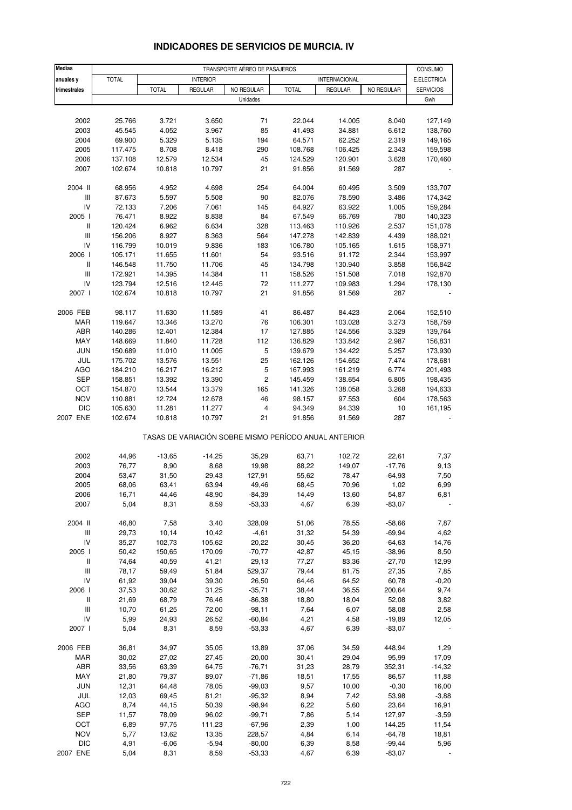| <b>Medias</b>                      | TRANSPORTE AÉREO DE PASAJEROS |                  |                  |                |                   |                                                       |                   |                        |
|------------------------------------|-------------------------------|------------------|------------------|----------------|-------------------|-------------------------------------------------------|-------------------|------------------------|
| anuales y                          | <b>TOTAL</b>                  |                  | <b>INTERIOR</b>  |                |                   | INTERNACIONAL                                         |                   | CONSUMO<br>E.ELECTRICA |
| trimestrales                       |                               | <b>TOTAL</b>     | <b>REGULAR</b>   | NO REGULAR     | <b>TOTAL</b>      | REGULAR                                               | NO REGULAR        | <b>SERVICIOS</b>       |
|                                    |                               |                  |                  | Unidades       |                   |                                                       |                   | Gwh                    |
|                                    |                               |                  |                  |                |                   |                                                       |                   |                        |
| 2002                               | 25.766                        | 3.721            | 3.650            | 71             | 22.044            | 14.005                                                | 8.040             | 127,149                |
| 2003                               | 45.545                        | 4.052            | 3.967            | 85             | 41.493            | 34.881                                                | 6.612             | 138,760                |
| 2004                               | 69.900                        | 5.329            | 5.135            | 194            | 64.571            | 62.252                                                | 2.319             | 149,165                |
| 2005                               | 117.475                       | 8.708            | 8.418            | 290            | 108.768           | 106.425                                               | 2.343             | 159,598                |
| 2006                               | 137.108                       | 12.579           | 12.534           | 45             | 124.529           | 120.901                                               | 3.628             | 170,460                |
| 2007                               | 102.674                       | 10.818           | 10.797           | 21             | 91.856            | 91.569                                                | 287               |                        |
| 2004 II                            | 68.956                        | 4.952            | 4.698            | 254            | 64.004            | 60.495                                                | 3.509             | 133,707                |
| Ш                                  | 87.673                        | 5.597            | 5.508            | 90             | 82.076            | 78.590                                                | 3.486             | 174,342                |
| ${\sf IV}$                         | 72.133                        | 7.206            | 7.061            | 145            | 64.927            | 63.922                                                | 1.005             | 159,284                |
| 2005 l                             | 76.471                        | 8.922            | 8.838            | 84             | 67.549            | 66.769                                                | 780               | 140,323                |
| $\, \parallel$                     | 120.424                       | 6.962            | 6.634            | 328            | 113.463           | 110.926                                               | 2.537             | 151,078                |
| $\ensuremath{\mathsf{III}}\xspace$ | 156.206                       | 8.927            | 8.363            | 564            | 147.278           | 142.839                                               | 4.439             | 188,021                |
| IV                                 | 116.799                       | 10.019           | 9.836            | 183            | 106.780           | 105.165                                               | 1.615             | 158,971                |
| 2006                               | 105.171                       | 11.655           | 11.601           | 54             | 93.516            | 91.172                                                | 2.344             | 153,997                |
| $\mathbf{II}$                      | 146.548                       | 11.750           | 11.706           | 45             | 134.798           | 130.940                                               | 3.858             | 156,842                |
| Ш<br>IV                            | 172.921                       | 14.395           | 14.384           | 11<br>72       | 158.526           | 151.508<br>109.983                                    | 7.018             | 192,870                |
| 2007 l                             | 123.794<br>102.674            | 12.516<br>10.818 | 12.445<br>10.797 | 21             | 111.277<br>91.856 | 91.569                                                | 1.294<br>287      | 178,130                |
|                                    |                               |                  |                  |                |                   |                                                       |                   |                        |
| 2006 FEB                           | 98.117                        | 11.630           | 11.589           | 41             | 86.487            | 84.423                                                | 2.064             | 152,510                |
| <b>MAR</b>                         | 119.647                       | 13.346           | 13.270           | 76             | 106.301           | 103.028                                               | 3.273             | 158,759                |
| ABR                                | 140.286                       | 12.401           | 12.384           | 17             | 127.885           | 124.556                                               | 3.329             | 139,764                |
| MAY                                | 148.669                       | 11.840           | 11.728           | 112            | 136.829           | 133.842                                               | 2.987             | 156,831                |
| <b>JUN</b>                         | 150.689                       | 11.010           | 11.005           | 5              | 139.679           | 134.422                                               | 5.257             | 173,930                |
| JUL                                | 175.702                       | 13.576           | 13.551           | 25             | 162.126           | 154.652                                               | 7.474             | 178,681                |
| <b>AGO</b>                         | 184.210                       | 16.217           | 16.212           | 5              | 167.993           | 161.219                                               | 6.774             | 201,493                |
| <b>SEP</b>                         | 158.851                       | 13.392           | 13.390           | $\mathbf 2$    | 145.459           | 138.654                                               | 6.805             | 198,435                |
| OCT                                | 154.870                       | 13.544           | 13.379           | 165            | 141.326           | 138.058                                               | 3.268             | 194,633                |
| <b>NOV</b>                         | 110.881                       | 12.724           | 12.678           | 46             | 98.157            | 97.553                                                | 604               | 178,563                |
| <b>DIC</b>                         | 105.630                       | 11.281           | 11.277           | 4              | 94.349            | 94.339                                                | 10                | 161,195                |
| 2007 ENE                           | 102.674                       | 10.818           | 10.797           | 21             | 91.856            | 91.569                                                | 287               |                        |
|                                    |                               |                  |                  |                |                   | TASAS DE VARIACIÓN SOBRE MISMO PERÍODO ANUAL ANTERIOR |                   |                        |
|                                    |                               |                  |                  |                |                   | 102,72                                                |                   |                        |
| 2002<br>2003                       | 44,96<br>76,77                | $-13,65$<br>8,90 | $-14,25$<br>8,68 | 35,29<br>19,98 | 63,71<br>88,22    | 149,07                                                | 22,61<br>$-17,76$ | 7,37<br>9,13           |
| 2004                               | 53,47                         | 31,50            | 29,43            | 127,91         | 55,62             | 78,47                                                 | $-64,93$          | 7,50                   |
| 2005                               | 68,06                         | 63,41            | 63,94            | 49,46          | 68,45             | 70,96                                                 | 1,02              | 6,99                   |
| 2006                               | 16,71                         | 44,46            | 48,90            | $-84,39$       | 14,49             | 13,60                                                 | 54,87             | 6,81                   |
| 2007                               | 5,04                          | 8,31             | 8,59             | $-53,33$       | 4,67              | 6,39                                                  | $-83,07$          |                        |
|                                    |                               |                  |                  |                |                   |                                                       |                   |                        |
| 2004 II                            | 46,80                         | 7,58             | 3,40             | 328,09         | 51,06             | 78,55                                                 | $-58,66$          | 7,87                   |
| $\ensuremath{\mathsf{III}}\xspace$ | 29,73                         | 10,14            | 10,42            | $-4,61$        | 31,32             | 54,39                                                 | $-69,94$          | 4,62                   |
| IV                                 | 35,27                         | 102,73           | 105,62           | 20,22          | 30,45             | 36,20                                                 | $-64,63$          | 14,76                  |
| 2005 l                             | 50,42                         | 150,65           | 170,09           | $-70,77$       | 42,87             | 45,15                                                 | $-38,96$          | 8,50                   |
| $\, \parallel$                     | 74,64                         | 40,59            | 41,21            | 29,13          | 77,27             | 83,36                                                 | $-27,70$          | 12,99                  |
| Ш                                  | 78,17                         | 59,49            | 51,84            | 529,37         | 79,44             | 81,75                                                 | 27,35             | 7,85                   |
| IV                                 | 61,92                         | 39,04            | 39,30            | 26,50          | 64,46             | 64,52                                                 | 60,78             | $-0,20$                |
| 2006 l                             | 37,53                         | 30,62            | 31,25            | $-35,71$       | 38,44             | 36,55                                                 | 200,64            | 9,74                   |
| $\ensuremath{\mathsf{II}}$         | 21,69                         | 68,79            | 76,46            | $-86,38$       | 18,80             | 18,04                                                 | 52,08             | 3,82                   |
| $\ensuremath{\mathsf{III}}\xspace$ | 10,70                         | 61,25            | 72,00            | $-98,11$       | 7,64              | 6,07                                                  | 58,08             | 2,58                   |
| IV                                 | 5,99                          | 24,93            | 26,52            | $-60,84$       | 4,21              | 4,58                                                  | $-19,89$          | 12,05                  |
| 2007 l                             | 5,04                          | 8,31             | 8,59             | $-53,33$       | 4,67              | 6,39                                                  | $-83,07$          |                        |
| 2006 FEB                           | 36,81                         | 34,97            | 35,05            | 13,89          | 37,06             | 34,59                                                 | 448,94            | 1,29                   |
| MAR                                | 30,02                         | 27,02            | 27,45            | $-20,00$       | 30,41             | 29,04                                                 | 95,99             | 17,09                  |
| ABR                                | 33,56                         | 63,39            | 64,75            | $-76,71$       | 31,23             | 28,79                                                 | 352,31            | $-14,32$               |
| MAY                                | 21,80                         | 79,37            | 89,07            | $-71,86$       | 18,51             | 17,55                                                 | 86,57             | 11,88                  |
| <b>JUN</b>                         | 12,31                         | 64,48            | 78,05            | $-99,03$       | 9,57              | 10,00                                                 | $-0,30$           | 16,00                  |
| JUL                                | 12,03                         | 69,45            | 81,21            | $-95,32$       | 8,94              | 7,42                                                  | 53,98             | $-3,88$                |
| AGO                                | 8,74                          | 44,15            | 50,39            | $-98,94$       | 6,22              | 5,60                                                  | 23,64             | 16,91                  |
| <b>SEP</b>                         | 11,57                         | 78,09            | 96,02            | $-99,71$       | 7,86              | 5,14                                                  | 127,97            | $-3,59$                |
| OCT                                | 6,89                          | 97,75            | 111,23           | $-67,96$       | 2,39              | 1,00                                                  | 144,25            | 11,54                  |
| <b>NOV</b>                         | 5,77                          | 13,62            | 13,35            | 228,57         | 4,84              | 6,14                                                  | $-64,78$          | 18,81                  |
| <b>DIC</b>                         | 4,91                          | $-6,06$          | $-5,94$          | $-80,00$       | 6,39              | 8,58                                                  | $-99,44$          | 5,96                   |
| 2007 ENE                           | 5,04                          | 8,31             | 8,59             | $-53,33$       | 4,67              | 6,39                                                  | $-83,07$          |                        |

#### **INDICADORES DE SERVICIOS DE MURCIA. IV**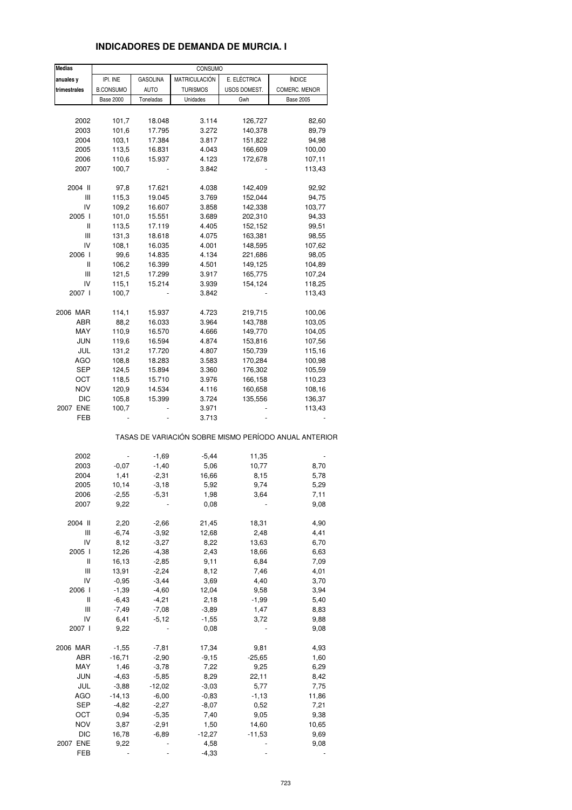# **INDICADORES DE DEMANDA DE MURCIA. I**

| <b>Medias</b> |                  |                 | CONSUMO         |              |                                                       |
|---------------|------------------|-----------------|-----------------|--------------|-------------------------------------------------------|
| anuales y     | IPI. INE         | <b>GASOLINA</b> | MATRICULACIÓN   | E. ELÉCTRICA | <b>ÍNDICE</b>                                         |
| trimestrales  | <b>B.CONSUMO</b> | <b>AUTO</b>     | <b>TURISMOS</b> | USOS DOMEST. | COMERC. MENOR                                         |
|               | <b>Base 2000</b> | Toneladas       | Unidades        | Gwh          | <b>Base 2005</b>                                      |
|               |                  |                 |                 |              |                                                       |
| 2002          | 101,7            |                 | 3.114           |              | 82,60                                                 |
|               |                  | 18.048          |                 | 126,727      |                                                       |
| 2003          | 101,6            | 17.795          | 3.272           | 140,378      | 89,79                                                 |
| 2004          | 103,1            | 17.384          | 3.817           | 151,822      | 94,98                                                 |
| 2005          | 113,5            | 16.831          | 4.043           | 166,609      | 100,00                                                |
| 2006          | 110,6            | 15.937          | 4.123           | 172,678      | 107,11                                                |
| 2007          | 100,7            |                 | 3.842           |              | 113,43                                                |
| 2004 II       | 97,8             | 17.621          | 4.038           | 142,409      | 92,92                                                 |
| Ш             | 115,3            | 19.045          | 3.769           | 152,044      | 94,75                                                 |
| IV            | 109,2            | 16.607          | 3.858           | 142,338      | 103,77                                                |
| 2005 l        | 101,0            | 15.551          | 3.689           | 202,310      | 94,33                                                 |
| Ш             |                  |                 |                 |              |                                                       |
|               | 113,5            | 17.119          | 4.405           | 152,152      | 99,51                                                 |
| Ш             | 131,3            | 18.618          | 4.075           | 163,381      | 98,55                                                 |
| IV            | 108,1            | 16.035          | 4.001           | 148,595      | 107,62                                                |
| 2006          | 99,6             | 14.835          | 4.134           | 221,686      | 98,05                                                 |
| Ш             | 106,2            | 16.399          | 4.501           | 149,125      | 104,89                                                |
| Ш             | 121,5            | 17.299          | 3.917           | 165,775      | 107,24                                                |
| IV            | 115,1            | 15.214          | 3.939           | 154,124      | 118,25                                                |
| 2007 l        | 100,7            |                 | 3.842           |              | 113,43                                                |
|               |                  |                 |                 |              |                                                       |
| 2006 MAR      | 114,1            | 15.937          | 4.723           | 219,715      | 100,06                                                |
| ABR           | 88,2             | 16.033          | 3.964           | 143,788      | 103,05                                                |
| MAY           | 110,9            | 16.570          | 4.666           | 149,770      | 104,05                                                |
| JUN           | 119,6            | 16.594          | 4.874           | 153,816      | 107,56                                                |
| JUL           | 131,2            | 17.720          | 4.807           | 150,739      | 115,16                                                |
| <b>AGO</b>    | 108,8            | 18.283          | 3.583           | 170,284      | 100,98                                                |
| <b>SEP</b>    | 124,5            | 15.894          | 3.360           | 176,302      | 105,59                                                |
| ОСТ           | 118,5            | 15.710          | 3.976           | 166,158      | 110,23                                                |
|               |                  |                 |                 |              |                                                       |
| <b>NOV</b>    | 120,9            | 14.534          | 4.116           | 160,658      | 108,16                                                |
| DIC           | 105,8            | 15.399          | 3.724           | 135,556      | 136,37                                                |
| 2007 ENE      | 100,7            |                 | 3.971           |              | 113,43                                                |
| FEB           |                  |                 | 3.713           |              |                                                       |
|               |                  |                 |                 |              | TASAS DE VARIACIÓN SOBRE MISMO PERÍODO ANUAL ANTERIOR |
| 2002          |                  | $-1,69$         | $-5,44$         | 11,35        |                                                       |
| 2003          | $-0.07$          | $-1,40$         | 5,06            | 10,77        | 8,70                                                  |
|               |                  |                 |                 |              |                                                       |
| 2004          | 1,41             | $-2,31$         | 16,66           | 8,15         | 5,78                                                  |
| 2005          | 10,14            | $-3,18$         | 5,92            | 9,74         | 5,29                                                  |
| 2006          | $-2,55$          | $-5,31$         | 1,98            | 3,64         | 7,11                                                  |
| 2007          | 9,22             |                 | 0,08            |              | 9,08                                                  |
| 2004 II       | 2,20             | $-2,66$         | 21,45           | 18,31        | 4,90                                                  |
| Ш             | $-6,74$          | $-3,92$         | 12,68           | 2,48         | 4,41                                                  |
| IV            | 8,12             | $-3,27$         | 8,22            | 13,63        | 6,70                                                  |
|               |                  |                 |                 |              |                                                       |
| 2005 l        | 12,26            | $-4,38$         | 2,43            | 18,66        | 6,63                                                  |
| Ш             | 16,13            | $-2,85$         | 9,11            | 6,84         | 7,09                                                  |
| Ш             | 13,91            | $-2,24$         | 8,12            | 7,46         | 4,01                                                  |
| IV            | $-0,95$          | $-3,44$         | 3,69            | 4,40         | 3,70                                                  |
| 2006 l        | $-1,39$          | $-4,60$         | 12,04           | 9,58         | 3,94                                                  |
| Ш             | $-6,43$          | $-4,21$         | 2,18            | $-1,99$      | 5,40                                                  |
| Ш             | $-7,49$          | $-7,08$         | $-3,89$         | 1,47         | 8,83                                                  |
| IV            | 6,41             | $-5,12$         | $-1,55$         | 3,72         | 9,88                                                  |
| 2007 l        | 9,22             |                 | 0,08            |              | 9,08                                                  |
|               |                  |                 |                 |              |                                                       |
| 2006 MAR      | $-1,55$          | $-7,81$         | 17,34           | 9,81         | 4,93                                                  |
| ABR           | $-16,71$         | $-2,90$         | $-9,15$         | $-25,65$     | 1,60                                                  |
| MAY           | 1,46             | $-3,78$         | 7,22            | 9,25         | 6,29                                                  |
| <b>JUN</b>    | $-4,63$          | $-5,85$         | 8,29            | 22,11        | 8,42                                                  |
| JUL           | $-3,88$          | $-12,02$        | $-3,03$         | 5,77         | 7,75                                                  |
| <b>AGO</b>    | $-14, 13$        | $-6,00$         | $-0,83$         |              |                                                       |
|               |                  |                 |                 | $-1,13$      | 11,86                                                 |
| SEP           | $-4,82$          | $-2,27$         | $-8,07$         | 0,52         | 7,21                                                  |
| OCT           | 0,94             | $-5,35$         | 7,40            | 9,05         | 9,38                                                  |
| <b>NOV</b>    | 3,87             | $-2,91$         | 1,50            | 14,60        | 10,65                                                 |
| <b>DIC</b>    | 16,78            | $-6,89$         | $-12,27$        | $-11,53$     | 9,69                                                  |
| 2007 ENE      | 9,22             |                 | 4,58            |              | 9,08                                                  |
| FEB           |                  |                 | $-4,33$         |              |                                                       |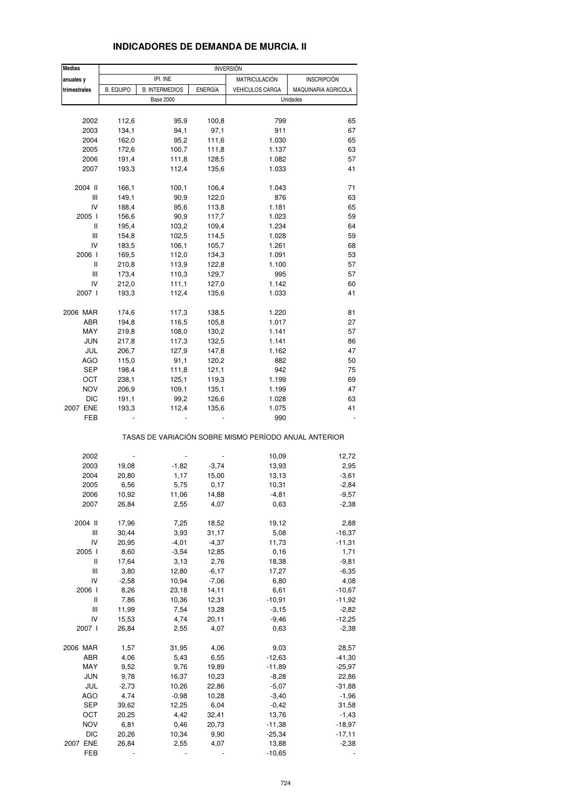| <b>Medias</b> |                  |                       |                | <b>INVERSIÓN</b>                                      |                     |
|---------------|------------------|-----------------------|----------------|-------------------------------------------------------|---------------------|
| anuales y     |                  | IPI. INE              |                | <b>MATRICULACIÓN</b>                                  | <b>INSCRIPCIÓN</b>  |
| trimestrales  | <b>B. EQUIPO</b> | <b>B. INTERMEDIOS</b> | <b>ENERGÍA</b> | <b>VEHÍCULOS CARGA</b>                                | MAQUINARIA AGRICOLA |
|               |                  | <b>Base 2000</b>      |                |                                                       | Unidades            |
|               |                  |                       |                |                                                       |                     |
| 2002          | 112,6            | 95,9                  | 100,8          | 799                                                   | 65                  |
| 2003          | 134,1            | 94,1                  | 97,1           | 911                                                   | 67                  |
| 2004          | 162,0            | 95,2                  | 111,6          | 1.030                                                 | 65                  |
|               |                  |                       |                |                                                       |                     |
| 2005          | 172,6            | 100,7                 | 111,8          | 1.137                                                 | 63                  |
| 2006          | 191,4            | 111,8                 | 128,5          | 1.082                                                 | 57                  |
| 2007          | 193,3            | 112,4                 | 135,6          | 1.033                                                 | 41                  |
| 2004 II       | 166,1            | 100,1                 | 106,4          | 1.043                                                 | 71                  |
| Ш             | 149,1            | 90,9                  | 122,0          | 876                                                   | 63                  |
| IV            | 188,4            | 95,6                  | 113,8          | 1.181                                                 | 65                  |
|               |                  |                       |                |                                                       |                     |
| 2005 l        | 156,6            | 90,9                  | 117,7          | 1.023                                                 | 59                  |
| Ш             | 195,4            | 103,2                 | 109,4          | 1.234                                                 | 64                  |
| Ш             | 154,8            | 102,5                 | 114,5          | 1.028                                                 | 59                  |
| IV            | 183,5            | 106,1                 | 105,7          | 1.261                                                 | 68                  |
| 2006 l        | 169,5            | 112,0                 | 134,3          | 1.091                                                 | 53                  |
| Ш             | 210,8            | 113,9                 | 122,8          | 1.100                                                 | 57                  |
| Ш             |                  |                       |                |                                                       |                     |
|               | 173,4            | 110,3                 | 129,7          | 995                                                   | 57                  |
| IV            | 212,0            | 111,1                 | 127,0          | 1.142                                                 | 60                  |
| 2007 l        | 193,3            | 112,4                 | 135,6          | 1.033                                                 | 41                  |
| 2006 MAR      | 174,6            | 117,3                 | 138,5          | 1.220                                                 | 81                  |
| ABR           | 194,8            | 116,5                 | 105,8          | 1.017                                                 | 27                  |
| MAY           | 219,8            | 108,0                 | 130,2          | 1.141                                                 | 57                  |
|               |                  |                       |                |                                                       |                     |
| <b>JUN</b>    | 217,8            | 117,3                 | 132,5          | 1.141                                                 | 86                  |
| JUL           | 206,7            | 127,9                 | 147,8          | 1.162                                                 | 47                  |
| <b>AGO</b>    | 115,0            | 91,1                  | 120,2          | 882                                                   | 50                  |
| SEP           | 198,4            | 111,8                 | 121,1          | 942                                                   | 75                  |
| OCT           | 238,1            | 125,1                 | 119,3          | 1.199                                                 | 69                  |
| <b>NOV</b>    | 206,9            |                       |                | 1.199                                                 | 47                  |
|               |                  | 109,1                 | 135,1          |                                                       |                     |
| <b>DIC</b>    | 191,1            | 99,2                  | 126,6          | 1.028                                                 | 63                  |
| 2007 ENE      | 193,3            | 112,4                 | 135,6          | 1.075                                                 | 41                  |
| FEB           |                  |                       |                | 990                                                   |                     |
|               |                  |                       |                | TASAS DE VARIACIÓN SOBRE MISMO PERÍODO ANUAL ANTERIOR |                     |
| 2002          |                  |                       |                | 10,09                                                 | 12,72               |
|               |                  | $-1,82$               |                | 13,93                                                 |                     |
| 2003          | 19,08            |                       | $-3,74$        |                                                       | 2,95                |
| 2004          | 20,80            | 1,17                  | 15,00          | 13,13                                                 | $-3,61$             |
| 2005          | 6,56             | 5,75                  | 0,17           | 10,31                                                 | $-2,84$             |
| 2006          | 10,92            | 11,06                 | 14,88          | $-4,81$                                               | $-9,57$             |
| 2007          | 26,84            | 2,55                  | 4,07           | 0,63                                                  | $-2,38$             |
| 2004 II       | 17,96            | 7,25                  | 18,52          | 19,12                                                 | 2,88                |
| Ш             | 30,44            | 3,93                  | 31,17          | 5,08                                                  | $-16,37$            |
|               |                  |                       |                |                                                       |                     |
| IV            | 20,95            | $-4,01$               | $-4,37$        | 11,73                                                 | $-11,31$            |
| 2005 l        | 8,60             | $-3,54$               | 12,85          | 0,16                                                  | 1,71                |
| Ш             | 17,64            | 3,13                  | 2,76           | 18,38                                                 | $-9,81$             |
| Ш             | 3,80             | 12,80                 | $-6,17$        | 17,27                                                 | $-6,35$             |
| IV            | $-2,58$          | 10,94                 | $-7,06$        | 6,80                                                  | 4,08                |
| 2006          | 8,26             | 23,18                 | 14,11          | 6,61                                                  | $-10,67$            |
|               |                  |                       |                |                                                       |                     |
| Ш             | 7,86             | 10,36                 | 12,31          | $-10,91$                                              | $-11,92$            |
| Ш             | 11,99            | 7,54                  | 13,28          | $-3,15$                                               | $-2,82$             |
| IV            | 15,53            | 4,74                  | 20,11          | $-9,46$                                               | $-12,25$            |
| 2007 l        | 26,84            | 2,55                  | 4,07           | 0,63                                                  | $-2,38$             |
| 2006 MAR      | 1,57             | 31,95                 | 4,06           | 9,03                                                  | 28,57               |
|               | 4,06             |                       | 6,55           | $-12,63$                                              | $-41,30$            |
| ABR           |                  | 5,43                  |                |                                                       |                     |
| MAY           | 9,52             | 9,76                  | 19,89          | $-11,89$                                              | $-25,97$            |
| <b>JUN</b>    | 9,78             | 16,37                 | 10,23          | $-8,28$                                               | 22,86               |
| JUL           | $-2,73$          | 10,26                 | 22,86          | $-5,07$                                               | $-31,88$            |
| AGO           | 4,74             | $-0,98$               | 10,28          | $-3,40$                                               | $-1,96$             |
| <b>SEP</b>    | 39,62            | 12,25                 | 6,04           | $-0,42$                                               | 31,58               |
|               |                  |                       |                |                                                       |                     |
| OCT           | 20,25            | 4,42                  | 32,41          | 13,76                                                 | $-1,43$             |
| <b>NOV</b>    | 6,81             | 0,46                  | 20,73          | $-11,38$                                              | $-18,97$            |
| DIC           | 20,26            | 10,34                 | 9,90           | $-25,34$                                              | $-17,11$            |
| 2007 ENE      | 26,84            | 2,55                  | 4,07           | 13,88                                                 | $-2,38$             |
| FEB           |                  |                       |                | $-10,65$                                              |                     |
|               |                  |                       |                |                                                       |                     |

## **INDICADORES DE DEMANDA DE MURCIA. II**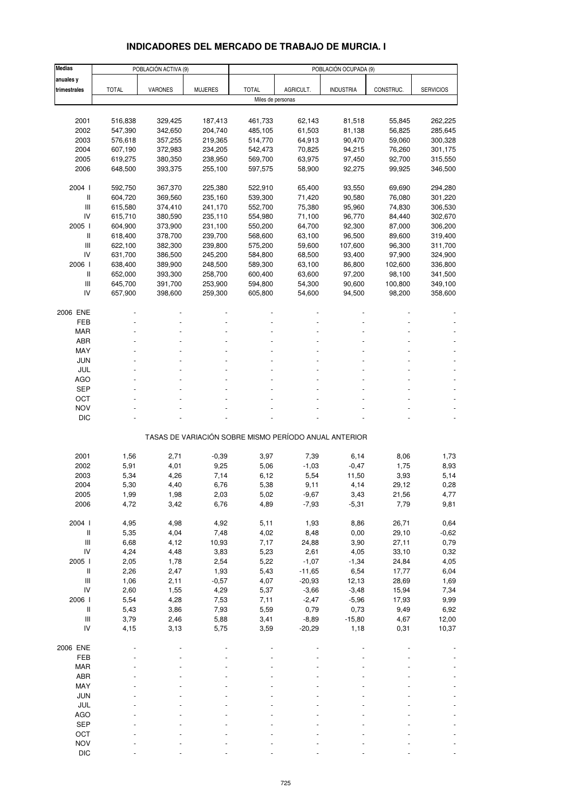# **INDICADORES DEL MERCADO DE TRABAJO DE MURCIA. I**

| <b>Medias</b>                      |              | POBLACIÓN ACTIVA (9) |                |                   |           | POBLACIÓN OCUPADA (9)                                 |           |                  |
|------------------------------------|--------------|----------------------|----------------|-------------------|-----------|-------------------------------------------------------|-----------|------------------|
| anuales y                          |              |                      |                |                   |           |                                                       |           |                  |
| trimestrales                       | <b>TOTAL</b> | <b>VARONES</b>       | <b>MUJERES</b> | <b>TOTAL</b>      | AGRICULT. | <b>INDUSTRIA</b>                                      | CONSTRUC. | <b>SERVICIOS</b> |
|                                    |              |                      |                | Miles de personas |           |                                                       |           |                  |
|                                    |              |                      |                |                   |           |                                                       |           |                  |
| 2001                               | 516,838      | 329,425              | 187,413        | 461,733           | 62,143    | 81,518                                                | 55,845    | 262,225          |
| 2002                               | 547,390      | 342,650              | 204,740        | 485,105           | 61,503    | 81,138                                                | 56,825    | 285,645          |
| 2003                               | 576,618      | 357,255              | 219,365        | 514,770           | 64,913    | 90,470                                                | 59,060    | 300,328          |
| 2004                               | 607,190      | 372,983              | 234,205        | 542,473           | 70,825    | 94,215                                                | 76,260    | 301,175          |
| 2005                               | 619,275      | 380,350              | 238,950        | 569,700           | 63,975    | 97,450                                                | 92,700    | 315,550          |
| 2006                               | 648,500      | 393,375              | 255,100        | 597,575           | 58,900    | 92,275                                                | 99,925    | 346,500          |
| 2004 l                             | 592,750      | 367,370              | 225,380        | 522,910           | 65,400    | 93,550                                                | 69,690    | 294,280          |
| $\mathsf{I}$                       | 604,720      | 369,560              | 235,160        | 539,300           | 71,420    | 90,580                                                | 76,080    | 301,220          |
| $\mathsf{III}$                     | 615,580      | 374,410              | 241,170        | 552,700           | 75,380    | 95,960                                                | 74,830    | 306,530          |
| IV                                 | 615,710      | 380,590              | 235,110        | 554,980           | 71,100    | 96,770                                                | 84,440    | 302,670          |
| 2005 l                             | 604,900      | 373,900              | 231,100        | 550,200           | 64,700    | 92,300                                                | 87,000    | 306,200          |
| $\mathsf{I}$                       | 618,400      | 378,700              | 239,700        | 568,600           | 63,100    | 96,500                                                | 89,600    | 319,400          |
| III                                | 622,100      | 382,300              | 239,800        | 575,200           | 59,600    | 107,600                                               | 96,300    | 311,700          |
| IV                                 | 631,700      | 386,500              | 245,200        | 584,800           | 68,500    | 93,400                                                | 97,900    | 324,900          |
| 2006                               | 638,400      | 389,900              | 248,500        | 589,300           | 63,100    | 86,800                                                | 102,600   | 336,800          |
| $\mathsf{I}$                       | 652,000      | 393,300              | 258,700        | 600,400           | 63,600    | 97,200                                                | 98,100    | 341,500          |
| III                                | 645,700      | 391,700              | 253,900        | 594,800           | 54,300    | 90,600                                                | 100,800   | 349,100          |
| IV                                 | 657,900      | 398,600              | 259,300        | 605,800           | 54,600    | 94,500                                                | 98,200    | 358,600          |
| 2006 ENE                           |              |                      |                |                   |           |                                                       |           |                  |
| FEB                                |              |                      |                |                   |           |                                                       |           |                  |
| <b>MAR</b>                         |              |                      |                |                   |           |                                                       |           |                  |
| <b>ABR</b>                         |              |                      |                |                   |           |                                                       |           |                  |
| MAY                                |              |                      |                |                   |           |                                                       |           |                  |
| <b>JUN</b>                         |              |                      |                |                   |           |                                                       |           |                  |
| JUL                                |              |                      |                |                   |           |                                                       |           |                  |
| AGO                                |              |                      |                |                   |           |                                                       |           |                  |
| <b>SEP</b>                         |              |                      |                |                   |           |                                                       |           |                  |
| OCT                                |              |                      |                |                   |           |                                                       |           |                  |
| <b>NOV</b>                         |              |                      |                |                   |           |                                                       |           |                  |
| <b>DIC</b>                         |              |                      |                |                   |           |                                                       |           |                  |
|                                    |              |                      |                |                   |           | TASAS DE VARIACIÓN SOBRE MISMO PERÍODO ANUAL ANTERIOR |           |                  |
| 2001                               | 1,56         | 2,71                 | $-0,39$        | 3,97              | 7,39      | 6,14                                                  | 8,06      | 1,73             |
| 2002                               | 5,91         | 4,01                 | 9,25           | 5,06              | $-1,03$   | $-0,47$                                               | 1,75      | 8,93             |
| 2003                               | 5,34         | 4,26                 | 7,14           | 6,12              | 5,54      | 11,50                                                 | 3,93      | 5,14             |
| 2004                               | 5,30         | 4,40                 | 6,76           | 5,38              | 9,11      | 4,14                                                  | 29,12     | 0,28             |
| 2005                               | 1,99         | 1,98                 | 2,03           | 5,02              | -9,67     | 3,43                                                  | 21,56     | 4,77             |
| 2006                               | 4,72         | 3,42                 | 6,76           | 4,89              | $-7,93$   | $-5,31$                                               | 7,79      | 9,81             |
|                                    |              |                      |                |                   |           |                                                       |           |                  |
| 2004 l                             | 4,95         | 4,98                 | 4,92           | 5,11              | 1,93      | 8,86                                                  | 26,71     | 0,64             |
| $\, \parallel$                     | 5,35         | 4,04                 | 7,48           | 4,02              | 8,48      | 0,00                                                  | 29,10     | $-0,62$          |
| $\ensuremath{\mathsf{III}}\xspace$ | 6,68         | 4,12                 | 10,93          | 7,17              | 24,88     | 3,90                                                  | 27,11     | 0,79             |
| ${\sf IV}$                         | 4,24         | 4,48                 | 3,83           | 5,23              | 2,61      | 4,05                                                  | 33,10     | 0,32             |
| 2005 l                             | 2,05         | 1,78                 | 2,54           | 5,22              | $-1,07$   | $-1,34$                                               | 24,84     | 4,05             |
| $\, \parallel$                     | 2,26         | 2,47                 | 1,93           | 5,43              | $-11,65$  | 6,54                                                  | 17,77     | 6,04             |
| $\ensuremath{\mathsf{III}}\xspace$ | 1,06         | 2,11                 | $-0,57$        | 4,07              | $-20,93$  | 12,13                                                 | 28,69     | 1,69             |
| IV                                 | 2,60         | 1,55                 | 4,29           | 5,37              | $-3,66$   | $-3,48$                                               | 15,94     | 7,34             |
| 2006                               | 5,54         | 4,28                 | 7,53           | 7,11              | $-2,47$   | $-5,96$                                               | 17,93     | 9,99             |
| $\, \parallel$                     | 5,43         | 3,86                 | 7,93           | 5,59              | 0,79      | 0,73                                                  | 9,49      | 6,92             |
| $\ensuremath{\mathsf{III}}\xspace$ | 3,79         | 2,46                 | 5,88           | 3,41              | $-8,89$   | $-15,80$                                              | 4,67      | 12,00            |
| IV                                 | 4,15         | 3,13                 | 5,75           | 3,59              | $-20,29$  | 1,18                                                  | 0,31      | 10,37            |
| 2006 ENE                           |              |                      |                |                   |           |                                                       |           |                  |
| FEB                                |              |                      |                |                   |           |                                                       |           |                  |
| MAR                                |              |                      |                |                   |           |                                                       |           |                  |
| ABR                                |              |                      |                |                   |           |                                                       |           |                  |
| MAY                                |              |                      |                |                   |           |                                                       |           |                  |
| <b>JUN</b>                         |              |                      |                |                   |           |                                                       |           |                  |
| JUL                                |              |                      |                |                   |           |                                                       |           |                  |
| <b>AGO</b>                         |              |                      |                |                   |           |                                                       |           |                  |
| <b>SEP</b>                         |              |                      |                |                   |           |                                                       |           |                  |
| OCT                                |              |                      |                |                   |           |                                                       |           |                  |
| <b>NOV</b>                         |              |                      |                |                   |           |                                                       |           |                  |
| <b>DIC</b>                         |              |                      |                |                   |           |                                                       |           |                  |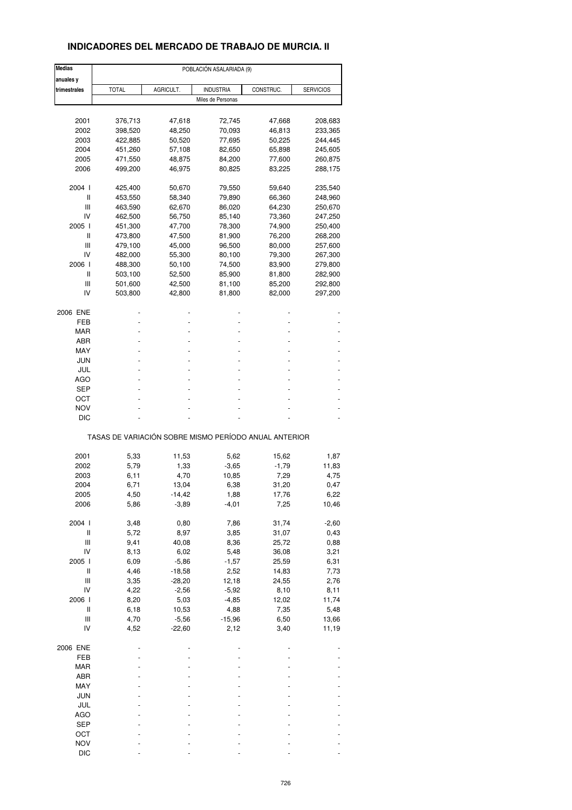## **INDICADORES DEL MERCADO DE TRABAJO DE MURCIA. II**

| <b>Medias</b>                      | POBLACIÓN ASALARIADA (9) |           |                   |                                                       |                  |  |  |
|------------------------------------|--------------------------|-----------|-------------------|-------------------------------------------------------|------------------|--|--|
| anuales y                          |                          |           |                   |                                                       |                  |  |  |
| trimestrales                       | <b>TOTAL</b>             | AGRICULT. | <b>INDUSTRIA</b>  | CONSTRUC.                                             | <b>SERVICIOS</b> |  |  |
|                                    |                          |           | Miles de Personas |                                                       |                  |  |  |
|                                    |                          |           |                   |                                                       |                  |  |  |
| 2001                               | 376,713                  | 47,618    | 72,745            | 47,668                                                | 208,683          |  |  |
| 2002                               | 398,520                  | 48,250    | 70,093            | 46,813                                                | 233,365          |  |  |
| 2003                               | 422,885                  | 50,520    | 77,695            | 50,225                                                | 244,445          |  |  |
|                                    |                          |           |                   |                                                       |                  |  |  |
| 2004                               | 451,260                  | 57,108    | 82,650            | 65,898                                                | 245,605          |  |  |
| 2005                               | 471,550                  | 48,875    | 84,200            | 77,600                                                | 260,875          |  |  |
| 2006                               | 499,200                  | 46,975    | 80,825            | 83,225                                                | 288,175          |  |  |
| 2004 l                             | 425,400                  | 50,670    | 79,550            | 59,640                                                | 235,540          |  |  |
| Ш                                  | 453,550                  | 58,340    | 79,890            | 66,360                                                | 248,960          |  |  |
|                                    |                          |           |                   |                                                       |                  |  |  |
| Ш                                  | 463,590                  | 62,670    | 86,020            | 64,230                                                | 250,670          |  |  |
| IV                                 | 462,500                  | 56,750    | 85,140            | 73,360                                                | 247,250          |  |  |
| 2005 l                             | 451,300                  | 47,700    | 78,300            | 74,900                                                | 250,400          |  |  |
| Ш                                  | 473,800                  | 47,500    | 81,900            | 76,200                                                | 268,200          |  |  |
| Ш                                  | 479,100                  | 45,000    | 96,500            | 80,000                                                | 257,600          |  |  |
|                                    |                          |           |                   |                                                       |                  |  |  |
| IV                                 | 482,000                  | 55,300    | 80,100            | 79,300                                                | 267,300          |  |  |
| 2006                               | 488,300                  | 50,100    | 74,500            | 83,900                                                | 279,800          |  |  |
| Ш                                  | 503,100                  | 52,500    | 85,900            | 81,800                                                | 282,900          |  |  |
| Ш                                  | 501,600                  | 42,500    | 81,100            | 85,200                                                | 292,800          |  |  |
| IV                                 | 503,800                  | 42,800    | 81,800            | 82,000                                                | 297,200          |  |  |
|                                    |                          |           |                   |                                                       |                  |  |  |
| 2006 ENE                           |                          |           |                   |                                                       |                  |  |  |
| FEB                                |                          |           |                   |                                                       |                  |  |  |
| MAR                                |                          |           |                   |                                                       |                  |  |  |
| ABR                                |                          |           |                   |                                                       |                  |  |  |
| MAY                                |                          |           |                   |                                                       |                  |  |  |
|                                    |                          |           |                   |                                                       |                  |  |  |
| JUN                                |                          |           |                   |                                                       |                  |  |  |
| JUL                                |                          |           |                   |                                                       |                  |  |  |
| AGO                                |                          |           |                   |                                                       |                  |  |  |
| SEP                                |                          |           |                   |                                                       |                  |  |  |
|                                    |                          |           |                   |                                                       |                  |  |  |
| OCT                                |                          |           |                   |                                                       |                  |  |  |
| <b>NOV</b>                         |                          |           |                   |                                                       |                  |  |  |
| DIC                                |                          |           |                   |                                                       |                  |  |  |
|                                    |                          |           |                   | TASAS DE VARIACIÓN SOBRE MISMO PERÍODO ANUAL ANTERIOR |                  |  |  |
|                                    |                          |           |                   |                                                       |                  |  |  |
| 2001                               | 5,33                     | 11,53     | 5,62              | 15,62                                                 | 1,87             |  |  |
| 2002                               | 5,79                     | 1,33      | $-3,65$           | $-1,79$                                               | 11,83            |  |  |
| 2003                               | 6,11                     | 4,70      | 10,85             | 7,29                                                  | 4,75             |  |  |
| 2004                               | 6,71                     | 13,04     | 6,38              | 31,20                                                 | 0,47             |  |  |
|                                    |                          |           |                   |                                                       |                  |  |  |
| 2005                               | 4,50                     | -14,42    | 1,88              | 17,76                                                 | 6,22             |  |  |
| 2006                               | 5,86                     | $-3,89$   | $-4,01$           | 7,25                                                  | 10,46            |  |  |
| 2004 l                             | 3,48                     | 0,80      | 7,86              | 31,74                                                 | $-2,60$          |  |  |
| $\sf II$                           | 5,72                     | 8,97      | 3,85              | 31,07                                                 |                  |  |  |
|                                    |                          |           |                   |                                                       | 0,43             |  |  |
| $\ensuremath{\mathsf{III}}\xspace$ | 9,41                     | 40,08     | 8,36              | 25,72                                                 | 0,88             |  |  |
| IV                                 | 8,13                     | 6,02      | 5,48              | 36,08                                                 | 3,21             |  |  |
| 2005 l                             | 6,09                     | $-5,86$   | $-1,57$           | 25,59                                                 | 6,31             |  |  |
| $\sf II$                           | 4,46                     | $-18,58$  | 2,52              | 14,83                                                 | 7,73             |  |  |
|                                    |                          |           |                   |                                                       |                  |  |  |
| Ш                                  | 3,35                     | $-28,20$  | 12,18             | 24,55                                                 | 2,76             |  |  |
| IV                                 | 4,22                     | $-2,56$   | $-5,92$           | 8,10                                                  | 8,11             |  |  |
| 2006                               | 8,20                     | 5,03      | $-4,85$           | 12,02                                                 | 11,74            |  |  |
| Ш                                  | 6, 18                    | 10,53     | 4,88              | 7,35                                                  | 5,48             |  |  |
| Ш                                  | 4,70                     | $-5,56$   | $-15,96$          | 6,50                                                  | 13,66            |  |  |
|                                    |                          |           |                   |                                                       |                  |  |  |
| IV                                 | 4,52                     | $-22,60$  | 2,12              | 3,40                                                  | 11,19            |  |  |
| 2006 ENE                           |                          |           |                   |                                                       |                  |  |  |
| FEB                                |                          |           |                   |                                                       |                  |  |  |
|                                    |                          |           |                   |                                                       |                  |  |  |
| MAR                                |                          |           |                   |                                                       |                  |  |  |
| ABR                                |                          |           |                   |                                                       |                  |  |  |
| MAY                                |                          |           |                   |                                                       |                  |  |  |
| <b>JUN</b>                         |                          |           |                   |                                                       |                  |  |  |
| JUL                                |                          |           |                   |                                                       |                  |  |  |
|                                    |                          |           |                   |                                                       |                  |  |  |
| AGO                                |                          |           |                   |                                                       |                  |  |  |
| <b>SEP</b>                         |                          |           |                   |                                                       |                  |  |  |
| OCT                                |                          |           |                   |                                                       |                  |  |  |
| <b>NOV</b>                         |                          |           |                   |                                                       |                  |  |  |
| <b>DIC</b>                         |                          |           |                   |                                                       |                  |  |  |
|                                    |                          |           |                   |                                                       |                  |  |  |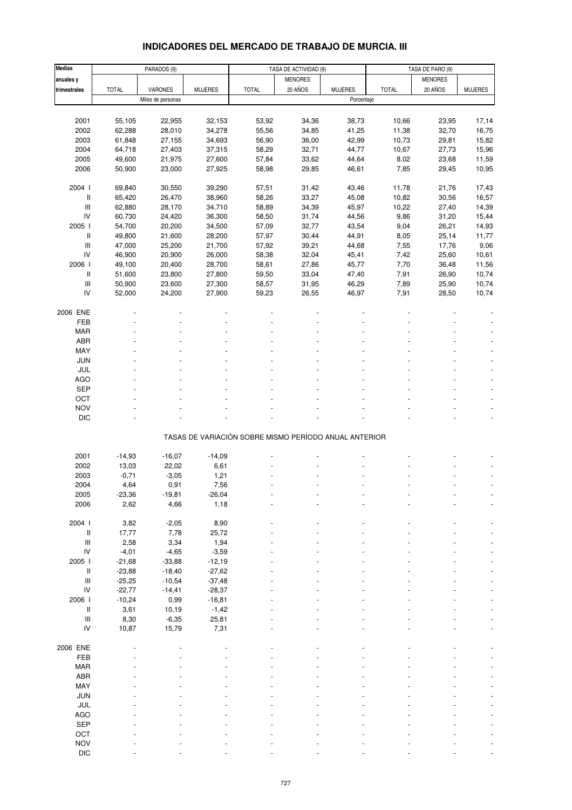# **INDICADORES DEL MERCADO DE TRABAJO DE MURCIA. III**

| <b>Medias</b>                            |              | PARADOS (9)       |                |                                                       | TASA DE ACTIVIDAD (9) |                | TASA DE PARO (9) |                |                |
|------------------------------------------|--------------|-------------------|----------------|-------------------------------------------------------|-----------------------|----------------|------------------|----------------|----------------|
| anuales y                                |              |                   |                |                                                       | <b>MENORES</b>        |                |                  | <b>MENORES</b> |                |
| trimestrales                             | <b>TOTAL</b> | VARONES           | <b>MUJERES</b> | <b>TOTAL</b>                                          | 20 AÑOS               | <b>MUJERES</b> | <b>TOTAL</b>     | 20 AÑOS        | <b>MUJERES</b> |
|                                          |              | Miles de personas |                |                                                       |                       | Porcentaje     |                  |                |                |
|                                          |              |                   |                |                                                       |                       |                |                  |                |                |
|                                          |              |                   |                |                                                       |                       |                |                  |                |                |
| 2001                                     | 55,105       | 22,955            | 32,153         | 53,92                                                 | 34,36                 | 38,73          | 10,66            | 23,95          | 17,14          |
| 2002                                     | 62,288       | 28,010            | 34,278         | 55,56                                                 | 34,85                 | 41,25          | 11,38            | 32,70          | 16,75          |
| 2003                                     | 61,848       | 27,155            | 34,693         | 56,90                                                 | 36,00                 | 42,99          | 10,73            | 29,81          | 15,82          |
| 2004                                     | 64,718       | 27,403            | 37,315         | 58,29                                                 | 32,71                 | 44,77          | 10,67            | 27,73          | 15,96          |
| 2005                                     | 49,600       | 21,975            | 27,600         | 57,84                                                 | 33,62                 | 44,64          | 8,02             | 23,68          | 11,59          |
| 2006                                     | 50,900       | 23,000            | 27,925         | 58,98                                                 | 29,85                 | 46,61          | 7,85             | 29,45          | 10,95          |
|                                          |              |                   |                |                                                       |                       |                |                  |                |                |
| 2004 l                                   | 69,840       | 30,550            | 39,290         | 57,51                                                 | 31,42                 | 43,46          | 11,78            | 21,76          | 17,43          |
| II                                       | 65,420       | 26,470            | 38,960         | 58,26                                                 | 33,27                 | 45,08          | 10,82            | 30,56          | 16,57          |
| $\mathsf{III}$                           | 62,880       | 28,170            | 34,710         | 58,89                                                 | 34,39                 | 45,97          | 10,22            | 27,40          | 14,39          |
| IV                                       | 60,730       | 24,420            | 36,300         | 58,50                                                 | 31,74                 | 44,56          | 9,86             | 31,20          | 15,44          |
| 2005 l                                   | 54,700       | 20,200            | 34,500         | 57,09                                                 | 32,77                 | 43,54          | 9,04             | 26,21          | 14,93          |
| Ш                                        | 49,800       | 21,600            | 28,200         | 57,97                                                 | 30,44                 | 44,91          | 8,05             | 25,14          | 11,77          |
| $\ensuremath{\mathsf{III}}\xspace$       | 47,000       | 25,200            | 21,700         | 57,92                                                 | 39,21                 | 44,68          | 7,55             | 17,76          | 9,06           |
| IV                                       | 46,900       | 20,900            | 26,000         | 58,38                                                 | 32,04                 | 45,41          | 7,42             | 25,60          | 10,61          |
| 2006                                     | 49,100       | 20,400            | 28,700         | 58,61                                                 | 27,86                 | 45,77          | 7,70             | 36,48          | 11,56          |
| II                                       | 51,600       | 23,800            | 27,800         | 59,50                                                 | 33,04                 | 47,40          | 7,91             | 26,90          | 10,74          |
| $\ensuremath{\mathsf{III}}\xspace$       | 50,900       | 23,600            | 27,300         | 58,57                                                 | 31,95                 | 46,29          | 7,89             | 25,90          | 10,74          |
| IV                                       |              |                   | 27,900         |                                                       |                       |                |                  |                |                |
|                                          | 52,000       | 24,200            |                | 59,23                                                 | 26,55                 | 46,97          | 7,91             | 28,50          | 10,74          |
|                                          |              |                   |                |                                                       |                       |                |                  |                |                |
| 2006 ENE                                 |              |                   |                |                                                       |                       |                |                  |                |                |
| FEB                                      |              |                   |                |                                                       |                       |                |                  |                |                |
| MAR                                      |              |                   |                |                                                       |                       |                |                  |                |                |
| ABR                                      |              |                   |                |                                                       |                       |                |                  |                |                |
| MAY                                      |              |                   |                |                                                       |                       |                |                  |                |                |
| <b>JUN</b>                               |              |                   |                |                                                       |                       |                |                  |                |                |
| JUL                                      |              |                   |                |                                                       |                       |                |                  |                |                |
| <b>AGO</b>                               |              |                   |                |                                                       |                       |                |                  |                |                |
| SEP                                      |              |                   |                |                                                       |                       |                |                  |                |                |
| OCT                                      |              |                   |                |                                                       |                       |                |                  |                |                |
| <b>NOV</b>                               |              |                   |                |                                                       |                       |                |                  |                |                |
| DIC                                      |              |                   |                |                                                       |                       |                |                  |                |                |
|                                          |              |                   |                |                                                       |                       |                |                  |                |                |
|                                          |              |                   |                | TASAS DE VARIACIÓN SOBRE MISMO PERÍODO ANUAL ANTERIOR |                       |                |                  |                |                |
|                                          |              |                   |                |                                                       |                       |                |                  |                |                |
| 2001                                     | $-14,93$     | $-16,07$          | $-14,09$       |                                                       |                       |                |                  |                |                |
| 2002                                     | 13,03        | 22,02             | 6,61           |                                                       |                       |                |                  |                |                |
| 2003                                     | $-0,71$      | $-3,05$           | 1,21           |                                                       |                       |                |                  |                |                |
| 2004                                     | 4,64         | 0,91              | 7,56           |                                                       |                       |                |                  |                |                |
| 2005                                     | -23,36       | -19,81            | -26,04         |                                                       |                       |                |                  |                |                |
| 2006                                     | 2,62         | 4,66              | 1,18           |                                                       |                       |                |                  |                |                |
|                                          |              |                   |                |                                                       |                       |                |                  |                |                |
| 2004 l                                   | 3,82         | $-2,05$           | 8,90           |                                                       |                       |                |                  |                |                |
| Ш                                        | 17,77        | 7,78              | 25,72          |                                                       |                       |                |                  |                |                |
| $\ensuremath{\mathsf{III}}\xspace$       |              |                   |                |                                                       |                       |                |                  |                |                |
| ${\sf IV}$                               | 2,58         | 3,34              | 1,94           |                                                       |                       |                |                  |                |                |
|                                          | $-4,01$      | $-4,65$           | $-3,59$        |                                                       |                       |                |                  |                |                |
| 2005                                     | $-21,68$     | $-33,88$          | $-12,19$       |                                                       |                       |                |                  |                |                |
| II                                       | $-23,88$     | $-18,40$          | $-27,62$       |                                                       |                       |                |                  |                |                |
| $\ensuremath{\mathsf{III}}\xspace$<br>IV | $-25,25$     | $-10,54$          | $-37,48$       |                                                       |                       |                |                  |                |                |
|                                          | $-22,77$     | $-14,41$          | $-28,37$       |                                                       |                       |                |                  |                |                |
| 2006                                     | $-10,24$     | 0,99              | $-16,81$       |                                                       |                       |                |                  |                |                |
| $\, \parallel$                           | 3,61         | 10,19             | $-1,42$        |                                                       |                       |                |                  |                |                |
| $\ensuremath{\mathsf{III}}\xspace$       | 8,30         | $-6,35$           | 25,81          |                                                       |                       |                |                  |                |                |
| IV                                       | 10,87        | 15,79             | 7,31           |                                                       |                       |                |                  |                |                |
|                                          |              |                   |                |                                                       |                       |                |                  |                |                |
| 2006 ENE                                 |              |                   |                |                                                       |                       |                |                  |                |                |
| FEB                                      |              |                   |                |                                                       |                       |                |                  |                |                |
| <b>MAR</b>                               |              |                   |                |                                                       |                       |                |                  |                |                |
| ABR                                      |              |                   |                |                                                       |                       |                |                  |                |                |
| MAY                                      |              |                   |                |                                                       |                       |                |                  |                |                |
| JUN                                      |              |                   |                |                                                       |                       |                |                  |                |                |
| JUL                                      |              |                   |                |                                                       |                       |                |                  |                |                |
| AGO                                      |              |                   |                |                                                       |                       |                |                  |                |                |
| <b>SEP</b>                               |              |                   |                |                                                       |                       |                |                  |                |                |
| OCT                                      |              |                   |                |                                                       |                       |                |                  |                |                |
| <b>NOV</b>                               |              |                   |                |                                                       |                       |                |                  |                |                |
| $DIC$                                    |              |                   |                |                                                       |                       |                |                  |                |                |
|                                          |              |                   |                |                                                       |                       |                |                  |                |                |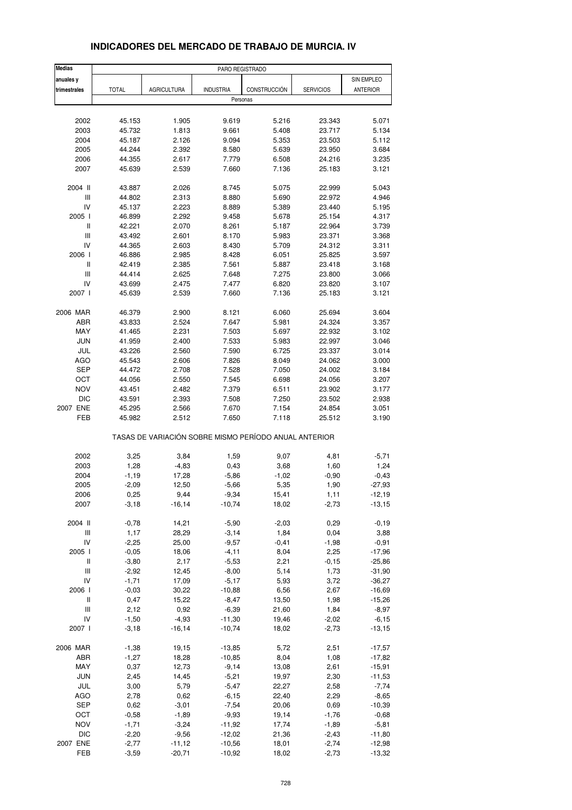| <b>Medias</b>                      |              |                    | PARO REGISTRADO  |                                                       |                  |                 |
|------------------------------------|--------------|--------------------|------------------|-------------------------------------------------------|------------------|-----------------|
| anuales y                          |              |                    |                  |                                                       |                  | SIN EMPLEO      |
| trimestrales                       | <b>TOTAL</b> | <b>AGRICULTURA</b> | <b>INDUSTRIA</b> | CONSTRUCCIÓN                                          | <b>SERVICIOS</b> | <b>ANTERIOR</b> |
|                                    |              |                    | Personas         |                                                       |                  |                 |
|                                    |              |                    |                  |                                                       |                  |                 |
| 2002                               | 45.153       | 1.905              | 9.619            | 5.216                                                 | 23.343           | 5.071           |
| 2003                               | 45.732       | 1.813              | 9.661            | 5.408                                                 | 23.717           | 5.134           |
| 2004                               | 45.187       | 2.126              | 9.094            | 5.353                                                 | 23.503           | 5.112           |
| 2005                               | 44.244       | 2.392              | 8.580            | 5.639                                                 | 23.950           | 3.684           |
| 2006                               | 44.355       | 2.617              | 7.779            | 6.508                                                 | 24.216           | 3.235           |
| 2007                               | 45.639       | 2.539              | 7.660            | 7.136                                                 | 25.183           | 3.121           |
| 2004 II                            | 43.887       | 2.026              | 8.745            | 5.075                                                 | 22.999           | 5.043           |
| Ш                                  | 44.802       | 2.313              | 8.880            | 5.690                                                 | 22.972           | 4.946           |
| IV                                 | 45.137       | 2.223              | 8.889            | 5.389                                                 | 23.440           | 5.195           |
| 2005 l                             | 46.899       | 2.292              | 9.458            | 5.678                                                 | 25.154           | 4.317           |
| Ш                                  | 42.221       | 2.070              | 8.261            | 5.187                                                 | 22.964           | 3.739           |
| Ш                                  | 43.492       | 2.601              | 8.170            | 5.983                                                 | 23.371           | 3.368           |
| IV                                 | 44.365       | 2.603              | 8.430            | 5.709                                                 | 24.312           | 3.311           |
| 2006                               | 46.886       | 2.985              | 8.428            | 6.051                                                 | 25.825           | 3.597           |
| Ш                                  | 42.419       | 2.385              | 7.561            | 5.887                                                 | 23.418           | 3.168           |
| III                                | 44.414       | 2.625              | 7.648            | 7.275                                                 | 23.800           | 3.066           |
| IV                                 | 43.699       | 2.475              | 7.477            | 6.820                                                 | 23.820           | 3.107           |
| 2007                               | 45.639       | 2.539              | 7.660            | 7.136                                                 | 25.183           | 3.121           |
| 2006 MAR                           | 46.379       | 2.900              | 8.121            | 6.060                                                 | 25.694           | 3.604           |
| ABR                                | 43.833       | 2.524              | 7.647            | 5.981                                                 | 24.324           | 3.357           |
| MAY                                | 41.465       | 2.231              | 7.503            | 5.697                                                 | 22.932           | 3.102           |
| <b>JUN</b>                         | 41.959       | 2.400              | 7.533            | 5.983                                                 | 22.997           | 3.046           |
| JUL                                | 43.226       | 2.560              | 7.590            | 6.725                                                 | 23.337           | 3.014           |
| AGO                                | 45.543       | 2.606              | 7.826            | 8.049                                                 | 24.062           | 3.000           |
| <b>SEP</b>                         | 44.472       | 2.708              | 7.528            | 7.050                                                 | 24.002           | 3.184           |
| OCT                                | 44.056       | 2.550              | 7.545            | 6.698                                                 | 24.056           | 3.207           |
| <b>NOV</b>                         | 43.451       | 2.482              | 7.379            | 6.511                                                 | 23.902           | 3.177           |
| <b>DIC</b>                         | 43.591       | 2.393              | 7.508            | 7.250                                                 | 23.502           | 2.938           |
| 2007 ENE                           | 45.295       | 2.566              | 7.670            | 7.154                                                 | 24.854           | 3.051           |
| FEB                                | 45.982       | 2.512              | 7.650            | 7.118                                                 | 25.512           | 3.190           |
|                                    |              |                    |                  | TASAS DE VARIACIÓN SOBRE MISMO PERÍODO ANUAL ANTERIOR |                  |                 |
| 2002                               | 3,25         | 3,84               | 1,59             | 9,07                                                  | 4,81             | $-5,71$         |
| 2003                               | 1,28         | $-4,83$            | 0,43             | 3,68                                                  | 1,60             | 1,24            |
| 2004                               | $-1,19$      | 17,28              | $-5,86$          | $-1,02$                                               | $-0,90$          | $-0,43$         |
| 2005                               | $-2,09$      | 12,50              | $-5,66$          | 5,35                                                  | 1,90             | $-27,93$        |
| 2006                               | 0,25         | 9,44               | $-9,34$          | 15,41                                                 | 1,11             | $-12,19$        |
| 2007                               | $-3,18$      | $-16, 14$          | $-10,74$         | 18,02                                                 | $-2,73$          | $-13,15$        |
|                                    |              |                    |                  |                                                       |                  |                 |
| 2004 II                            | $-0,78$      | 14,21              | $-5,90$          | $-2,03$                                               | 0,29             | $-0,19$         |
| $\ensuremath{\mathsf{III}}\xspace$ | 1,17         | 28,29              | $-3,14$          | 1,84                                                  | 0,04             | 3,88            |
| IV                                 | $-2,25$      | 25,00              | $-9,57$          | $-0,41$                                               | $-1,98$          | $-0,91$         |
| 2005 l                             | $-0,05$      | 18,06              | $-4, 11$         | 8,04                                                  | 2,25             | $-17,96$        |
| $\, \parallel$                     | $-3,80$      | 2,17               | $-5,53$          | 2,21                                                  | $-0,15$          | $-25,86$        |
| Ш                                  | $-2,92$      | 12,45              | $-8,00$          | 5,14                                                  | 1,73             | $-31,90$        |
| IV                                 | $-1,71$      | 17,09              | $-5,17$          | 5,93                                                  | 3,72             | $-36,27$        |
| 2006 l                             | $-0,03$      | 30,22              | $-10,88$         | 6,56                                                  | 2,67             | $-16,69$        |
| $\, \parallel$                     | 0,47         | 15,22              | $-8,47$          | 13,50                                                 | 1,98             | $-15,26$        |
| Ш                                  | 2,12         | 0,92               | $-6,39$          | 21,60                                                 | 1,84             | $-8,97$         |
| IV                                 | $-1,50$      | $-4,93$            | $-11,30$         | 19,46                                                 | $-2,02$          | $-6, 15$        |
| 2007                               | $-3,18$      | $-16, 14$          | $-10,74$         | 18,02                                                 | $-2,73$          | $-13,15$        |
| 2006 MAR                           | $-1,38$      | 19,15              | $-13,85$         | 5,72                                                  | 2,51             | $-17,57$        |
| ABR                                | $-1,27$      | 18,28              | $-10,85$         | 8,04                                                  | 1,08             | $-17,82$        |
| MAY                                | 0,37         | 12,73              | $-9,14$          | 13,08                                                 | 2,61             | $-15,91$        |
| JUN                                | 2,45         | 14,45              | $-5,21$          | 19,97                                                 | 2,30             | $-11,53$        |
| JUL                                | 3,00         | 5,79               | $-5,47$          | 22,27                                                 | 2,58             | $-7,74$         |
| AGO                                | 2,78         | 0,62               | $-6, 15$         | 22,40                                                 | 2,29             | $-8,65$         |
| <b>SEP</b>                         | 0,62         | $-3,01$            | $-7,54$          | 20,06                                                 | 0,69             | $-10,39$        |
| OCT                                | $-0,58$      | $-1,89$            | $-9,93$          | 19,14                                                 | $-1,76$          | $-0,68$         |
| <b>NOV</b>                         | $-1,71$      | $-3,24$            | $-11,92$         | 17,74                                                 | $-1,89$          | $-5,81$         |
| <b>DIC</b>                         | $-2,20$      | $-9,56$            | $-12,02$         | 21,36                                                 | $-2,43$          | $-11,80$        |
| 2007 ENE                           | $-2,77$      | $-11,12$           | $-10,56$         | 18,01                                                 | $-2,74$          | $-12,98$        |
| FEB                                | $-3,59$      | $-20,71$           | $-10,92$         | 18,02                                                 | $-2,73$          | $-13,32$        |

### **INDICADORES DEL MERCADO DE TRABAJO DE MURCIA. IV**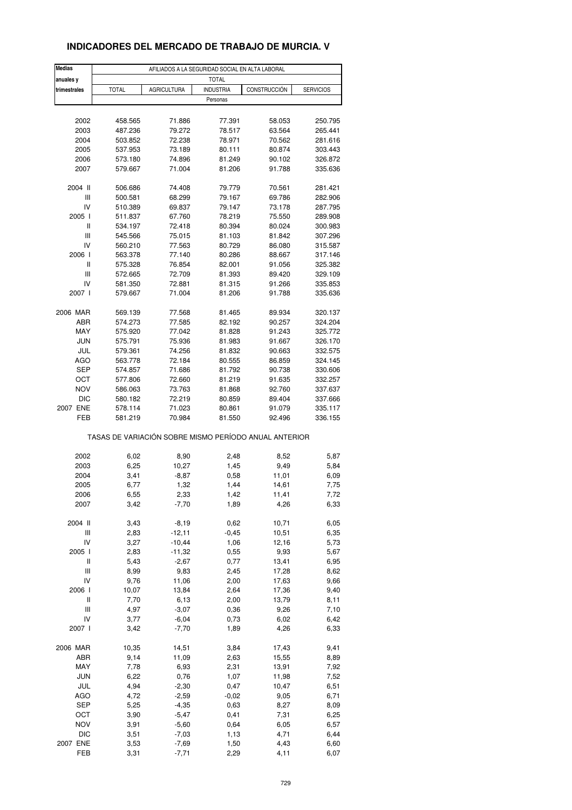### **INDICADORES DEL MERCADO DE TRABAJO DE MURCIA. V**

| <b>Medias</b> | AFILIADOS A LA SEGURIDAD SOCIAL EN ALTA LABORAL       |                    |                  |               |                  |  |  |
|---------------|-------------------------------------------------------|--------------------|------------------|---------------|------------------|--|--|
| anuales y     |                                                       |                    | <b>TOTAL</b>     |               |                  |  |  |
| trimestrales  | <b>TOTAL</b>                                          | <b>AGRICULTURA</b> | <b>INDUSTRIA</b> | CONSTRUCCIÓN  | <b>SERVICIOS</b> |  |  |
|               |                                                       |                    | Personas         |               |                  |  |  |
|               |                                                       |                    |                  |               |                  |  |  |
| 2002          | 458.565                                               | 71.886             | 77.391           | 58.053        | 250.795          |  |  |
| 2003          | 487.236                                               | 79.272             | 78.517           | 63.564        | 265.441          |  |  |
| 2004          | 503.852                                               | 72.238             | 78.971           | 70.562        | 281.616          |  |  |
| 2005          | 537.953                                               | 73.189             | 80.111           | 80.874        | 303.443          |  |  |
| 2006          | 573.180                                               | 74.896             | 81.249           | 90.102        | 326.872          |  |  |
| 2007          | 579.667                                               | 71.004             | 81.206           | 91.788        | 335.636          |  |  |
|               |                                                       |                    |                  |               |                  |  |  |
| 2004 II       | 506.686                                               | 74.408             | 79.779           | 70.561        | 281.421          |  |  |
| Ш             | 500.581                                               | 68.299             | 79.167           | 69.786        | 282.906          |  |  |
| IV            | 510.389                                               | 69.837             | 79.147           | 73.178        | 287.795          |  |  |
| 2005 l        | 511.837                                               | 67.760             | 78.219           | 75.550        | 289.908          |  |  |
| Ш             | 534.197                                               | 72.418             | 80.394           | 80.024        | 300.983          |  |  |
| Ш             | 545.566                                               | 75.015             | 81.103           | 81.842        | 307.296          |  |  |
| IV            | 560.210                                               | 77.563             | 80.729           | 86.080        | 315.587          |  |  |
| 2006          | 563.378                                               | 77.140             | 80.286           | 88.667        | 317.146          |  |  |
| Ш             | 575.328                                               | 76.854             | 82.001           | 91.056        | 325.382          |  |  |
| Ш             | 572.665                                               | 72.709             | 81.393           | 89.420        | 329.109          |  |  |
| IV            | 581.350                                               | 72.881             | 81.315           | 91.266        | 335.853          |  |  |
| 2007 l        | 579.667                                               | 71.004             | 81.206           | 91.788        | 335.636          |  |  |
|               |                                                       |                    |                  |               |                  |  |  |
| 2006 MAR      | 569.139                                               | 77.568             | 81.465           | 89.934        | 320.137          |  |  |
| ABR           | 574.273                                               | 77.585             | 82.192           | 90.257        | 324.204          |  |  |
| MAY           | 575.920                                               | 77.042             | 81.828           | 91.243        | 325.772          |  |  |
| <b>JUN</b>    | 575.791                                               | 75.936             | 81.983           | 91.667        | 326.170          |  |  |
| JUL           | 579.361                                               | 74.256             | 81.832           | 90.663        | 332.575          |  |  |
| AGO           | 563.778                                               | 72.184             | 80.555           | 86.859        | 324.145          |  |  |
| SEP           | 574.857                                               | 71.686             | 81.792           | 90.738        | 330.606          |  |  |
| OCT           | 577.806                                               | 72.660             | 81.219           | 91.635        | 332.257          |  |  |
| <b>NOV</b>    | 586.063                                               | 73.763             | 81.868           | 92.760        | 337.637          |  |  |
| DIC           | 580.182                                               | 72.219             | 80.859           | 89.404        | 337.666          |  |  |
| 2007 ENE      | 578.114                                               | 71.023             | 80.861           | 91.079        | 335.117          |  |  |
| FEB           | 581.219                                               | 70.984             | 81.550           | 92.496        | 336.155          |  |  |
|               | TASAS DE VARIACIÓN SOBRE MISMO PERÍODO ANUAL ANTERIOR |                    |                  |               |                  |  |  |
|               |                                                       |                    |                  |               |                  |  |  |
| 2002          | 6,02                                                  | 8,90               | 2,48             | 8,52          | 5,87             |  |  |
| 2003          | 6,25                                                  | 10,27              | 1,45             | 9,49          | 5,84             |  |  |
| 2004          | 3,41                                                  | $-8,87$            | 0,58             | 11,01         | 6,09             |  |  |
| 2005          | 6,77                                                  | 1,32               | 1,44             | 14,61         | 7,75             |  |  |
| 2006<br>2007  | 6,55<br>3,42                                          | 2,33<br>$-7,70$    | 1,42<br>1,89     | 11,41<br>4,26 | 7,72             |  |  |
|               |                                                       |                    |                  |               | 6,33             |  |  |
| 2004 II       | 3,43                                                  | $-8,19$            | 0,62             | 10,71         | 6,05             |  |  |
| Ш             | 2,83                                                  | $-12,11$           | $-0,45$          | 10,51         | 6,35             |  |  |
| IV            | 3,27                                                  | $-10,44$           | 1,06             | 12,16         | 5,73             |  |  |
| 2005 l        | 2,83                                                  | $-11,32$           | 0,55             | 9,93          | 5,67             |  |  |
| Ш             | 5,43                                                  | $-2,67$            | 0,77             | 13,41         | 6,95             |  |  |
| Ш             | 8,99                                                  | 9,83               | 2,45             | 17,28         | 8,62             |  |  |
| IV            | 9,76                                                  | 11,06              | 2,00             | 17,63         | 9,66             |  |  |
| 2006          | 10,07                                                 | 13,84              | 2,64             | 17,36         | 9,40             |  |  |
| Ш             | 7,70                                                  | 6,13               | 2,00             | 13,79         | 8,11             |  |  |
| Ш             | 4,97                                                  | $-3,07$            | 0,36             | 9,26          | 7,10             |  |  |
| IV            | 3,77                                                  | $-6,04$            | 0,73             | 6,02          | 6,42             |  |  |
| 2007 l        | 3,42                                                  | $-7,70$            | 1,89             | 4,26          | 6,33             |  |  |
|               |                                                       |                    |                  |               |                  |  |  |
| 2006 MAR      | 10,35                                                 | 14,51              | 3,84             | 17,43         | 9,41             |  |  |
| ABR           | 9,14                                                  | 11,09              | 2,63             | 15,55         | 8,89             |  |  |
| MAY           | 7,78                                                  | 6,93               | 2,31             | 13,91         | 7,92             |  |  |
| <b>JUN</b>    | 6,22                                                  | 0,76               | 1,07             | 11,98         | 7,52             |  |  |
| JUL           | 4,94                                                  | $-2,30$            | 0,47             | 10,47         | 6,51             |  |  |
| AGO           | 4,72                                                  | $-2,59$            | $-0,02$          | 9,05          | 6,71             |  |  |
| <b>SEP</b>    | 5,25                                                  | $-4,35$            | 0,63             | 8,27          | 8,09             |  |  |
| OCT           | 3,90                                                  | $-5,47$            | 0,41             | 7,31          | 6,25             |  |  |
| <b>NOV</b>    | 3,91                                                  | $-5,60$            | 0,64             | 6,05          | 6,57             |  |  |
| <b>DIC</b>    | 3,51                                                  | $-7,03$            | 1,13             | 4,71          | 6,44             |  |  |
| 2007 ENE      | 3,53                                                  | $-7,69$            | 1,50             | 4,43          | 6,60             |  |  |
| FEB           | 3,31                                                  | $-7,71$            | 2,29             | 4,11          | 6,07             |  |  |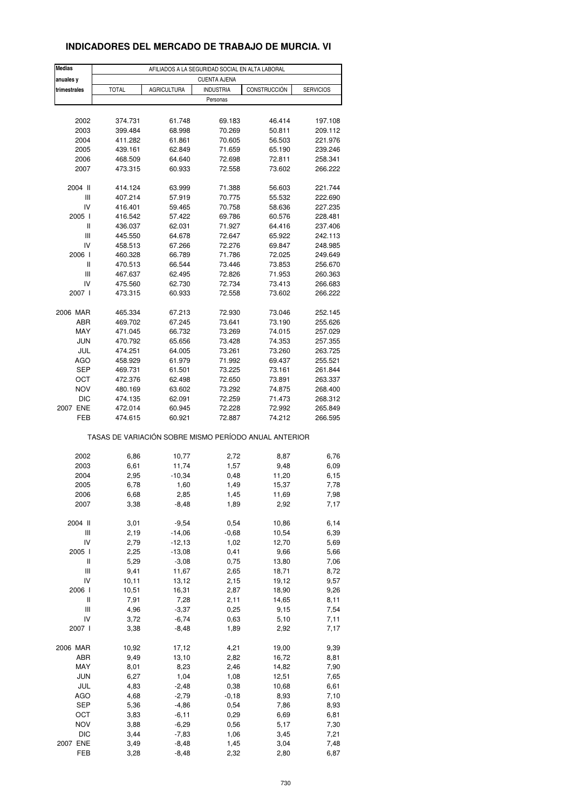### **INDICADORES DEL MERCADO DE TRABAJO DE MURCIA. VI**

| anuales y<br><b>CUENTA AJENA</b><br><b>INDUSTRIA</b><br>CONSTRUCCIÓN<br><b>SERVICIOS</b><br>trimestrales<br><b>TOTAL</b><br>AGRICULTURA<br>Personas<br>2002<br>374.731<br>61.748<br>69.183<br>46.414<br>197.108<br>2003<br>70.269<br>399.484<br>68.998<br>50.811<br>209.112<br>2004<br>411.282<br>61.861<br>70.605<br>56.503<br>221.976<br>71.659<br>2005<br>439.161<br>62.849<br>65.190<br>239.246<br>2006<br>72.811<br>468.509<br>64.640<br>72.698<br>258.341<br>2007<br>473.315<br>60.933<br>72.558<br>73.602<br>266.222<br>2004 II<br>414.124<br>63.999<br>71.388<br>56.603<br>221.744<br>Ш<br>407.214<br>57.919<br>70.775<br>55.532<br>222.690<br>IV<br>70.758<br>227.235<br>416.401<br>59.465<br>58.636<br>2005 l<br>416.542<br>57.422<br>69.786<br>60.576<br>228.481<br>Ш<br>436.037<br>62.031<br>71.927<br>64.416<br>237.406<br>Ш<br>72.647<br>65.922<br>445.550<br>64.678<br>242.113<br>IV<br>72.276<br>69.847<br>458.513<br>67.266<br>248.985<br>2006  <br>460.328<br>66.789<br>71.786<br>72.025<br>249.649<br>Ш<br>470.513<br>66.544<br>73.446<br>73.853<br>256.670<br>Ш<br>467.637<br>62.495<br>72.826<br>71.953<br>260.363<br>IV<br>475.560<br>62.730<br>72.734<br>73.413<br>266.683<br>2007 l<br>473.315<br>60.933<br>72.558<br>73.602<br>266.222<br>2006 MAR<br>72.930<br>465.334<br>67.213<br>73.046<br>252.145<br>ABR<br>469.702<br>67.245<br>73.641<br>73.190<br>255.626<br>MAY<br>471.045<br>66.732<br>73.269<br>74.015<br>257.029<br><b>JUN</b><br>65.656<br>470.792<br>73.428<br>74.353<br>257.355<br>JUL<br>474.251<br>73.261<br>73.260<br>263.725<br>64.005<br>AGO<br>458.929<br>61.979<br>71.992<br>69.437<br>255.521<br><b>SEP</b><br>73.225<br>73.161<br>469.731<br>61.501<br>261.844<br>OCT<br>472.376<br>72.650<br>73.891<br>62.498<br>263.337<br><b>NOV</b><br>480.169<br>63.602<br>73.292<br>74.875<br>268.400<br><b>DIC</b><br>62.091<br>72.259<br>71.473<br>474.135<br>268.312<br>2007 ENE<br>472.014<br>60.945<br>72.228<br>72.992<br>265.849<br>FEB<br>74.212<br>474.615<br>60.921<br>72.887<br>266.595<br>TASAS DE VARIACIÓN SOBRE MISMO PERÍODO ANUAL ANTERIOR<br>2002<br>6,86<br>10,77<br>2,72<br>8,87<br>6,76<br>1,57<br>2003<br>6,61<br>11,74<br>9,48<br>6,09<br>11,20<br>2004<br>2,95<br>$-10,34$<br>0,48<br>6,15<br>2005<br>6,78<br>1,60<br>1,49<br>15,37<br>7,78<br>2006<br>6,68<br>2,85<br>1,45<br>11,69<br>7,98<br>3,38<br>1,89<br>2,92<br>7,17<br>2007<br>$-8,48$<br>2004 II<br>$-9,54$<br>3,01<br>0,54<br>10,86<br>6,14<br>Ш<br>2,19<br>$-14,06$<br>$-0,68$<br>10,54<br>6,39<br>IV<br>2,79<br>$-12, 13$<br>1,02<br>12,70<br>5,69<br>2,25<br>$-13,08$<br>5,66<br>2005 l<br>0,41<br>9,66<br>Ш<br>5,29<br>$-3,08$<br>0,75<br>13,80<br>7,06<br>Ш<br>9,41<br>11,67<br>2,65<br>18,71<br>8,72<br>IV<br>10,11<br>19,12<br>9,57<br>13,12<br>2,15<br>2006  <br>10,51<br>16,31<br>2,87<br>18,90<br>9,26<br>Ш<br>7,91<br>7,28<br>2,11<br>14,65<br>8,11<br>Ш<br>4,96<br>$-3,37$<br>9,15<br>7,54<br>0,25<br>IV<br>3,72<br>$-6,74$<br>0,63<br>5,10<br>7,11<br>2007 l<br>7,17<br>3,38<br>$-8,48$<br>1,89<br>2,92<br>2006 MAR<br>10,92<br>17,12<br>4,21<br>19,00<br>9,39<br>ABR<br>9,49<br>13,10<br>2,82<br>16,72<br>8,81<br>MAY<br>8,01<br>2,46<br>14,82<br>8,23<br>7,90<br><b>JUN</b><br>6,27<br>1,04<br>1,08<br>12,51<br>7,65<br>JUL<br>4,83<br>0,38<br>10,68<br>$-2,48$<br>6,61<br>AGO<br>4,68<br>8,93<br>$-2,79$<br>$-0,18$<br>7,10<br>SEP<br>5,36<br>$-4,86$<br>0,54<br>7,86<br>8,93<br>OCT<br>3,83<br>$-6, 11$<br>0,29<br>6,69<br>6,81<br><b>NOV</b><br>3,88<br>0,56<br>$-6,29$<br>5,17<br>7,30<br><b>DIC</b><br>1,06<br>3,44<br>$-7,83$<br>3,45<br>7,21<br>2007 ENE<br>7,48<br>3,49<br>$-8,48$<br>1,45<br>3,04<br>FEB<br>3,28<br>2,32<br>2,80<br>6,87<br>$-8,48$ | <b>Medias</b> |                                                 |  |  |  |  |  |  |
|-------------------------------------------------------------------------------------------------------------------------------------------------------------------------------------------------------------------------------------------------------------------------------------------------------------------------------------------------------------------------------------------------------------------------------------------------------------------------------------------------------------------------------------------------------------------------------------------------------------------------------------------------------------------------------------------------------------------------------------------------------------------------------------------------------------------------------------------------------------------------------------------------------------------------------------------------------------------------------------------------------------------------------------------------------------------------------------------------------------------------------------------------------------------------------------------------------------------------------------------------------------------------------------------------------------------------------------------------------------------------------------------------------------------------------------------------------------------------------------------------------------------------------------------------------------------------------------------------------------------------------------------------------------------------------------------------------------------------------------------------------------------------------------------------------------------------------------------------------------------------------------------------------------------------------------------------------------------------------------------------------------------------------------------------------------------------------------------------------------------------------------------------------------------------------------------------------------------------------------------------------------------------------------------------------------------------------------------------------------------------------------------------------------------------------------------------------------------------------------------------------------------------------------------------------------------------------------------------------------------------------------------------------------------------------------------------------------------------------------------------------------------------------------------------------------------------------------------------------------------------------------------------------------------------------------------------------------------------------------------------------------------------------------------------------------------------------------------------------------------------------------------------------------------------------------------------------------------------------------------------------------------------------------------------------------------------------------------------------------------------------------------------------------------------------------------------------------------------------------------------------------------------------------------------------------------------------------------------------------------------------------------------------------------------------------------------------|---------------|-------------------------------------------------|--|--|--|--|--|--|
|                                                                                                                                                                                                                                                                                                                                                                                                                                                                                                                                                                                                                                                                                                                                                                                                                                                                                                                                                                                                                                                                                                                                                                                                                                                                                                                                                                                                                                                                                                                                                                                                                                                                                                                                                                                                                                                                                                                                                                                                                                                                                                                                                                                                                                                                                                                                                                                                                                                                                                                                                                                                                                                                                                                                                                                                                                                                                                                                                                                                                                                                                                                                                                                                                                                                                                                                                                                                                                                                                                                                                                                                                                                                                                       |               | AFILIADOS A LA SEGURIDAD SOCIAL EN ALTA LABORAL |  |  |  |  |  |  |
|                                                                                                                                                                                                                                                                                                                                                                                                                                                                                                                                                                                                                                                                                                                                                                                                                                                                                                                                                                                                                                                                                                                                                                                                                                                                                                                                                                                                                                                                                                                                                                                                                                                                                                                                                                                                                                                                                                                                                                                                                                                                                                                                                                                                                                                                                                                                                                                                                                                                                                                                                                                                                                                                                                                                                                                                                                                                                                                                                                                                                                                                                                                                                                                                                                                                                                                                                                                                                                                                                                                                                                                                                                                                                                       |               |                                                 |  |  |  |  |  |  |
|                                                                                                                                                                                                                                                                                                                                                                                                                                                                                                                                                                                                                                                                                                                                                                                                                                                                                                                                                                                                                                                                                                                                                                                                                                                                                                                                                                                                                                                                                                                                                                                                                                                                                                                                                                                                                                                                                                                                                                                                                                                                                                                                                                                                                                                                                                                                                                                                                                                                                                                                                                                                                                                                                                                                                                                                                                                                                                                                                                                                                                                                                                                                                                                                                                                                                                                                                                                                                                                                                                                                                                                                                                                                                                       |               |                                                 |  |  |  |  |  |  |
|                                                                                                                                                                                                                                                                                                                                                                                                                                                                                                                                                                                                                                                                                                                                                                                                                                                                                                                                                                                                                                                                                                                                                                                                                                                                                                                                                                                                                                                                                                                                                                                                                                                                                                                                                                                                                                                                                                                                                                                                                                                                                                                                                                                                                                                                                                                                                                                                                                                                                                                                                                                                                                                                                                                                                                                                                                                                                                                                                                                                                                                                                                                                                                                                                                                                                                                                                                                                                                                                                                                                                                                                                                                                                                       |               |                                                 |  |  |  |  |  |  |
|                                                                                                                                                                                                                                                                                                                                                                                                                                                                                                                                                                                                                                                                                                                                                                                                                                                                                                                                                                                                                                                                                                                                                                                                                                                                                                                                                                                                                                                                                                                                                                                                                                                                                                                                                                                                                                                                                                                                                                                                                                                                                                                                                                                                                                                                                                                                                                                                                                                                                                                                                                                                                                                                                                                                                                                                                                                                                                                                                                                                                                                                                                                                                                                                                                                                                                                                                                                                                                                                                                                                                                                                                                                                                                       |               |                                                 |  |  |  |  |  |  |
|                                                                                                                                                                                                                                                                                                                                                                                                                                                                                                                                                                                                                                                                                                                                                                                                                                                                                                                                                                                                                                                                                                                                                                                                                                                                                                                                                                                                                                                                                                                                                                                                                                                                                                                                                                                                                                                                                                                                                                                                                                                                                                                                                                                                                                                                                                                                                                                                                                                                                                                                                                                                                                                                                                                                                                                                                                                                                                                                                                                                                                                                                                                                                                                                                                                                                                                                                                                                                                                                                                                                                                                                                                                                                                       |               |                                                 |  |  |  |  |  |  |
|                                                                                                                                                                                                                                                                                                                                                                                                                                                                                                                                                                                                                                                                                                                                                                                                                                                                                                                                                                                                                                                                                                                                                                                                                                                                                                                                                                                                                                                                                                                                                                                                                                                                                                                                                                                                                                                                                                                                                                                                                                                                                                                                                                                                                                                                                                                                                                                                                                                                                                                                                                                                                                                                                                                                                                                                                                                                                                                                                                                                                                                                                                                                                                                                                                                                                                                                                                                                                                                                                                                                                                                                                                                                                                       |               |                                                 |  |  |  |  |  |  |
|                                                                                                                                                                                                                                                                                                                                                                                                                                                                                                                                                                                                                                                                                                                                                                                                                                                                                                                                                                                                                                                                                                                                                                                                                                                                                                                                                                                                                                                                                                                                                                                                                                                                                                                                                                                                                                                                                                                                                                                                                                                                                                                                                                                                                                                                                                                                                                                                                                                                                                                                                                                                                                                                                                                                                                                                                                                                                                                                                                                                                                                                                                                                                                                                                                                                                                                                                                                                                                                                                                                                                                                                                                                                                                       |               |                                                 |  |  |  |  |  |  |
|                                                                                                                                                                                                                                                                                                                                                                                                                                                                                                                                                                                                                                                                                                                                                                                                                                                                                                                                                                                                                                                                                                                                                                                                                                                                                                                                                                                                                                                                                                                                                                                                                                                                                                                                                                                                                                                                                                                                                                                                                                                                                                                                                                                                                                                                                                                                                                                                                                                                                                                                                                                                                                                                                                                                                                                                                                                                                                                                                                                                                                                                                                                                                                                                                                                                                                                                                                                                                                                                                                                                                                                                                                                                                                       |               |                                                 |  |  |  |  |  |  |
|                                                                                                                                                                                                                                                                                                                                                                                                                                                                                                                                                                                                                                                                                                                                                                                                                                                                                                                                                                                                                                                                                                                                                                                                                                                                                                                                                                                                                                                                                                                                                                                                                                                                                                                                                                                                                                                                                                                                                                                                                                                                                                                                                                                                                                                                                                                                                                                                                                                                                                                                                                                                                                                                                                                                                                                                                                                                                                                                                                                                                                                                                                                                                                                                                                                                                                                                                                                                                                                                                                                                                                                                                                                                                                       |               |                                                 |  |  |  |  |  |  |
|                                                                                                                                                                                                                                                                                                                                                                                                                                                                                                                                                                                                                                                                                                                                                                                                                                                                                                                                                                                                                                                                                                                                                                                                                                                                                                                                                                                                                                                                                                                                                                                                                                                                                                                                                                                                                                                                                                                                                                                                                                                                                                                                                                                                                                                                                                                                                                                                                                                                                                                                                                                                                                                                                                                                                                                                                                                                                                                                                                                                                                                                                                                                                                                                                                                                                                                                                                                                                                                                                                                                                                                                                                                                                                       |               |                                                 |  |  |  |  |  |  |
|                                                                                                                                                                                                                                                                                                                                                                                                                                                                                                                                                                                                                                                                                                                                                                                                                                                                                                                                                                                                                                                                                                                                                                                                                                                                                                                                                                                                                                                                                                                                                                                                                                                                                                                                                                                                                                                                                                                                                                                                                                                                                                                                                                                                                                                                                                                                                                                                                                                                                                                                                                                                                                                                                                                                                                                                                                                                                                                                                                                                                                                                                                                                                                                                                                                                                                                                                                                                                                                                                                                                                                                                                                                                                                       |               |                                                 |  |  |  |  |  |  |
|                                                                                                                                                                                                                                                                                                                                                                                                                                                                                                                                                                                                                                                                                                                                                                                                                                                                                                                                                                                                                                                                                                                                                                                                                                                                                                                                                                                                                                                                                                                                                                                                                                                                                                                                                                                                                                                                                                                                                                                                                                                                                                                                                                                                                                                                                                                                                                                                                                                                                                                                                                                                                                                                                                                                                                                                                                                                                                                                                                                                                                                                                                                                                                                                                                                                                                                                                                                                                                                                                                                                                                                                                                                                                                       |               |                                                 |  |  |  |  |  |  |
|                                                                                                                                                                                                                                                                                                                                                                                                                                                                                                                                                                                                                                                                                                                                                                                                                                                                                                                                                                                                                                                                                                                                                                                                                                                                                                                                                                                                                                                                                                                                                                                                                                                                                                                                                                                                                                                                                                                                                                                                                                                                                                                                                                                                                                                                                                                                                                                                                                                                                                                                                                                                                                                                                                                                                                                                                                                                                                                                                                                                                                                                                                                                                                                                                                                                                                                                                                                                                                                                                                                                                                                                                                                                                                       |               |                                                 |  |  |  |  |  |  |
|                                                                                                                                                                                                                                                                                                                                                                                                                                                                                                                                                                                                                                                                                                                                                                                                                                                                                                                                                                                                                                                                                                                                                                                                                                                                                                                                                                                                                                                                                                                                                                                                                                                                                                                                                                                                                                                                                                                                                                                                                                                                                                                                                                                                                                                                                                                                                                                                                                                                                                                                                                                                                                                                                                                                                                                                                                                                                                                                                                                                                                                                                                                                                                                                                                                                                                                                                                                                                                                                                                                                                                                                                                                                                                       |               |                                                 |  |  |  |  |  |  |
|                                                                                                                                                                                                                                                                                                                                                                                                                                                                                                                                                                                                                                                                                                                                                                                                                                                                                                                                                                                                                                                                                                                                                                                                                                                                                                                                                                                                                                                                                                                                                                                                                                                                                                                                                                                                                                                                                                                                                                                                                                                                                                                                                                                                                                                                                                                                                                                                                                                                                                                                                                                                                                                                                                                                                                                                                                                                                                                                                                                                                                                                                                                                                                                                                                                                                                                                                                                                                                                                                                                                                                                                                                                                                                       |               |                                                 |  |  |  |  |  |  |
|                                                                                                                                                                                                                                                                                                                                                                                                                                                                                                                                                                                                                                                                                                                                                                                                                                                                                                                                                                                                                                                                                                                                                                                                                                                                                                                                                                                                                                                                                                                                                                                                                                                                                                                                                                                                                                                                                                                                                                                                                                                                                                                                                                                                                                                                                                                                                                                                                                                                                                                                                                                                                                                                                                                                                                                                                                                                                                                                                                                                                                                                                                                                                                                                                                                                                                                                                                                                                                                                                                                                                                                                                                                                                                       |               |                                                 |  |  |  |  |  |  |
|                                                                                                                                                                                                                                                                                                                                                                                                                                                                                                                                                                                                                                                                                                                                                                                                                                                                                                                                                                                                                                                                                                                                                                                                                                                                                                                                                                                                                                                                                                                                                                                                                                                                                                                                                                                                                                                                                                                                                                                                                                                                                                                                                                                                                                                                                                                                                                                                                                                                                                                                                                                                                                                                                                                                                                                                                                                                                                                                                                                                                                                                                                                                                                                                                                                                                                                                                                                                                                                                                                                                                                                                                                                                                                       |               |                                                 |  |  |  |  |  |  |
|                                                                                                                                                                                                                                                                                                                                                                                                                                                                                                                                                                                                                                                                                                                                                                                                                                                                                                                                                                                                                                                                                                                                                                                                                                                                                                                                                                                                                                                                                                                                                                                                                                                                                                                                                                                                                                                                                                                                                                                                                                                                                                                                                                                                                                                                                                                                                                                                                                                                                                                                                                                                                                                                                                                                                                                                                                                                                                                                                                                                                                                                                                                                                                                                                                                                                                                                                                                                                                                                                                                                                                                                                                                                                                       |               |                                                 |  |  |  |  |  |  |
|                                                                                                                                                                                                                                                                                                                                                                                                                                                                                                                                                                                                                                                                                                                                                                                                                                                                                                                                                                                                                                                                                                                                                                                                                                                                                                                                                                                                                                                                                                                                                                                                                                                                                                                                                                                                                                                                                                                                                                                                                                                                                                                                                                                                                                                                                                                                                                                                                                                                                                                                                                                                                                                                                                                                                                                                                                                                                                                                                                                                                                                                                                                                                                                                                                                                                                                                                                                                                                                                                                                                                                                                                                                                                                       |               |                                                 |  |  |  |  |  |  |
|                                                                                                                                                                                                                                                                                                                                                                                                                                                                                                                                                                                                                                                                                                                                                                                                                                                                                                                                                                                                                                                                                                                                                                                                                                                                                                                                                                                                                                                                                                                                                                                                                                                                                                                                                                                                                                                                                                                                                                                                                                                                                                                                                                                                                                                                                                                                                                                                                                                                                                                                                                                                                                                                                                                                                                                                                                                                                                                                                                                                                                                                                                                                                                                                                                                                                                                                                                                                                                                                                                                                                                                                                                                                                                       |               |                                                 |  |  |  |  |  |  |
|                                                                                                                                                                                                                                                                                                                                                                                                                                                                                                                                                                                                                                                                                                                                                                                                                                                                                                                                                                                                                                                                                                                                                                                                                                                                                                                                                                                                                                                                                                                                                                                                                                                                                                                                                                                                                                                                                                                                                                                                                                                                                                                                                                                                                                                                                                                                                                                                                                                                                                                                                                                                                                                                                                                                                                                                                                                                                                                                                                                                                                                                                                                                                                                                                                                                                                                                                                                                                                                                                                                                                                                                                                                                                                       |               |                                                 |  |  |  |  |  |  |
|                                                                                                                                                                                                                                                                                                                                                                                                                                                                                                                                                                                                                                                                                                                                                                                                                                                                                                                                                                                                                                                                                                                                                                                                                                                                                                                                                                                                                                                                                                                                                                                                                                                                                                                                                                                                                                                                                                                                                                                                                                                                                                                                                                                                                                                                                                                                                                                                                                                                                                                                                                                                                                                                                                                                                                                                                                                                                                                                                                                                                                                                                                                                                                                                                                                                                                                                                                                                                                                                                                                                                                                                                                                                                                       |               |                                                 |  |  |  |  |  |  |
|                                                                                                                                                                                                                                                                                                                                                                                                                                                                                                                                                                                                                                                                                                                                                                                                                                                                                                                                                                                                                                                                                                                                                                                                                                                                                                                                                                                                                                                                                                                                                                                                                                                                                                                                                                                                                                                                                                                                                                                                                                                                                                                                                                                                                                                                                                                                                                                                                                                                                                                                                                                                                                                                                                                                                                                                                                                                                                                                                                                                                                                                                                                                                                                                                                                                                                                                                                                                                                                                                                                                                                                                                                                                                                       |               |                                                 |  |  |  |  |  |  |
|                                                                                                                                                                                                                                                                                                                                                                                                                                                                                                                                                                                                                                                                                                                                                                                                                                                                                                                                                                                                                                                                                                                                                                                                                                                                                                                                                                                                                                                                                                                                                                                                                                                                                                                                                                                                                                                                                                                                                                                                                                                                                                                                                                                                                                                                                                                                                                                                                                                                                                                                                                                                                                                                                                                                                                                                                                                                                                                                                                                                                                                                                                                                                                                                                                                                                                                                                                                                                                                                                                                                                                                                                                                                                                       |               |                                                 |  |  |  |  |  |  |
|                                                                                                                                                                                                                                                                                                                                                                                                                                                                                                                                                                                                                                                                                                                                                                                                                                                                                                                                                                                                                                                                                                                                                                                                                                                                                                                                                                                                                                                                                                                                                                                                                                                                                                                                                                                                                                                                                                                                                                                                                                                                                                                                                                                                                                                                                                                                                                                                                                                                                                                                                                                                                                                                                                                                                                                                                                                                                                                                                                                                                                                                                                                                                                                                                                                                                                                                                                                                                                                                                                                                                                                                                                                                                                       |               |                                                 |  |  |  |  |  |  |
|                                                                                                                                                                                                                                                                                                                                                                                                                                                                                                                                                                                                                                                                                                                                                                                                                                                                                                                                                                                                                                                                                                                                                                                                                                                                                                                                                                                                                                                                                                                                                                                                                                                                                                                                                                                                                                                                                                                                                                                                                                                                                                                                                                                                                                                                                                                                                                                                                                                                                                                                                                                                                                                                                                                                                                                                                                                                                                                                                                                                                                                                                                                                                                                                                                                                                                                                                                                                                                                                                                                                                                                                                                                                                                       |               |                                                 |  |  |  |  |  |  |
|                                                                                                                                                                                                                                                                                                                                                                                                                                                                                                                                                                                                                                                                                                                                                                                                                                                                                                                                                                                                                                                                                                                                                                                                                                                                                                                                                                                                                                                                                                                                                                                                                                                                                                                                                                                                                                                                                                                                                                                                                                                                                                                                                                                                                                                                                                                                                                                                                                                                                                                                                                                                                                                                                                                                                                                                                                                                                                                                                                                                                                                                                                                                                                                                                                                                                                                                                                                                                                                                                                                                                                                                                                                                                                       |               |                                                 |  |  |  |  |  |  |
|                                                                                                                                                                                                                                                                                                                                                                                                                                                                                                                                                                                                                                                                                                                                                                                                                                                                                                                                                                                                                                                                                                                                                                                                                                                                                                                                                                                                                                                                                                                                                                                                                                                                                                                                                                                                                                                                                                                                                                                                                                                                                                                                                                                                                                                                                                                                                                                                                                                                                                                                                                                                                                                                                                                                                                                                                                                                                                                                                                                                                                                                                                                                                                                                                                                                                                                                                                                                                                                                                                                                                                                                                                                                                                       |               |                                                 |  |  |  |  |  |  |
|                                                                                                                                                                                                                                                                                                                                                                                                                                                                                                                                                                                                                                                                                                                                                                                                                                                                                                                                                                                                                                                                                                                                                                                                                                                                                                                                                                                                                                                                                                                                                                                                                                                                                                                                                                                                                                                                                                                                                                                                                                                                                                                                                                                                                                                                                                                                                                                                                                                                                                                                                                                                                                                                                                                                                                                                                                                                                                                                                                                                                                                                                                                                                                                                                                                                                                                                                                                                                                                                                                                                                                                                                                                                                                       |               |                                                 |  |  |  |  |  |  |
|                                                                                                                                                                                                                                                                                                                                                                                                                                                                                                                                                                                                                                                                                                                                                                                                                                                                                                                                                                                                                                                                                                                                                                                                                                                                                                                                                                                                                                                                                                                                                                                                                                                                                                                                                                                                                                                                                                                                                                                                                                                                                                                                                                                                                                                                                                                                                                                                                                                                                                                                                                                                                                                                                                                                                                                                                                                                                                                                                                                                                                                                                                                                                                                                                                                                                                                                                                                                                                                                                                                                                                                                                                                                                                       |               |                                                 |  |  |  |  |  |  |
|                                                                                                                                                                                                                                                                                                                                                                                                                                                                                                                                                                                                                                                                                                                                                                                                                                                                                                                                                                                                                                                                                                                                                                                                                                                                                                                                                                                                                                                                                                                                                                                                                                                                                                                                                                                                                                                                                                                                                                                                                                                                                                                                                                                                                                                                                                                                                                                                                                                                                                                                                                                                                                                                                                                                                                                                                                                                                                                                                                                                                                                                                                                                                                                                                                                                                                                                                                                                                                                                                                                                                                                                                                                                                                       |               |                                                 |  |  |  |  |  |  |
|                                                                                                                                                                                                                                                                                                                                                                                                                                                                                                                                                                                                                                                                                                                                                                                                                                                                                                                                                                                                                                                                                                                                                                                                                                                                                                                                                                                                                                                                                                                                                                                                                                                                                                                                                                                                                                                                                                                                                                                                                                                                                                                                                                                                                                                                                                                                                                                                                                                                                                                                                                                                                                                                                                                                                                                                                                                                                                                                                                                                                                                                                                                                                                                                                                                                                                                                                                                                                                                                                                                                                                                                                                                                                                       |               |                                                 |  |  |  |  |  |  |
|                                                                                                                                                                                                                                                                                                                                                                                                                                                                                                                                                                                                                                                                                                                                                                                                                                                                                                                                                                                                                                                                                                                                                                                                                                                                                                                                                                                                                                                                                                                                                                                                                                                                                                                                                                                                                                                                                                                                                                                                                                                                                                                                                                                                                                                                                                                                                                                                                                                                                                                                                                                                                                                                                                                                                                                                                                                                                                                                                                                                                                                                                                                                                                                                                                                                                                                                                                                                                                                                                                                                                                                                                                                                                                       |               |                                                 |  |  |  |  |  |  |
|                                                                                                                                                                                                                                                                                                                                                                                                                                                                                                                                                                                                                                                                                                                                                                                                                                                                                                                                                                                                                                                                                                                                                                                                                                                                                                                                                                                                                                                                                                                                                                                                                                                                                                                                                                                                                                                                                                                                                                                                                                                                                                                                                                                                                                                                                                                                                                                                                                                                                                                                                                                                                                                                                                                                                                                                                                                                                                                                                                                                                                                                                                                                                                                                                                                                                                                                                                                                                                                                                                                                                                                                                                                                                                       |               |                                                 |  |  |  |  |  |  |
|                                                                                                                                                                                                                                                                                                                                                                                                                                                                                                                                                                                                                                                                                                                                                                                                                                                                                                                                                                                                                                                                                                                                                                                                                                                                                                                                                                                                                                                                                                                                                                                                                                                                                                                                                                                                                                                                                                                                                                                                                                                                                                                                                                                                                                                                                                                                                                                                                                                                                                                                                                                                                                                                                                                                                                                                                                                                                                                                                                                                                                                                                                                                                                                                                                                                                                                                                                                                                                                                                                                                                                                                                                                                                                       |               |                                                 |  |  |  |  |  |  |
|                                                                                                                                                                                                                                                                                                                                                                                                                                                                                                                                                                                                                                                                                                                                                                                                                                                                                                                                                                                                                                                                                                                                                                                                                                                                                                                                                                                                                                                                                                                                                                                                                                                                                                                                                                                                                                                                                                                                                                                                                                                                                                                                                                                                                                                                                                                                                                                                                                                                                                                                                                                                                                                                                                                                                                                                                                                                                                                                                                                                                                                                                                                                                                                                                                                                                                                                                                                                                                                                                                                                                                                                                                                                                                       |               |                                                 |  |  |  |  |  |  |
|                                                                                                                                                                                                                                                                                                                                                                                                                                                                                                                                                                                                                                                                                                                                                                                                                                                                                                                                                                                                                                                                                                                                                                                                                                                                                                                                                                                                                                                                                                                                                                                                                                                                                                                                                                                                                                                                                                                                                                                                                                                                                                                                                                                                                                                                                                                                                                                                                                                                                                                                                                                                                                                                                                                                                                                                                                                                                                                                                                                                                                                                                                                                                                                                                                                                                                                                                                                                                                                                                                                                                                                                                                                                                                       |               |                                                 |  |  |  |  |  |  |
|                                                                                                                                                                                                                                                                                                                                                                                                                                                                                                                                                                                                                                                                                                                                                                                                                                                                                                                                                                                                                                                                                                                                                                                                                                                                                                                                                                                                                                                                                                                                                                                                                                                                                                                                                                                                                                                                                                                                                                                                                                                                                                                                                                                                                                                                                                                                                                                                                                                                                                                                                                                                                                                                                                                                                                                                                                                                                                                                                                                                                                                                                                                                                                                                                                                                                                                                                                                                                                                                                                                                                                                                                                                                                                       |               |                                                 |  |  |  |  |  |  |
|                                                                                                                                                                                                                                                                                                                                                                                                                                                                                                                                                                                                                                                                                                                                                                                                                                                                                                                                                                                                                                                                                                                                                                                                                                                                                                                                                                                                                                                                                                                                                                                                                                                                                                                                                                                                                                                                                                                                                                                                                                                                                                                                                                                                                                                                                                                                                                                                                                                                                                                                                                                                                                                                                                                                                                                                                                                                                                                                                                                                                                                                                                                                                                                                                                                                                                                                                                                                                                                                                                                                                                                                                                                                                                       |               |                                                 |  |  |  |  |  |  |
|                                                                                                                                                                                                                                                                                                                                                                                                                                                                                                                                                                                                                                                                                                                                                                                                                                                                                                                                                                                                                                                                                                                                                                                                                                                                                                                                                                                                                                                                                                                                                                                                                                                                                                                                                                                                                                                                                                                                                                                                                                                                                                                                                                                                                                                                                                                                                                                                                                                                                                                                                                                                                                                                                                                                                                                                                                                                                                                                                                                                                                                                                                                                                                                                                                                                                                                                                                                                                                                                                                                                                                                                                                                                                                       |               |                                                 |  |  |  |  |  |  |
|                                                                                                                                                                                                                                                                                                                                                                                                                                                                                                                                                                                                                                                                                                                                                                                                                                                                                                                                                                                                                                                                                                                                                                                                                                                                                                                                                                                                                                                                                                                                                                                                                                                                                                                                                                                                                                                                                                                                                                                                                                                                                                                                                                                                                                                                                                                                                                                                                                                                                                                                                                                                                                                                                                                                                                                                                                                                                                                                                                                                                                                                                                                                                                                                                                                                                                                                                                                                                                                                                                                                                                                                                                                                                                       |               |                                                 |  |  |  |  |  |  |
|                                                                                                                                                                                                                                                                                                                                                                                                                                                                                                                                                                                                                                                                                                                                                                                                                                                                                                                                                                                                                                                                                                                                                                                                                                                                                                                                                                                                                                                                                                                                                                                                                                                                                                                                                                                                                                                                                                                                                                                                                                                                                                                                                                                                                                                                                                                                                                                                                                                                                                                                                                                                                                                                                                                                                                                                                                                                                                                                                                                                                                                                                                                                                                                                                                                                                                                                                                                                                                                                                                                                                                                                                                                                                                       |               |                                                 |  |  |  |  |  |  |
|                                                                                                                                                                                                                                                                                                                                                                                                                                                                                                                                                                                                                                                                                                                                                                                                                                                                                                                                                                                                                                                                                                                                                                                                                                                                                                                                                                                                                                                                                                                                                                                                                                                                                                                                                                                                                                                                                                                                                                                                                                                                                                                                                                                                                                                                                                                                                                                                                                                                                                                                                                                                                                                                                                                                                                                                                                                                                                                                                                                                                                                                                                                                                                                                                                                                                                                                                                                                                                                                                                                                                                                                                                                                                                       |               |                                                 |  |  |  |  |  |  |
|                                                                                                                                                                                                                                                                                                                                                                                                                                                                                                                                                                                                                                                                                                                                                                                                                                                                                                                                                                                                                                                                                                                                                                                                                                                                                                                                                                                                                                                                                                                                                                                                                                                                                                                                                                                                                                                                                                                                                                                                                                                                                                                                                                                                                                                                                                                                                                                                                                                                                                                                                                                                                                                                                                                                                                                                                                                                                                                                                                                                                                                                                                                                                                                                                                                                                                                                                                                                                                                                                                                                                                                                                                                                                                       |               |                                                 |  |  |  |  |  |  |
|                                                                                                                                                                                                                                                                                                                                                                                                                                                                                                                                                                                                                                                                                                                                                                                                                                                                                                                                                                                                                                                                                                                                                                                                                                                                                                                                                                                                                                                                                                                                                                                                                                                                                                                                                                                                                                                                                                                                                                                                                                                                                                                                                                                                                                                                                                                                                                                                                                                                                                                                                                                                                                                                                                                                                                                                                                                                                                                                                                                                                                                                                                                                                                                                                                                                                                                                                                                                                                                                                                                                                                                                                                                                                                       |               |                                                 |  |  |  |  |  |  |
|                                                                                                                                                                                                                                                                                                                                                                                                                                                                                                                                                                                                                                                                                                                                                                                                                                                                                                                                                                                                                                                                                                                                                                                                                                                                                                                                                                                                                                                                                                                                                                                                                                                                                                                                                                                                                                                                                                                                                                                                                                                                                                                                                                                                                                                                                                                                                                                                                                                                                                                                                                                                                                                                                                                                                                                                                                                                                                                                                                                                                                                                                                                                                                                                                                                                                                                                                                                                                                                                                                                                                                                                                                                                                                       |               |                                                 |  |  |  |  |  |  |
|                                                                                                                                                                                                                                                                                                                                                                                                                                                                                                                                                                                                                                                                                                                                                                                                                                                                                                                                                                                                                                                                                                                                                                                                                                                                                                                                                                                                                                                                                                                                                                                                                                                                                                                                                                                                                                                                                                                                                                                                                                                                                                                                                                                                                                                                                                                                                                                                                                                                                                                                                                                                                                                                                                                                                                                                                                                                                                                                                                                                                                                                                                                                                                                                                                                                                                                                                                                                                                                                                                                                                                                                                                                                                                       |               |                                                 |  |  |  |  |  |  |
|                                                                                                                                                                                                                                                                                                                                                                                                                                                                                                                                                                                                                                                                                                                                                                                                                                                                                                                                                                                                                                                                                                                                                                                                                                                                                                                                                                                                                                                                                                                                                                                                                                                                                                                                                                                                                                                                                                                                                                                                                                                                                                                                                                                                                                                                                                                                                                                                                                                                                                                                                                                                                                                                                                                                                                                                                                                                                                                                                                                                                                                                                                                                                                                                                                                                                                                                                                                                                                                                                                                                                                                                                                                                                                       |               |                                                 |  |  |  |  |  |  |
|                                                                                                                                                                                                                                                                                                                                                                                                                                                                                                                                                                                                                                                                                                                                                                                                                                                                                                                                                                                                                                                                                                                                                                                                                                                                                                                                                                                                                                                                                                                                                                                                                                                                                                                                                                                                                                                                                                                                                                                                                                                                                                                                                                                                                                                                                                                                                                                                                                                                                                                                                                                                                                                                                                                                                                                                                                                                                                                                                                                                                                                                                                                                                                                                                                                                                                                                                                                                                                                                                                                                                                                                                                                                                                       |               |                                                 |  |  |  |  |  |  |
|                                                                                                                                                                                                                                                                                                                                                                                                                                                                                                                                                                                                                                                                                                                                                                                                                                                                                                                                                                                                                                                                                                                                                                                                                                                                                                                                                                                                                                                                                                                                                                                                                                                                                                                                                                                                                                                                                                                                                                                                                                                                                                                                                                                                                                                                                                                                                                                                                                                                                                                                                                                                                                                                                                                                                                                                                                                                                                                                                                                                                                                                                                                                                                                                                                                                                                                                                                                                                                                                                                                                                                                                                                                                                                       |               |                                                 |  |  |  |  |  |  |
|                                                                                                                                                                                                                                                                                                                                                                                                                                                                                                                                                                                                                                                                                                                                                                                                                                                                                                                                                                                                                                                                                                                                                                                                                                                                                                                                                                                                                                                                                                                                                                                                                                                                                                                                                                                                                                                                                                                                                                                                                                                                                                                                                                                                                                                                                                                                                                                                                                                                                                                                                                                                                                                                                                                                                                                                                                                                                                                                                                                                                                                                                                                                                                                                                                                                                                                                                                                                                                                                                                                                                                                                                                                                                                       |               |                                                 |  |  |  |  |  |  |
|                                                                                                                                                                                                                                                                                                                                                                                                                                                                                                                                                                                                                                                                                                                                                                                                                                                                                                                                                                                                                                                                                                                                                                                                                                                                                                                                                                                                                                                                                                                                                                                                                                                                                                                                                                                                                                                                                                                                                                                                                                                                                                                                                                                                                                                                                                                                                                                                                                                                                                                                                                                                                                                                                                                                                                                                                                                                                                                                                                                                                                                                                                                                                                                                                                                                                                                                                                                                                                                                                                                                                                                                                                                                                                       |               |                                                 |  |  |  |  |  |  |
|                                                                                                                                                                                                                                                                                                                                                                                                                                                                                                                                                                                                                                                                                                                                                                                                                                                                                                                                                                                                                                                                                                                                                                                                                                                                                                                                                                                                                                                                                                                                                                                                                                                                                                                                                                                                                                                                                                                                                                                                                                                                                                                                                                                                                                                                                                                                                                                                                                                                                                                                                                                                                                                                                                                                                                                                                                                                                                                                                                                                                                                                                                                                                                                                                                                                                                                                                                                                                                                                                                                                                                                                                                                                                                       |               |                                                 |  |  |  |  |  |  |
|                                                                                                                                                                                                                                                                                                                                                                                                                                                                                                                                                                                                                                                                                                                                                                                                                                                                                                                                                                                                                                                                                                                                                                                                                                                                                                                                                                                                                                                                                                                                                                                                                                                                                                                                                                                                                                                                                                                                                                                                                                                                                                                                                                                                                                                                                                                                                                                                                                                                                                                                                                                                                                                                                                                                                                                                                                                                                                                                                                                                                                                                                                                                                                                                                                                                                                                                                                                                                                                                                                                                                                                                                                                                                                       |               |                                                 |  |  |  |  |  |  |
|                                                                                                                                                                                                                                                                                                                                                                                                                                                                                                                                                                                                                                                                                                                                                                                                                                                                                                                                                                                                                                                                                                                                                                                                                                                                                                                                                                                                                                                                                                                                                                                                                                                                                                                                                                                                                                                                                                                                                                                                                                                                                                                                                                                                                                                                                                                                                                                                                                                                                                                                                                                                                                                                                                                                                                                                                                                                                                                                                                                                                                                                                                                                                                                                                                                                                                                                                                                                                                                                                                                                                                                                                                                                                                       |               |                                                 |  |  |  |  |  |  |
|                                                                                                                                                                                                                                                                                                                                                                                                                                                                                                                                                                                                                                                                                                                                                                                                                                                                                                                                                                                                                                                                                                                                                                                                                                                                                                                                                                                                                                                                                                                                                                                                                                                                                                                                                                                                                                                                                                                                                                                                                                                                                                                                                                                                                                                                                                                                                                                                                                                                                                                                                                                                                                                                                                                                                                                                                                                                                                                                                                                                                                                                                                                                                                                                                                                                                                                                                                                                                                                                                                                                                                                                                                                                                                       |               |                                                 |  |  |  |  |  |  |
|                                                                                                                                                                                                                                                                                                                                                                                                                                                                                                                                                                                                                                                                                                                                                                                                                                                                                                                                                                                                                                                                                                                                                                                                                                                                                                                                                                                                                                                                                                                                                                                                                                                                                                                                                                                                                                                                                                                                                                                                                                                                                                                                                                                                                                                                                                                                                                                                                                                                                                                                                                                                                                                                                                                                                                                                                                                                                                                                                                                                                                                                                                                                                                                                                                                                                                                                                                                                                                                                                                                                                                                                                                                                                                       |               |                                                 |  |  |  |  |  |  |
|                                                                                                                                                                                                                                                                                                                                                                                                                                                                                                                                                                                                                                                                                                                                                                                                                                                                                                                                                                                                                                                                                                                                                                                                                                                                                                                                                                                                                                                                                                                                                                                                                                                                                                                                                                                                                                                                                                                                                                                                                                                                                                                                                                                                                                                                                                                                                                                                                                                                                                                                                                                                                                                                                                                                                                                                                                                                                                                                                                                                                                                                                                                                                                                                                                                                                                                                                                                                                                                                                                                                                                                                                                                                                                       |               |                                                 |  |  |  |  |  |  |
|                                                                                                                                                                                                                                                                                                                                                                                                                                                                                                                                                                                                                                                                                                                                                                                                                                                                                                                                                                                                                                                                                                                                                                                                                                                                                                                                                                                                                                                                                                                                                                                                                                                                                                                                                                                                                                                                                                                                                                                                                                                                                                                                                                                                                                                                                                                                                                                                                                                                                                                                                                                                                                                                                                                                                                                                                                                                                                                                                                                                                                                                                                                                                                                                                                                                                                                                                                                                                                                                                                                                                                                                                                                                                                       |               |                                                 |  |  |  |  |  |  |
|                                                                                                                                                                                                                                                                                                                                                                                                                                                                                                                                                                                                                                                                                                                                                                                                                                                                                                                                                                                                                                                                                                                                                                                                                                                                                                                                                                                                                                                                                                                                                                                                                                                                                                                                                                                                                                                                                                                                                                                                                                                                                                                                                                                                                                                                                                                                                                                                                                                                                                                                                                                                                                                                                                                                                                                                                                                                                                                                                                                                                                                                                                                                                                                                                                                                                                                                                                                                                                                                                                                                                                                                                                                                                                       |               |                                                 |  |  |  |  |  |  |
|                                                                                                                                                                                                                                                                                                                                                                                                                                                                                                                                                                                                                                                                                                                                                                                                                                                                                                                                                                                                                                                                                                                                                                                                                                                                                                                                                                                                                                                                                                                                                                                                                                                                                                                                                                                                                                                                                                                                                                                                                                                                                                                                                                                                                                                                                                                                                                                                                                                                                                                                                                                                                                                                                                                                                                                                                                                                                                                                                                                                                                                                                                                                                                                                                                                                                                                                                                                                                                                                                                                                                                                                                                                                                                       |               |                                                 |  |  |  |  |  |  |
|                                                                                                                                                                                                                                                                                                                                                                                                                                                                                                                                                                                                                                                                                                                                                                                                                                                                                                                                                                                                                                                                                                                                                                                                                                                                                                                                                                                                                                                                                                                                                                                                                                                                                                                                                                                                                                                                                                                                                                                                                                                                                                                                                                                                                                                                                                                                                                                                                                                                                                                                                                                                                                                                                                                                                                                                                                                                                                                                                                                                                                                                                                                                                                                                                                                                                                                                                                                                                                                                                                                                                                                                                                                                                                       |               |                                                 |  |  |  |  |  |  |
|                                                                                                                                                                                                                                                                                                                                                                                                                                                                                                                                                                                                                                                                                                                                                                                                                                                                                                                                                                                                                                                                                                                                                                                                                                                                                                                                                                                                                                                                                                                                                                                                                                                                                                                                                                                                                                                                                                                                                                                                                                                                                                                                                                                                                                                                                                                                                                                                                                                                                                                                                                                                                                                                                                                                                                                                                                                                                                                                                                                                                                                                                                                                                                                                                                                                                                                                                                                                                                                                                                                                                                                                                                                                                                       |               |                                                 |  |  |  |  |  |  |
|                                                                                                                                                                                                                                                                                                                                                                                                                                                                                                                                                                                                                                                                                                                                                                                                                                                                                                                                                                                                                                                                                                                                                                                                                                                                                                                                                                                                                                                                                                                                                                                                                                                                                                                                                                                                                                                                                                                                                                                                                                                                                                                                                                                                                                                                                                                                                                                                                                                                                                                                                                                                                                                                                                                                                                                                                                                                                                                                                                                                                                                                                                                                                                                                                                                                                                                                                                                                                                                                                                                                                                                                                                                                                                       |               |                                                 |  |  |  |  |  |  |
|                                                                                                                                                                                                                                                                                                                                                                                                                                                                                                                                                                                                                                                                                                                                                                                                                                                                                                                                                                                                                                                                                                                                                                                                                                                                                                                                                                                                                                                                                                                                                                                                                                                                                                                                                                                                                                                                                                                                                                                                                                                                                                                                                                                                                                                                                                                                                                                                                                                                                                                                                                                                                                                                                                                                                                                                                                                                                                                                                                                                                                                                                                                                                                                                                                                                                                                                                                                                                                                                                                                                                                                                                                                                                                       |               |                                                 |  |  |  |  |  |  |
|                                                                                                                                                                                                                                                                                                                                                                                                                                                                                                                                                                                                                                                                                                                                                                                                                                                                                                                                                                                                                                                                                                                                                                                                                                                                                                                                                                                                                                                                                                                                                                                                                                                                                                                                                                                                                                                                                                                                                                                                                                                                                                                                                                                                                                                                                                                                                                                                                                                                                                                                                                                                                                                                                                                                                                                                                                                                                                                                                                                                                                                                                                                                                                                                                                                                                                                                                                                                                                                                                                                                                                                                                                                                                                       |               |                                                 |  |  |  |  |  |  |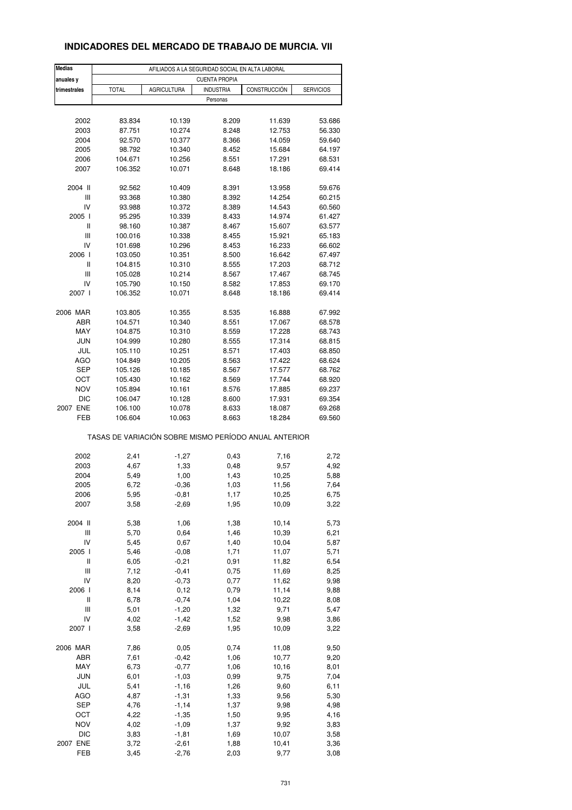#### **INDICADORES DEL MERCADO DE TRABAJO DE MURCIA. VII**

| Medias                             | AFILIADOS A LA SEGURIDAD SOCIAL EN ALTA LABORAL |                    |                      |                                                       |                  |  |  |
|------------------------------------|-------------------------------------------------|--------------------|----------------------|-------------------------------------------------------|------------------|--|--|
| anuales y                          |                                                 |                    | <b>CUENTA PROPIA</b> |                                                       |                  |  |  |
| trimestrales                       | <b>TOTAL</b>                                    | <b>AGRICULTURA</b> | <b>INDUSTRIA</b>     | CONSTRUCCIÓN                                          | <b>SERVICIOS</b> |  |  |
|                                    |                                                 |                    | Personas             |                                                       |                  |  |  |
|                                    |                                                 |                    |                      |                                                       |                  |  |  |
| 2002                               | 83.834                                          | 10.139             | 8.209                | 11.639                                                | 53.686           |  |  |
| 2003                               | 87.751                                          | 10.274             | 8.248                | 12.753                                                | 56.330           |  |  |
| 2004                               | 92.570                                          | 10.377             | 8.366                | 14.059                                                | 59.640           |  |  |
| 2005                               | 98.792                                          | 10.340             | 8.452                | 15.684                                                | 64.197           |  |  |
| 2006                               | 104.671                                         | 10.256             | 8.551                | 17.291                                                | 68.531           |  |  |
| 2007                               | 106.352                                         | 10.071             | 8.648                | 18.186                                                | 69.414           |  |  |
| 2004 II                            | 92.562                                          | 10.409             | 8.391                | 13.958                                                | 59.676           |  |  |
| Ш                                  | 93.368                                          | 10.380             | 8.392                | 14.254                                                | 60.215           |  |  |
| IV                                 | 93.988                                          | 10.372             | 8.389                | 14.543                                                | 60.560           |  |  |
| 2005 l                             | 95.295                                          | 10.339             | 8.433                | 14.974                                                | 61.427           |  |  |
| Ш                                  | 98.160                                          | 10.387             | 8.467                | 15.607                                                | 63.577           |  |  |
| $\ensuremath{\mathsf{III}}\xspace$ | 100.016                                         | 10.338             | 8.455                | 15.921                                                | 65.183           |  |  |
| IV                                 | 101.698                                         | 10.296             | 8.453                | 16.233                                                | 66.602           |  |  |
| 2006                               | 103.050                                         | 10.351             | 8.500                | 16.642                                                | 67.497           |  |  |
| Ш                                  | 104.815                                         | 10.310             | 8.555                | 17.203                                                | 68.712           |  |  |
| Ш                                  | 105.028                                         | 10.214             | 8.567                | 17.467                                                | 68.745           |  |  |
| IV<br>2007 l                       | 105.790<br>106.352                              | 10.150<br>10.071   | 8.582<br>8.648       | 17.853<br>18.186                                      | 69.170<br>69.414 |  |  |
|                                    |                                                 |                    |                      |                                                       |                  |  |  |
| 2006 MAR                           | 103.805                                         | 10.355             | 8.535                | 16.888                                                | 67.992           |  |  |
| ABR                                | 104.571                                         | 10.340             | 8.551                | 17.067                                                | 68.578           |  |  |
| MAY                                | 104.875                                         | 10.310             | 8.559                | 17.228                                                | 68.743           |  |  |
| <b>JUN</b>                         | 104.999                                         | 10.280             | 8.555                | 17.314                                                | 68.815           |  |  |
| JUL                                | 105.110                                         | 10.251             | 8.571                | 17.403                                                | 68.850           |  |  |
| AGO                                | 104.849                                         | 10.205             | 8.563                | 17.422                                                | 68.624           |  |  |
| <b>SEP</b>                         | 105.126                                         | 10.185             | 8.567                | 17.577                                                | 68.762           |  |  |
| OCT                                | 105.430                                         | 10.162             | 8.569                | 17.744                                                | 68.920           |  |  |
| <b>NOV</b>                         | 105.894                                         | 10.161             | 8.576                | 17.885                                                | 69.237           |  |  |
| <b>DIC</b>                         | 106.047                                         | 10.128             | 8.600                | 17.931                                                | 69.354           |  |  |
| 2007 ENE                           | 106.100                                         | 10.078             | 8.633                | 18.087                                                | 69.268           |  |  |
| FEB                                | 106.604                                         | 10.063             | 8.663                | 18.284                                                | 69.560           |  |  |
|                                    |                                                 |                    |                      | TASAS DE VARIACIÓN SOBRE MISMO PERÍODO ANUAL ANTERIOR |                  |  |  |
|                                    |                                                 |                    |                      |                                                       |                  |  |  |
| 2002                               | 2,41                                            | $-1,27$            | 0,43                 | 7,16                                                  | 2,72             |  |  |
| 2003                               | 4,67                                            | 1,33               | 0,48                 | 9,57                                                  | 4,92             |  |  |
| 2004                               | 5,49                                            | 1,00               | 1,43                 | 10,25                                                 | 5,88             |  |  |
| 2005                               | 6,72                                            | $-0,36$            | 1,03                 | 11,56                                                 | 7,64             |  |  |
| 2006                               | 5,95                                            | -0,81              | 1,17                 | 10,25                                                 | 6,75             |  |  |
| 2007                               | 3,58                                            | $-2,69$            | 1,95                 | 10,09                                                 | 3,22             |  |  |
| 2004 II                            | 5,38                                            | 1,06               | 1,38                 | 10,14                                                 | 5,73             |  |  |
| Ш                                  | 5,70                                            | 0,64               | 1,46                 | 10,39                                                 | 6,21             |  |  |
| IV                                 | 5,45                                            | 0,67               | 1,40                 | 10,04                                                 | 5,87             |  |  |
| 2005 l                             | 5,46                                            | $-0,08$            | 1,71                 | 11,07                                                 | 5,71             |  |  |
| Ш                                  | 6,05                                            | $-0,21$            | 0,91                 | 11,82                                                 | 6,54             |  |  |
| Ш                                  | 7,12                                            | $-0,41$            | 0,75                 | 11,69                                                 | 8,25             |  |  |
| IV                                 | 8,20                                            | $-0,73$            | 0,77                 | 11,62                                                 | 9,98             |  |  |
| 2006                               | 8,14                                            | 0,12               | 0,79                 | 11,14                                                 | 9,88             |  |  |
| Ш                                  | 6,78                                            | $-0,74$            | 1,04                 | 10,22                                                 | 8,08             |  |  |
| Ш                                  | 5,01                                            | $-1,20$            | 1,32                 | 9,71                                                  | 5,47             |  |  |
| IV                                 | 4,02                                            | $-1,42$            | 1,52                 | 9,98                                                  | 3,86             |  |  |
| 2007 l                             | 3,58                                            | $-2,69$            | 1,95                 | 10,09                                                 | 3,22             |  |  |
| 2006 MAR                           | 7,86                                            | 0,05               | 0,74                 | 11,08                                                 | 9,50             |  |  |
| ABR                                | 7,61                                            | $-0,42$            | 1,06                 | 10,77                                                 | 9,20             |  |  |
| MAY                                | 6,73                                            | $-0,77$            | 1,06                 | 10,16                                                 | 8,01             |  |  |
| <b>JUN</b>                         | 6,01                                            | $-1,03$            | 0,99                 | 9,75                                                  | 7,04             |  |  |
| JUL                                | 5,41                                            | $-1,16$            | 1,26                 | 9,60                                                  | 6, 11            |  |  |
| AGO                                | 4,87                                            | $-1,31$            | 1,33                 | 9,56                                                  | 5,30             |  |  |
| <b>SEP</b>                         | 4,76                                            | $-1, 14$           | 1,37                 | 9,98                                                  | 4,98             |  |  |
| OCT                                | 4,22                                            | $-1,35$            | 1,50                 | 9,95                                                  | 4,16             |  |  |
| <b>NOV</b>                         | 4,02                                            | $-1,09$            | 1,37                 | 9,92                                                  | 3,83             |  |  |
| <b>DIC</b>                         | 3,83                                            | $-1,81$            | 1,69                 | 10,07                                                 | 3,58             |  |  |
| 2007 ENE                           | 3,72                                            | $-2,61$            | 1,88                 | 10,41                                                 | 3,36             |  |  |
| FEB                                | 3,45                                            | $-2,76$            | 2,03                 | 9,77                                                  | 3,08             |  |  |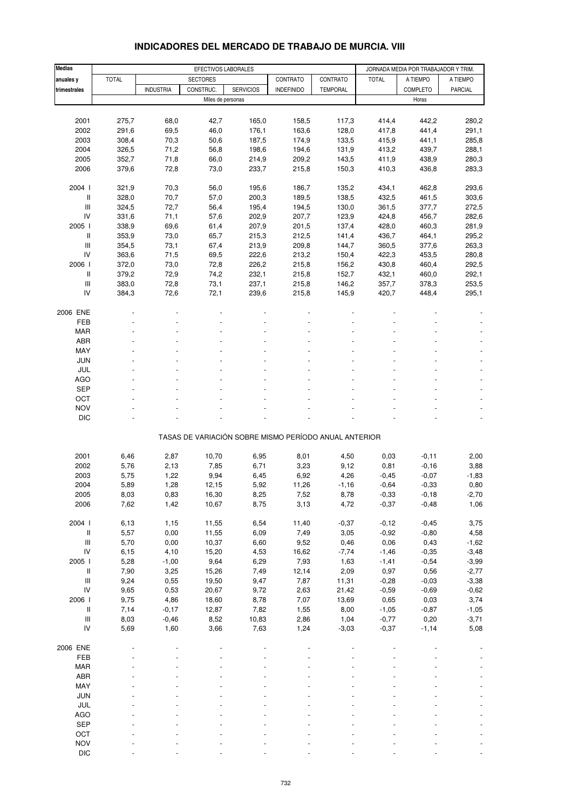| <b>Medias</b>                      | EFECTIVOS LABORALES |                  |                   |                  |                                                       | JORNADA MEDIA POR TRABAJADOR Y TRIM. |              |                 |          |
|------------------------------------|---------------------|------------------|-------------------|------------------|-------------------------------------------------------|--------------------------------------|--------------|-----------------|----------|
|                                    | <b>TOTAL</b>        |                  | <b>SECTORES</b>   |                  | CONTRATO                                              | CONTRATO                             | <b>TOTAL</b> | A TIEMPO        | A TIEMPO |
| anuales y                          |                     |                  |                   |                  |                                                       |                                      |              |                 |          |
| trimestrales                       |                     | <b>INDUSTRIA</b> | CONSTRUC.         | <b>SERVICIOS</b> | <b>INDEFINIDO</b>                                     | <b>TEMPORAL</b>                      |              | <b>COMPLETO</b> | PARCIAL  |
|                                    |                     |                  | Miles de personas |                  |                                                       |                                      |              | Horas           |          |
|                                    |                     |                  |                   |                  |                                                       |                                      |              |                 |          |
| 2001                               | 275,7               | 68,0             | 42,7              | 165,0            | 158,5                                                 | 117,3                                | 414,4        | 442,2           | 280,2    |
| 2002                               | 291,6               | 69,5             | 46,0              | 176,1            | 163,6                                                 | 128,0                                | 417,8        | 441,4           | 291,1    |
| 2003                               | 308,4               | 70,3             | 50,6              | 187,5            | 174,9                                                 | 133,5                                | 415,9        | 441,1           | 285,8    |
| 2004                               | 326,5               | 71,2             | 56,8              | 198,6            | 194,6                                                 | 131,9                                | 413,2        | 439,7           | 288,1    |
| 2005                               | 352,7               | 71,8             | 66,0              | 214,9            | 209,2                                                 | 143,5                                | 411,9        | 438,9           | 280,3    |
| 2006                               | 379,6               | 72,8             | 73,0              | 233,7            | 215,8                                                 | 150,3                                | 410,3        | 436,8           | 283,3    |
| 2004 l                             | 321,9               | 70,3             | 56,0              | 195,6            | 186,7                                                 | 135,2                                | 434,1        | 462,8           | 293,6    |
| Ш                                  | 328,0               | 70,7             | 57,0              | 200,3            | 189,5                                                 | 138,5                                | 432,5        | 461,5           | 303,6    |
| Ш                                  | 324,5               | 72,7             | 56,4              | 195,4            | 194,5                                                 | 130,0                                | 361,5        | 377,7           | 272,5    |
| IV                                 | 331,6               | 71,1             | 57,6              | 202,9            | 207,7                                                 | 123,9                                | 424,8        | 456,7           | 282,6    |
| 2005 l                             | 338,9               | 69,6             | 61,4              | 207,9            | 201,5                                                 | 137,4                                | 428,0        | 460,3           | 281,9    |
|                                    |                     |                  |                   |                  |                                                       |                                      |              |                 |          |
| Ш                                  | 353,9               | 73,0             | 65,7              | 215,3            | 212,5                                                 | 141,4                                | 436,7        | 464,1           | 295,2    |
| $\ensuremath{\mathsf{III}}\xspace$ | 354,5               | 73,1             | 67,4              | 213,9            | 209,8                                                 | 144,7                                | 360,5        | 377,6           | 263,3    |
| IV                                 | 363,6               | 71,5             | 69,5              | 222,6            | 213,2                                                 | 150,4                                | 422,3        | 453,5           | 280,8    |
| 2006 l                             | 372,0               | 73,0             | 72,8              | 226,2            | 215,8                                                 | 156,2                                | 430,8        | 460,4           | 292,5    |
| Ш                                  | 379,2               | 72,9             | 74,2              | 232,1            | 215,8                                                 | 152,7                                | 432,1        | 460,0           | 292,1    |
| Ш                                  | 383,0               | 72,8             | 73,1              | 237,1            | 215,8                                                 | 146,2                                | 357,7        | 378,3           | 253,5    |
| IV                                 | 384,3               | 72,6             | 72,1              | 239,6            | 215,8                                                 | 145,9                                | 420,7        | 448,4           | 295,1    |
| 2006 ENE                           |                     |                  |                   |                  |                                                       |                                      |              |                 |          |
| FEB                                |                     |                  |                   |                  |                                                       |                                      |              |                 |          |
| <b>MAR</b>                         |                     |                  |                   |                  |                                                       |                                      |              |                 |          |
| ABR                                |                     |                  |                   |                  |                                                       |                                      |              |                 |          |
|                                    |                     |                  |                   |                  |                                                       |                                      |              |                 |          |
| MAY                                |                     |                  |                   |                  |                                                       |                                      |              |                 |          |
| <b>JUN</b>                         |                     |                  |                   |                  |                                                       |                                      |              |                 |          |
| JUL                                |                     |                  |                   |                  |                                                       |                                      |              |                 |          |
| <b>AGO</b>                         |                     |                  |                   |                  |                                                       |                                      |              |                 |          |
| <b>SEP</b>                         |                     |                  |                   |                  |                                                       |                                      |              |                 |          |
| OCT                                |                     |                  |                   |                  |                                                       |                                      |              |                 |          |
| <b>NOV</b>                         |                     |                  |                   |                  |                                                       |                                      |              |                 |          |
| <b>DIC</b>                         |                     |                  |                   |                  |                                                       |                                      |              |                 |          |
|                                    |                     |                  |                   |                  | TASAS DE VARIACIÓN SOBRE MISMO PERÍODO ANUAL ANTERIOR |                                      |              |                 |          |
|                                    |                     |                  |                   |                  |                                                       |                                      |              |                 |          |
| 2001                               | 6,46                | 2,87             | 10,70             | 6,95             | 8,01                                                  | 4,50                                 | 0,03         | $-0, 11$        | 2,00     |
| 2002                               | 5,76                | 2,13             | 7,85              | 6,71             | 3,23                                                  | 9,12                                 | 0,81         | $-0,16$         | 3,88     |
| 2003                               | 5,75                | 1,22             | 9,94              | 6,45             | 6,92                                                  | 4,26                                 | $-0,45$      | $-0,07$         | $-1,83$  |
| 2004                               | 5,89                | 1,28             | 12,15             | 5,92             | 11,26                                                 | $-1,16$                              | $-0,64$      | $-0,33$         | 0,80     |
| 2005                               | 8,03                | 0,83             | 16,30             | 8,25             | 7,52                                                  | 8,78                                 | $-0,33$      | $-0,18$         | $-2,70$  |
|                                    | 7,62                |                  |                   | 8,75             |                                                       |                                      |              |                 |          |
| 2006                               |                     | 1,42             | 10,67             |                  | 3,13                                                  | 4,72                                 | $-0,37$      | $-0,48$         | 1,06     |
| 2004 l                             | 6,13                | 1,15             | 11,55             | 6,54             | 11,40                                                 | $-0,37$                              | $-0,12$      | $-0,45$         | 3,75     |
| Ш                                  | 5,57                | 0,00             | 11,55             | 6,09             | 7,49                                                  | 3,05                                 | $-0,92$      | $-0,80$         | 4,58     |
| $\ensuremath{\mathsf{III}}\xspace$ | 5,70                | 0,00             | 10,37             | 6,60             | 9,52                                                  | 0,46                                 | 0,06         | 0,43            | $-1,62$  |
| IV                                 | 6, 15               | 4,10             | 15,20             | 4,53             | 16,62                                                 | $-7,74$                              | $-1,46$      | $-0,35$         | $-3,48$  |
| 2005 l                             | 5,28                | $-1,00$          | 9,64              | 6,29             | 7,93                                                  | 1,63                                 | $-1,41$      | $-0,54$         | $-3,99$  |
| Ш                                  | 7,90                | 3,25             | 15,26             | 7,49             | 12,14                                                 | 2,09                                 | 0,97         | 0,56            | $-2,77$  |
| $\ensuremath{\mathsf{III}}\xspace$ | 9,24                | 0,55             | 19,50             | 9,47             | 7,87                                                  | 11,31                                | $-0,28$      | $-0,03$         | $-3,38$  |
| IV                                 | 9,65                | 0,53             | 20,67             | 9,72             | 2,63                                                  | 21,42                                | $-0,59$      | $-0,69$         | $-0,62$  |
| 2006                               |                     | 4,86             | 18,60             |                  |                                                       |                                      |              |                 |          |
|                                    | 9,75                |                  |                   | 8,78             | 7,07                                                  | 13,69                                | 0,65         | 0,03            | 3,74     |
| II                                 | 7,14                | $-0,17$          | 12,87             | 7,82             | 1,55                                                  | 8,00                                 | $-1,05$      | $-0,87$         | $-1,05$  |
| $\ensuremath{\mathsf{III}}\xspace$ | 8,03                | $-0,46$          | 8,52              | 10,83            | 2,86                                                  | 1,04                                 | $-0,77$      | 0,20            | $-3,71$  |
| IV                                 | 5,69                | 1,60             | 3,66              | 7,63             | 1,24                                                  | $-3,03$                              | $-0,37$      | $-1,14$         | 5,08     |
| 2006 ENE                           |                     |                  |                   |                  |                                                       |                                      |              |                 |          |
| FEB                                |                     |                  |                   |                  |                                                       |                                      |              |                 |          |
| <b>MAR</b>                         |                     |                  |                   |                  |                                                       |                                      |              |                 |          |
| ABR                                |                     |                  |                   |                  |                                                       |                                      |              |                 |          |
| MAY                                |                     |                  |                   |                  |                                                       |                                      |              |                 |          |
| JUN                                |                     |                  |                   |                  |                                                       |                                      |              |                 |          |
| JUL                                |                     |                  |                   |                  |                                                       |                                      |              |                 |          |
|                                    |                     |                  |                   |                  |                                                       |                                      |              |                 |          |
| AGO                                |                     |                  |                   |                  |                                                       |                                      |              |                 |          |
| <b>SEP</b>                         |                     |                  |                   |                  |                                                       |                                      |              |                 |          |
| OCT                                |                     |                  |                   |                  |                                                       |                                      |              |                 |          |
| <b>NOV</b>                         |                     |                  |                   |                  |                                                       |                                      |              |                 |          |

#### **INDICADORES DEL MERCADO DE TRABAJO DE MURCIA. VIII**

DIC - - - - - - - - -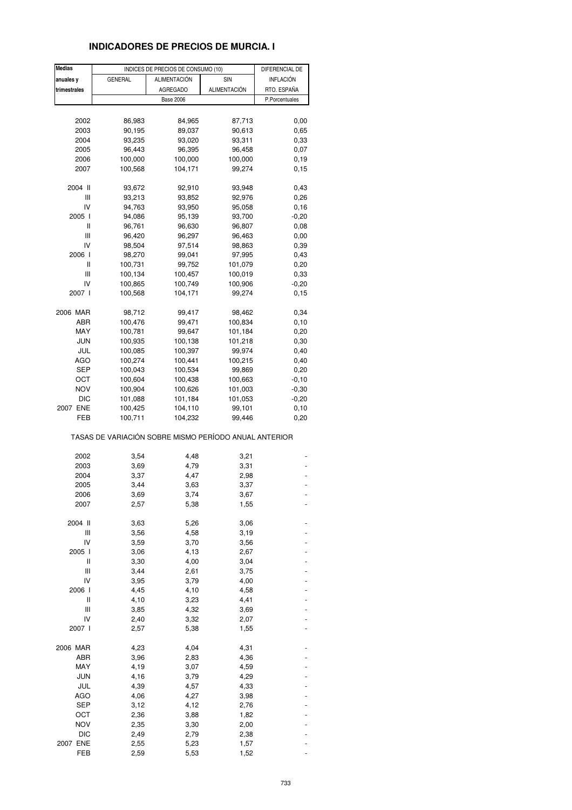# **INDICADORES DE PRECIOS DE MURCIA. I**

| <b>Medias</b> |                                                       | INDICES DE PRECIOS DE CONSUMO (10) |                     | DIFERENCIAL DE   |
|---------------|-------------------------------------------------------|------------------------------------|---------------------|------------------|
| anuales y     | <b>GENERAL</b>                                        | ALIMENTACIÓN                       | SIN                 | <b>INFLACIÓN</b> |
| trimestrales  |                                                       | <b>AGREGADO</b>                    | <b>ALIMENTACIÓN</b> | RTO. ESPAÑA      |
|               |                                                       | <b>Base 2006</b>                   |                     | P.Porcentuales   |
|               |                                                       |                                    |                     |                  |
| 2002          | 86,983                                                | 84,965                             | 87,713              | 0,00             |
|               |                                                       |                                    |                     |                  |
| 2003          | 90,195                                                | 89,037                             | 90,613              | 0,65             |
| 2004          | 93,235                                                | 93,020                             | 93,311              | 0,33             |
| 2005          | 96,443                                                | 96,395                             | 96,458              | 0,07             |
| 2006          | 100,000                                               | 100,000                            | 100,000             | 0, 19            |
| 2007          | 100,568                                               | 104,171                            | 99,274              | 0,15             |
| 2004 II       | 93,672                                                | 92,910                             | 93,948              | 0,43             |
| Ш             | 93,213                                                | 93,852                             | 92,976              | 0,26             |
| IV            | 94,763                                                | 93,950                             | 95,058              | 0,16             |
| 2005 l        | 94,086                                                | 95,139                             | 93,700              | $-0,20$          |
| Ш             | 96,761                                                | 96,630                             | 96,807              | 0,08             |
| Ш             | 96,420                                                | 96,297                             | 96,463              | 0,00             |
| IV            | 98,504                                                | 97,514                             | 98,863              | 0,39             |
| 2006 l        | 98,270                                                | 99,041                             | 97,995              | 0,43             |
| Ш             | 100,731                                               | 99,752                             | 101,079             | 0,20             |
| Ш             | 100,134                                               | 100,457                            | 100,019             | 0,33             |
| IV            |                                                       |                                    |                     |                  |
|               | 100,865                                               | 100,749                            | 100,906             | $-0,20$          |
| 2007 l        | 100,568                                               | 104,171                            | 99,274              | 0,15             |
| 2006 MAR      | 98,712                                                | 99,417                             | 98,462              | 0,34             |
| ABR           | 100,476                                               | 99,471                             | 100,834             | 0, 10            |
| MAY           | 100,781                                               | 99,647                             | 101,184             | 0,20             |
| JUN           | 100,935                                               | 100,138                            | 101,218             | 0,30             |
| JUL           | 100,085                                               | 100,397                            | 99,974              | 0,40             |
| AGO           | 100,274                                               | 100,441                            | 100,215             | 0,40             |
| SEP           | 100,043                                               | 100,534                            | 99,869              | 0,20             |
| OCT           | 100,604                                               | 100,438                            | 100,663             | $-0, 10$         |
| <b>NOV</b>    | 100,904                                               | 100,626                            | 101,003             | $-0,30$          |
| DIC           | 101,088                                               | 101,184                            | 101,053             | $-0,20$          |
| 2007 ENE      | 100,425                                               | 104,110                            | 99,101              | 0,10             |
| FEB           | 100,711                                               | 104,232                            | 99,446              | 0,20             |
|               | TASAS DE VARIACIÓN SOBRE MISMO PERÍODO ANUAL ANTERIOR |                                    |                     |                  |
| 2002          | 3,54                                                  | 4,48                               | 3,21                |                  |
| 2003          | 3,69                                                  | 4,79                               | 3,31                |                  |
| 2004          | 3,37                                                  | 4,47                               | 2,98                |                  |
| 2005          | 3,44                                                  | 3,63                               | 3,37                |                  |
| 2006          | 3,69                                                  | 3,74                               | 3,67                |                  |
| 2007          | 2,57                                                  | 5,38                               | 1,55                |                  |
| 2004 II       | 3,63                                                  | 5,26                               | 3,06                |                  |
| Ш             | 3,56                                                  | 4,58                               | 3,19                |                  |
| IV            | 3,59                                                  | 3,70                               | 3,56                |                  |
| 2005 l        | 3,06                                                  |                                    |                     |                  |
|               | 3,30                                                  | 4,13                               | 2,67                |                  |
| Ш             |                                                       | 4,00                               | 3,04                |                  |
| Ш             | 3,44                                                  | 2,61                               | 3,75                |                  |
| IV            | 3,95                                                  | 3,79                               | 4,00                |                  |
| 2006 l        | 4,45                                                  | 4,10                               | 4,58                |                  |
| Ш             | 4,10                                                  | 3,23                               | 4,41                |                  |
| Ш             | 3,85                                                  | 4,32                               | 3,69                |                  |
| IV            | 2,40                                                  | 3,32                               | 2,07                |                  |
| 2007 l        | 2,57                                                  | 5,38                               | 1,55                |                  |
| 2006 MAR      | 4,23                                                  | 4,04                               | 4,31                |                  |
| ABR           | 3,96                                                  | 2,83                               | 4,36                |                  |
| MAY           | 4,19                                                  | 3,07                               | 4,59                |                  |
| <b>JUN</b>    | 4,16                                                  | 3,79                               | 4,29                |                  |
| JUL           | 4,39                                                  | 4,57                               | 4,33                |                  |
| <b>AGO</b>    | 4,06                                                  | 4,27                               | 3,98                |                  |
| <b>SEP</b>    | 3,12                                                  | 4,12                               | 2,76                |                  |
| ост           | 2,36                                                  | 3,88                               | 1,82                |                  |
|               |                                                       |                                    |                     |                  |
| <b>NOV</b>    | 2,35                                                  | 3,30                               | 2,00                |                  |
| <b>DIC</b>    | 2,49                                                  | 2,79                               | 2,38                |                  |
| 2007 ENE      | 2,55                                                  | 5,23                               | 1,57                |                  |
| FEB           | 2,59                                                  | 5,53                               | 1,52                |                  |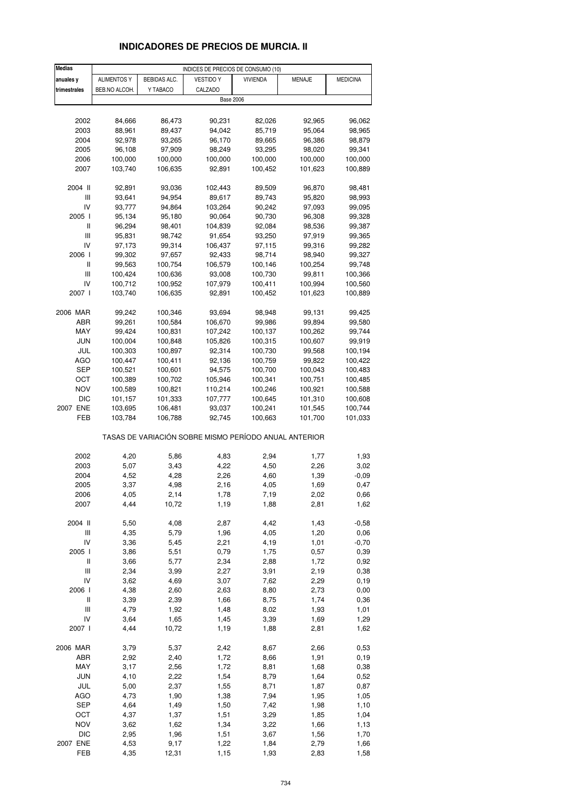# **INDICADORES DE PRECIOS DE MURCIA. II**

| <b>Medias</b>  | INDICES DE PRECIOS DE CONSUMO (10) |              |                                                       |                 |         |                 |
|----------------|------------------------------------|--------------|-------------------------------------------------------|-----------------|---------|-----------------|
| anuales y      | <b>ALIMENTOS Y</b>                 | BEBIDAS ALC. | <b>VESTIDO Y</b>                                      | <b>VIVIENDA</b> | MENAJE  | <b>MEDICINA</b> |
| trimestrales   | BEB.NO ALCOH.                      | Y TABACO     | CALZADO                                               |                 |         |                 |
|                |                                    |              | <b>Base 2006</b>                                      |                 |         |                 |
|                |                                    |              |                                                       |                 |         |                 |
| 2002           | 84,666                             | 86,473       | 90,231                                                | 82,026          | 92,965  | 96,062          |
| 2003           | 88,961                             | 89,437       | 94,042                                                | 85,719          | 95,064  | 98,965          |
| 2004           | 92,978                             | 93,265       | 96,170                                                | 89,665          | 96,386  | 98,879          |
| 2005           | 96,108                             | 97,909       | 98,249                                                | 93,295          | 98,020  | 99,341          |
| 2006           | 100,000                            | 100,000      | 100,000                                               | 100,000         | 100,000 | 100,000         |
| 2007           | 103,740                            | 106,635      | 92,891                                                | 100,452         | 101,623 | 100,889         |
|                |                                    |              |                                                       |                 |         |                 |
| 2004 II        | 92,891                             | 93,036       | 102,443                                               | 89,509          | 96,870  | 98,481          |
| Ш              | 93,641                             | 94,954       | 89,617                                                | 89,743          | 95,820  | 98,993          |
| IV             | 93,777                             | 94,864       | 103,264                                               | 90,242          | 97,093  | 99,095          |
| 2005 l         | 95,134                             | 95,180       | 90,064                                                | 90,730          | 96,308  | 99,328          |
| Ш              | 96,294                             | 98,401       | 104,839                                               | 92,084          | 98,536  | 99,387          |
| Ш              | 95,831                             | 98,742       | 91,654                                                | 93,250          | 97,919  | 99,365          |
| IV             | 97,173                             | 99,314       | 106,437                                               | 97,115          | 99,316  |                 |
| 2006 l         |                                    |              |                                                       |                 |         | 99,282          |
|                | 99,302                             | 97,657       | 92,433                                                | 98,714          | 98,940  | 99,327          |
| Ш<br>Ш         | 99,563                             | 100,754      | 106,579                                               | 100,146         | 100,254 | 99,748          |
|                | 100,424                            | 100,636      | 93,008                                                | 100,730         | 99,811  | 100,366         |
| IV             | 100,712                            | 100,952      | 107,979                                               | 100,411         | 100,994 | 100,560         |
| 2007 l         | 103,740                            | 106,635      | 92,891                                                | 100,452         | 101,623 | 100,889         |
|                |                                    |              |                                                       |                 |         |                 |
| 2006 MAR       | 99,242                             | 100,346      | 93,694                                                | 98,948          | 99,131  | 99,425          |
| ABR            | 99,261                             | 100,584      | 106,670                                               | 99,986          | 99,894  | 99,580          |
| MAY            | 99,424                             | 100,831      | 107,242                                               | 100,137         | 100,262 | 99,744          |
| JUN            | 100,004                            | 100,848      | 105,826                                               | 100,315         | 100,607 | 99,919          |
| JUL            | 100,303                            | 100,897      | 92,314                                                | 100,730         | 99,568  | 100,194         |
| AGO            | 100,447                            | 100,411      | 92,136                                                | 100,759         | 99,822  | 100,422         |
| SEP            | 100,521                            | 100,601      | 94,575                                                | 100,700         | 100,043 | 100,483         |
| ОСТ            | 100,389                            | 100,702      | 105,946                                               | 100,341         | 100,751 | 100,485         |
| NOV            | 100,589                            | 100,821      | 110,214                                               | 100,246         | 100,921 | 100,588         |
| <b>DIC</b>     | 101,157                            | 101,333      | 107,777                                               | 100,645         | 101,310 | 100,608         |
| 2007 ENE       | 103,695                            | 106,481      | 93,037                                                | 100,241         | 101,545 | 100,744         |
| FEB            | 103,784                            | 106,788      | 92,745                                                | 100,663         | 101,700 | 101,033         |
|                |                                    |              | TASAS DE VARIACIÓN SOBRE MISMO PERÍODO ANUAL ANTERIOR |                 |         |                 |
|                |                                    |              |                                                       |                 |         |                 |
| 2002           | 4,20                               | 5,86         | 4,83                                                  | 2,94            | 1,77    | 1,93            |
| 2003           | 5,07                               | 3,43         | 4,22                                                  | 4,50            | 2,26    | 3,02            |
| 2004           | 4,52                               | 4,28         | 2,26                                                  | 4,60            | 1,39    | $-0,09$         |
| 2005           | 3,37                               | 4,98         | 2,16                                                  | 4,05            | 1,69    | 0,47            |
| 2006           | 4,05                               | 2,14         | 1,78                                                  | 7,19            | 2,02    | 0,66            |
| 2007           | 4,44                               | 10,72        | 1,19                                                  | 1,88            | 2,81    | 1,62            |
|                |                                    |              |                                                       |                 |         |                 |
| 2004 II        | 5,50                               | 4,08         | 2,87                                                  | 4,42            | 1,43    | $-0,58$         |
| Ш              | 4,35                               | 5,79         | 1,96                                                  | 4,05            | 1,20    | 0,06            |
| IV             | 3,36                               | 5,45         | 2,21                                                  | 4,19            | 1,01    | $-0,70$         |
| 2005 l         | 3,86                               | 5,51         | 0,79                                                  | 1,75            | 0,57    | 0,39            |
| $\, \parallel$ | 3,66                               | 5,77         | 2,34                                                  | 2,88            | 1,72    | 0,92            |
| Ш              | 2,34                               | 3,99         | 2,27                                                  | 3,91            | 2,19    | 0,38            |
| IV             | 3,62                               | 4,69         | 3,07                                                  | 7,62            | 2,29    | 0, 19           |
| 2006 l         | 4,38                               | 2,60         | 2,63                                                  | 8,80            | 2,73    | 0,00            |
| Ш              | 3,39                               | 2,39         | 1,66                                                  | 8,75            | 1,74    | 0,36            |
| Ш              | 4,79                               | 1,92         | 1,48                                                  | 8,02            | 1,93    | 1,01            |
| IV             | 3,64                               | 1,65         | 1,45                                                  | 3,39            | 1,69    | 1,29            |
| 2007 l         | 4,44                               | 10,72        | 1,19                                                  | 1,88            | 2,81    | 1,62            |
| 2006 MAR       | 3,79                               | 5,37         | 2,42                                                  | 8,67            | 2,66    | 0,53            |
| ABR            | 2,92                               | 2,40         | 1,72                                                  | 8,66            | 1,91    | 0, 19           |
| MAY            | 3,17                               | 2,56         | 1,72                                                  | 8,81            | 1,68    | 0,38            |
| JUN            | 4,10                               | 2,22         | 1,54                                                  | 8,79            | 1,64    | 0,52            |
| JUL            | 5,00                               | 2,37         | 1,55                                                  | 8,71            | 1,87    | 0,87            |
| <b>AGO</b>     | 4,73                               | 1,90         | 1,38                                                  | 7,94            | 1,95    | 1,05            |
| <b>SEP</b>     | 4,64                               | 1,49         | 1,50                                                  | 7,42            | 1,98    | 1,10            |
| OCT            | 4,37                               | 1,37         | 1,51                                                  | 3,29            | 1,85    | 1,04            |
| <b>NOV</b>     | 3,62                               | 1,62         | 1,34                                                  | 3,22            | 1,66    | 1,13            |
| <b>DIC</b>     | 2,95                               | 1,96         | 1,51                                                  | 3,67            | 1,56    | 1,70            |
| 2007 ENE       | 4,53                               | 9,17         | 1,22                                                  | 1,84            | 2,79    | 1,66            |
| FEB            | 4,35                               | 12,31        | 1,15                                                  | 1,93            | 2,83    | 1,58            |
|                |                                    |              |                                                       |                 |         |                 |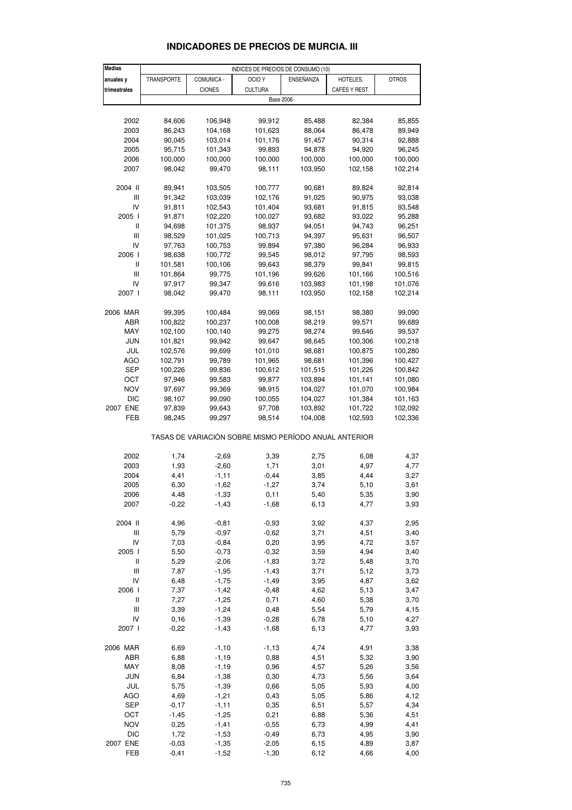| <b>Medias</b>                         |            |               | INDICES DE PRECIOS DE CONSUMO (10)                    |           |               |              |
|---------------------------------------|------------|---------------|-------------------------------------------------------|-----------|---------------|--------------|
| anuales y                             | TRANSPORTE | COMUNICA -    | OCIO Y                                                | ENSEÑANZA | HOTELES,      | <b>OTROS</b> |
| trimestrales                          |            | <b>CIONES</b> | <b>CULTURA</b>                                        |           | CAFÉS Y REST. |              |
|                                       |            |               | <b>Base 2006</b>                                      |           |               |              |
|                                       |            |               |                                                       |           |               |              |
|                                       |            |               |                                                       |           |               |              |
| 2002                                  | 84,606     | 106,948       | 99,912                                                | 85,488    | 82,384        | 85,855       |
| 2003                                  | 86,243     | 104,168       | 101,623                                               | 88,064    | 86,478        | 89,949       |
| 2004                                  | 90,045     | 103,014       | 101,176                                               | 91,457    | 90,314        | 92,888       |
| 2005                                  | 95,715     | 101,343       | 99,893                                                | 94,878    | 94,920        | 96,245       |
| 2006                                  | 100,000    | 100,000       | 100,000                                               | 100,000   | 100,000       | 100,000      |
| 2007                                  | 98,042     | 99,470        | 98,111                                                | 103,950   | 102,158       | 102,214      |
|                                       |            |               |                                                       |           |               |              |
| 2004 II                               | 89,941     | 103,505       | 100,777                                               | 90,681    | 89,824        | 92,814       |
| III                                   | 91,342     | 103,039       | 102,176                                               | 91,025    | 90,975        | 93,038       |
| IV                                    | 91,811     | 102,543       | 101,404                                               | 93,681    | 91,815        | 93,548       |
| 2005 l                                | 91,871     | 102,220       | 100,027                                               | 93,682    | 93,022        | 95,288       |
| Ш                                     |            |               |                                                       |           |               |              |
|                                       | 94,698     | 101,375       | 98,937                                                | 94,051    | 94,743        | 96,251       |
| III                                   | 98,529     | 101,025       | 100,713                                               | 94,397    | 95,631        | 96,507       |
| IV                                    | 97,763     | 100,753       | 99,894                                                | 97,380    | 96,284        | 96,933       |
| 2006                                  | 98,638     | 100,772       | 99,545                                                | 98,012    | 97,795        | 98,593       |
| Ш                                     | 101,581    | 100,106       | 99,643                                                | 98,379    | 99,841        | 99,815       |
| III                                   | 101,864    | 99,775        | 101,196                                               | 99,626    | 101,166       | 100,516      |
| IV                                    | 97,917     | 99,347        | 99,616                                                | 103,983   | 101,198       | 101,076      |
| 2007 l                                | 98,042     | 99,470        | 98,111                                                | 103,950   | 102,158       | 102,214      |
|                                       |            |               |                                                       |           |               |              |
| 2006 MAR                              | 99,395     | 100,484       | 99,069                                                | 98,151    | 98,380        | 99,090       |
| ABR                                   |            |               |                                                       |           |               |              |
|                                       | 100,822    | 100,237       | 100,008                                               | 98,219    | 99,571        | 99,689       |
| MAY                                   | 102,100    | 100,140       | 99,275                                                | 98,274    | 99,646        | 99,537       |
| <b>JUN</b>                            | 101,821    | 99,942        | 99,647                                                | 98,645    | 100,306       | 100,218      |
| JUL                                   | 102,576    | 99,699        | 101,010                                               | 98,681    | 100,875       | 100,280      |
| <b>AGO</b>                            | 102,791    | 99,789        | 101,965                                               | 98,681    | 101,396       | 100,427      |
| SEP                                   | 100,226    | 99,836        | 100,612                                               | 101,515   | 101,226       | 100,842      |
| ОСТ                                   | 97,946     | 99,583        | 99,877                                                | 103,894   | 101,141       | 101,080      |
| NOV                                   | 97,697     | 99,369        | 98,915                                                | 104,027   | 101,070       | 100,984      |
| <b>DIC</b>                            | 98,107     | 99,090        | 100,055                                               | 104,027   | 101,384       | 101,163      |
| 2007 ENE                              | 97,839     | 99,643        | 97,708                                                | 103,892   | 101,722       | 102,092      |
|                                       |            |               |                                                       |           |               |              |
| FEB                                   | 98,245     | 99,297        | 98,514                                                | 104,008   | 102,593       | 102,336      |
|                                       |            |               |                                                       |           |               |              |
|                                       |            |               | TASAS DE VARIACIÓN SOBRE MISMO PERÍODO ANUAL ANTERIOR |           |               |              |
|                                       |            |               |                                                       |           |               |              |
| 2002                                  | 1,74       | $-2,69$       | 3,39                                                  | 2,75      | 6,08          | 4,37         |
| 2003                                  | 1,93       | $-2,60$       | 1,71                                                  | 3,01      | 4,97          | 4,77         |
| 2004                                  | 4,41       | $-1,11$       | $-0,44$                                               | 3,85      | 4,44          | 3,27         |
| 2005                                  | 6,30       | $-1,62$       | $-1,27$                                               | 3,74      | 5,10          | 3,61         |
| 2006                                  | 4,48       | $-1,33$       | 0,11                                                  | 5,40      | 5,35          | 3,90         |
| 2007                                  | $-0,22$    | $-1,43$       | $-1,68$                                               | 6,13      | 4,77          | 3,93         |
|                                       |            |               |                                                       |           |               |              |
| 2004 II                               | 4,96       | $-0,81$       | $-0,93$                                               | 3,92      | 4,37          | 2,95         |
| Ш                                     | 5,79       | $-0,97$       | $-0,62$                                               | 3,71      | 4,51          | 3,40         |
| IV                                    | 7,03       | $-0,84$       | 0,20                                                  | 3,95      | 4,72          | 3,57         |
|                                       |            |               |                                                       |           |               |              |
| 2005 l                                | 5,50       | $-0,73$       | $-0,32$                                               | 3,59      | 4,94          | 3,40         |
| Ш                                     | 5,29       | $-2,06$       | $-1,83$                                               | 3,72      | 5,48          | 3,70         |
| $\ensuremath{\mathsf{III}}\xspace$    | 7,87       | $-1,95$       | $-1,43$                                               | 3,71      | 5,12          | 3,73         |
| IV                                    | 6,48       | $-1,75$       | $-1,49$                                               | 3,95      | 4,87          | 3,62         |
| 2006 l                                | 7,37       | $-1,42$       | $-0,48$                                               | 4,62      | 5,13          | 3,47         |
| $\begin{array}{c} \hline \end{array}$ | 7,27       | $-1,25$       | 0,71                                                  | 4,60      | 5,38          | 3,70         |
| Ш                                     | 3,39       | $-1,24$       | 0,48                                                  | 5,54      | 5,79          | 4,15         |
| IV                                    | 0,16       | $-1,39$       | $-0,28$                                               | 6,78      | 5,10          | 4,27         |
| 2007 l                                | $-0,22$    | $-1,43$       | $-1,68$                                               | 6,13      | 4,77          | 3,93         |
|                                       |            |               |                                                       |           |               |              |
| 2006 MAR                              | 6,69       | $-1,10$       | $-1,13$                                               | 4,74      | 4,91          | 3,38         |
|                                       |            |               |                                                       |           |               |              |
| ABR                                   | 6,88       | $-1,19$       | 0,88                                                  | 4,51      | 5,32          | 3,90         |
| MAY                                   | 8,08       | $-1, 19$      | 0,96                                                  | 4,57      | 5,26          | 3,56         |
| JUN                                   | 6,84       | $-1,38$       | 0,30                                                  | 4,73      | 5,56          | 3,64         |
| JUL                                   | 5,75       | $-1,39$       | 0,66                                                  | 5,05      | 5,93          | 4,00         |
| <b>AGO</b>                            | 4,69       | $-1,21$       | 0,43                                                  | 5,05      | 5,86          | 4,12         |
| <b>SEP</b>                            | $-0,17$    | $-1, 11$      | 0,35                                                  | 6,51      | 5,57          | 4,34         |
| OCT                                   | $-1,45$    | $-1,25$       | 0,21                                                  | 6,88      | 5,36          | 4,51         |
| NOV                                   | 0,25       | $-1,41$       | $-0,55$                                               | 6,73      | 4,99          | 4,41         |
|                                       |            |               |                                                       |           |               |              |
| DIC                                   | 1,72       | $-1,53$       | $-0,49$                                               | 6,73      | 4,95          | 3,90         |

#### **INDICADORES DE PRECIOS DE MURCIA. III**

2007 ENE -0,03 -1,35 -2,05 6,15 4,89 3,87 FEB -0,41 -1,52 -1,30 6,12 4,66 4,00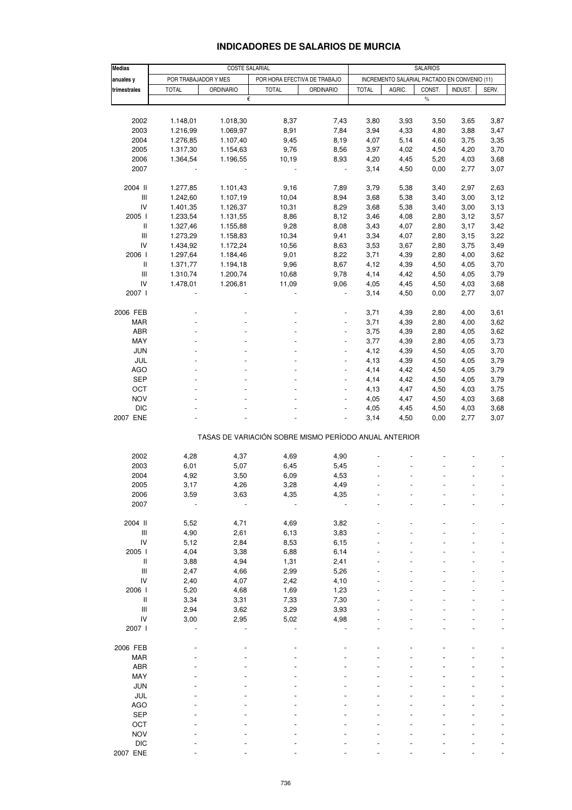| <b>Medias</b>                      | <b>COSTE SALARIAL</b>                                |                  |                                                       |                          |                                              | <b>SALARIOS</b> |        |         |       |  |  |
|------------------------------------|------------------------------------------------------|------------------|-------------------------------------------------------|--------------------------|----------------------------------------------|-----------------|--------|---------|-------|--|--|
| anuales y                          | POR TRABAJADOR Y MES<br>POR HORA EFECTIVA DE TRABAJO |                  |                                                       |                          | INCREMENTO SALARIAL PACTADO EN CONVENIO (11) |                 |        |         |       |  |  |
| trimestrales                       | <b>TOTAL</b>                                         | <b>ORDINARIO</b> | <b>TOTAL</b>                                          | <b>ORDINARIO</b>         | <b>TOTAL</b>                                 | AGRIC.          | CONST. | INDUST. | SERV. |  |  |
|                                    |                                                      | €                |                                                       |                          |                                              |                 | $\%$   |         |       |  |  |
|                                    |                                                      |                  |                                                       |                          |                                              |                 |        |         |       |  |  |
| 2002                               | 1.148,01                                             | 1.018,30         | 8,37                                                  | 7,43                     | 3,80                                         | 3,93            | 3,50   | 3,65    | 3,87  |  |  |
| 2003                               | 1.216,99                                             | 1.069,97         | 8,91                                                  | 7,84                     | 3,94                                         | 4,33            | 4,80   | 3,88    | 3,47  |  |  |
| 2004                               | 1.276,85                                             | 1.107,40         | 9,45                                                  | 8,19                     | 4,07                                         | 5,14            | 4,60   | 3,75    | 3,35  |  |  |
| 2005                               | 1.317,30                                             | 1.154,63         | 9,76                                                  | 8,56                     | 3,97                                         | 4,02            | 4,50   | 4,20    | 3,70  |  |  |
| 2006                               | 1.364,54                                             | 1.196,55         | 10,19                                                 | 8,93                     | 4,20                                         | 4,45            | 5,20   | 4,03    | 3,68  |  |  |
| 2007                               |                                                      |                  |                                                       | $\overline{\phantom{a}}$ | 3,14                                         | 4,50            | 0,00   | 2,77    | 3,07  |  |  |
| 2004 II                            | 1.277,85                                             | 1.101,43         | 9,16                                                  | 7,89                     | 3,79                                         | 5,38            | 3,40   | 2,97    | 2,63  |  |  |
| $\ensuremath{\mathsf{III}}\xspace$ | 1.242,60                                             | 1.107,19         | 10,04                                                 | 8,94                     | 3,68                                         | 5,38            | 3,40   | 3,00    | 3,12  |  |  |
| IV                                 | 1.401,35                                             | 1.126,37         | 10,31                                                 | 8,29                     | 3,68                                         | 5,38            | 3,40   | 3,00    | 3,13  |  |  |
| 2005 l                             | 1.233,54                                             | 1.131,55         | 8,86                                                  | 8,12                     | 3,46                                         | 4,08            | 2,80   | 3,12    | 3,57  |  |  |
| $\ensuremath{\mathsf{II}}$         | 1.327,46                                             | 1.155,88         | 9,28                                                  | 8,08                     | 3,43                                         | 4,07            | 2,80   | 3,17    | 3,42  |  |  |
| Ш                                  | 1.273,29                                             | 1.158,83         | 10,34                                                 | 9,41                     | 3,34                                         | 4,07            | 2,80   | 3,15    | 3,22  |  |  |
| IV                                 | 1.434,92                                             | 1.172,24         | 10,56                                                 | 8,63                     | 3,53                                         | 3,67            | 2,80   | 3,75    | 3,49  |  |  |
| 2006                               | 1.297,64                                             | 1.184,46         | 9,01                                                  | 8,22                     | 3,71                                         | 4,39            | 2,80   | 4,00    | 3,62  |  |  |
| Ш                                  | 1.371,77                                             | 1.194,18         | 9,96                                                  | 8,67                     | 4,12                                         | 4,39            | 4,50   | 4,05    | 3,70  |  |  |
| Ш                                  | 1.310,74                                             | 1.200,74         | 10,68                                                 | 9,78                     | 4,14                                         | 4,42            | 4,50   | 4,05    | 3,79  |  |  |
| IV                                 | 1.478,01                                             | 1.206,81         | 11,09                                                 | 9,06                     | 4,05                                         | 4,45            | 4,50   | 4,03    | 3,68  |  |  |
| 2007 l                             |                                                      |                  |                                                       |                          | 3,14                                         | 4,50            | 0,00   | 2,77    | 3,07  |  |  |
| 2006 FEB                           |                                                      |                  |                                                       |                          | 3,71                                         | 4,39            | 2,80   | 4,00    | 3,61  |  |  |
| <b>MAR</b>                         |                                                      |                  |                                                       |                          | 3,71                                         | 4,39            | 2,80   | 4,00    | 3,62  |  |  |
| ABR                                |                                                      |                  |                                                       |                          | 3,75                                         | 4,39            | 2,80   | 4,05    | 3,62  |  |  |
| MAY                                |                                                      |                  |                                                       | $\overline{a}$           | 3,77                                         | 4,39            | 2,80   | 4,05    | 3,73  |  |  |
| JUN                                |                                                      |                  |                                                       | $\overline{a}$           | 4,12                                         | 4,39            | 4,50   | 4,05    | 3,70  |  |  |
| JUL                                |                                                      |                  |                                                       |                          | 4,13                                         | 4,39            | 4,50   | 4,05    | 3,79  |  |  |
| AGO                                |                                                      |                  | $\blacksquare$                                        | $\overline{a}$           | 4,14                                         | 4,42            | 4,50   | 4,05    | 3,79  |  |  |
| <b>SEP</b>                         |                                                      |                  |                                                       |                          |                                              |                 |        |         |       |  |  |
|                                    |                                                      |                  |                                                       | $\overline{a}$           | 4,14                                         | 4,42            | 4,50   | 4,05    | 3,79  |  |  |
| OCT                                |                                                      |                  |                                                       |                          | 4,13                                         | 4,47            | 4,50   | 4,03    | 3,75  |  |  |
| <b>NOV</b>                         |                                                      |                  |                                                       | $\overline{\phantom{a}}$ | 4,05                                         | 4,47            | 4,50   | 4,03    | 3,68  |  |  |
| <b>DIC</b>                         |                                                      |                  |                                                       |                          | 4,05                                         | 4,45            | 4,50   | 4,03    | 3,68  |  |  |
| 2007 ENE                           |                                                      |                  |                                                       |                          | 3,14                                         | 4,50            | 0,00   | 2,77    | 3,07  |  |  |
|                                    |                                                      |                  | TASAS DE VARIACIÓN SOBRE MISMO PERÍODO ANUAL ANTERIOR |                          |                                              |                 |        |         |       |  |  |
| 2002                               | 4,28                                                 | 4,37             | 4,69                                                  | 4,90                     |                                              |                 |        |         |       |  |  |
| 2003                               | 6,01                                                 | 5,07             | 6,45                                                  | 5,45                     |                                              |                 |        |         |       |  |  |
| 2004                               | 4,92                                                 | 3,50             | 6,09                                                  | 4,53                     |                                              |                 |        |         |       |  |  |
| 2005                               | 3,17                                                 | 4,26             | 3,28                                                  | 4,49                     |                                              |                 |        |         |       |  |  |
|                                    |                                                      |                  |                                                       |                          |                                              |                 |        |         |       |  |  |
| 2006<br>2007                       | 3,59                                                 | 3,63             | 4,35                                                  | 4,35                     |                                              |                 |        |         |       |  |  |
|                                    |                                                      |                  |                                                       |                          |                                              |                 |        |         |       |  |  |
| 2004 II                            | 5,52                                                 | 4,71             | 4,69                                                  | 3,82                     |                                              |                 |        |         |       |  |  |
| $\ensuremath{\mathsf{III}}\xspace$ | 4,90                                                 | 2,61             | 6,13                                                  | 3,83                     |                                              |                 |        |         |       |  |  |
| IV                                 | 5,12                                                 | 2,84             | 8,53                                                  | 6, 15                    |                                              |                 |        |         |       |  |  |
| 2005                               | 4,04                                                 | 3,38             | 6,88                                                  | 6,14                     |                                              |                 |        |         |       |  |  |
| Ш                                  | 3,88                                                 | 4,94             | 1,31                                                  | 2,41                     |                                              |                 |        |         |       |  |  |
| Ш                                  | 2,47                                                 | 4,66             | 2,99                                                  | 5,26                     |                                              |                 |        |         |       |  |  |
| IV                                 | 2,40                                                 | 4,07             | 2,42                                                  | 4,10                     |                                              |                 |        |         |       |  |  |
| 2006                               | 5,20                                                 | 4,68             | 1,69                                                  | 1,23                     |                                              |                 |        |         |       |  |  |
| Ш                                  | 3,34                                                 | 3,31             | 7,33                                                  | 7,30                     |                                              |                 |        |         |       |  |  |
| Ш                                  | 2,94                                                 | 3,62             | 3,29                                                  | 3,93                     |                                              |                 |        |         |       |  |  |
| IV                                 | 3,00                                                 | 2,95             | 5,02                                                  | 4,98                     |                                              |                 |        |         |       |  |  |
| 2007 l                             |                                                      |                  |                                                       |                          |                                              |                 |        |         |       |  |  |
| 2006 FEB                           |                                                      |                  |                                                       |                          |                                              |                 |        |         |       |  |  |
| <b>MAR</b>                         |                                                      |                  |                                                       |                          |                                              |                 |        |         |       |  |  |
| <b>ABR</b>                         |                                                      |                  |                                                       |                          |                                              |                 |        |         |       |  |  |
| MAY                                |                                                      |                  |                                                       |                          |                                              |                 |        |         |       |  |  |
| <b>JUN</b>                         |                                                      |                  |                                                       |                          |                                              |                 |        |         |       |  |  |
| JUL                                |                                                      |                  |                                                       |                          |                                              |                 |        |         |       |  |  |
| <b>AGO</b>                         |                                                      |                  |                                                       |                          |                                              |                 |        |         |       |  |  |
| <b>SEP</b>                         |                                                      |                  |                                                       |                          |                                              |                 |        |         |       |  |  |
| OCT                                |                                                      |                  |                                                       |                          |                                              |                 |        |         |       |  |  |
| <b>NOV</b>                         |                                                      |                  |                                                       |                          |                                              |                 |        |         |       |  |  |
| <b>DIC</b>                         |                                                      |                  |                                                       |                          |                                              |                 |        |         |       |  |  |
| 2007 ENE                           |                                                      |                  |                                                       |                          |                                              |                 |        |         |       |  |  |
|                                    |                                                      |                  |                                                       |                          |                                              |                 |        |         |       |  |  |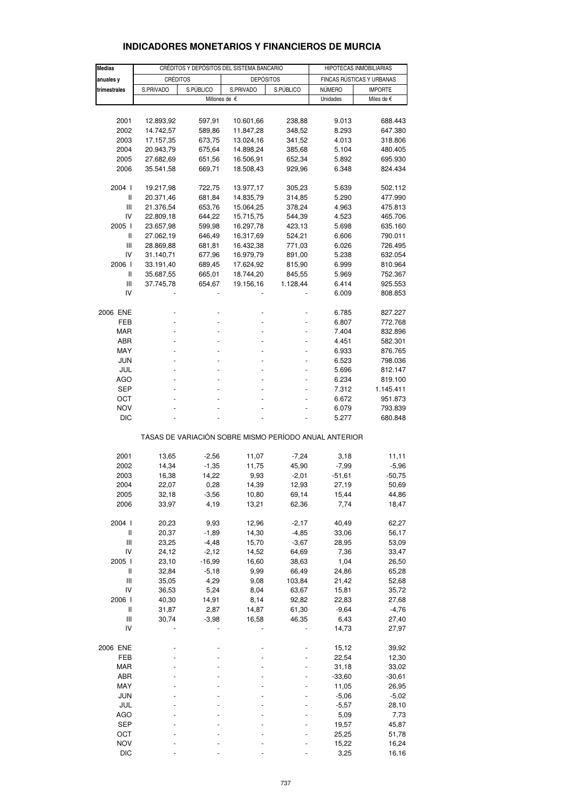| <b>Medias</b>  |                 |           |                                                       |           |                           |                |  |
|----------------|-----------------|-----------|-------------------------------------------------------|-----------|---------------------------|----------------|--|
|                |                 |           | CRÉDITOS Y DEPÓSITOS DEL SISTEMA BANCARIO             |           | HIPOTECAS INMOBILIARIAS   |                |  |
| anuales y      | <b>CRÉDITOS</b> |           | <b>DEPÓSITOS</b>                                      |           | FINCAS RÚSTICAS Y URBANAS |                |  |
| trimestrales   | S.PRIVADO       | S.PÚBLICO | S.PRIVADO                                             | S.PÚBLICO | <b>NÚMERO</b>             | <b>IMPORTE</b> |  |
|                |                 |           | Millones de €                                         |           | Unidades                  | Miles de €     |  |
|                |                 |           |                                                       |           |                           |                |  |
| 2001           | 12.893,92       | 597,91    | 10.601,66                                             | 238,88    | 9.013                     | 688.443        |  |
| 2002           | 14.742,57       | 589,86    | 11.847,28                                             | 348,52    | 8.293                     | 647.380        |  |
|                |                 |           |                                                       |           |                           |                |  |
| 2003           | 17.157,35       | 673,75    | 13.024,16                                             | 341,52    | 4.013                     | 318.806        |  |
| 2004           | 20.943,79       | 675,64    | 14.898,24                                             | 385,68    | 5.104                     | 480.405        |  |
| 2005           | 27.682,69       | 651,56    | 16.506,91                                             | 652,34    | 5.892                     | 695.930        |  |
| 2006           | 35.541,58       | 669,71    | 18.508,43                                             | 929,96    | 6.348                     | 824.434        |  |
| 2004 l         | 19.217,98       | 722,75    | 13.977,17                                             | 305,23    | 5.639                     | 502.112        |  |
| Ш              |                 |           |                                                       |           |                           | 477.990        |  |
|                | 20.371,46       | 681,84    | 14.835,79                                             | 314,85    | 5.290                     |                |  |
| Ш              | 21.376,54       | 653,76    | 15.064,25                                             | 378,24    | 4.963                     | 475.813        |  |
| IV             | 22.809,18       | 644,22    | 15.715,75                                             | 544,39    | 4.523                     | 465.706        |  |
| 2005 l         | 23.657,98       | 599,98    | 16.297,78                                             | 423,13    | 5.698                     | 635.160        |  |
| $\mathbf{I}$   | 27.062,19       | 646,49    | 16.317,69                                             | 524,21    | 6.606                     | 790.011        |  |
| Ш              | 28.869,88       | 681,81    | 16.432,38                                             | 771,03    | 6.026                     | 726.495        |  |
| IV             | 31.140,71       | 677,96    | 16.979,79                                             | 891,00    | 5.238                     | 632.054        |  |
| 2006           | 33.191,40       | 689,45    | 17.624,92                                             | 815,90    | 6.999                     | 810.964        |  |
| Ш              | 35.687,55       | 665,01    | 18.744,20                                             | 845,55    | 5.969                     | 752.367        |  |
| $\mathbf{III}$ | 37.745,78       | 654,67    | 19.156,16                                             | 1.128,44  | 6.414                     | 925.553        |  |
| IV             |                 |           |                                                       |           | 6.009                     | 808.853        |  |
|                |                 |           |                                                       |           |                           |                |  |
| 2006 ENE       |                 |           |                                                       |           | 6.785                     | 827.227        |  |
| FEB            |                 |           |                                                       |           | 6.807                     | 772.768        |  |
| <b>MAR</b>     |                 |           |                                                       |           | 7.404                     | 832.896        |  |
| ABR            |                 |           |                                                       |           | 4.451                     | 582.301        |  |
| MAY            |                 |           |                                                       |           |                           |                |  |
|                |                 |           |                                                       |           | 6.933                     | 876.765        |  |
| JUN            |                 |           |                                                       |           | 6.523                     | 798.036        |  |
| JUL            |                 |           |                                                       |           | 5.696                     | 812.147        |  |
| AGO            |                 |           |                                                       |           | 6.234                     | 819.100        |  |
| <b>SEP</b>     |                 |           |                                                       |           | 7.312                     | 1.145.411      |  |
| OCT            |                 |           |                                                       |           | 6.672                     | 951.873        |  |
| <b>NOV</b>     |                 |           |                                                       |           | 6.079                     | 793.839        |  |
| <b>DIC</b>     |                 |           |                                                       |           | 5.277                     | 680.848        |  |
|                |                 |           |                                                       |           |                           |                |  |
|                |                 |           | TASAS DE VARIACIÓN SOBRE MISMO PERÍODO ANUAL ANTERIOR |           |                           |                |  |
| 2001           | 13,65           | $-2,56$   | 11,07                                                 | $-7,24$   | 3,18                      | 11,11          |  |
|                |                 |           |                                                       |           | $-7,99$                   |                |  |
| 2002           | 14,34           | $-1,35$   | 11,75                                                 | 45,90     |                           | $-5,96$        |  |
| 2003           | 16,38           | 14,22     | 9,93                                                  | $-2,01$   | $-51,61$                  | $-50,75$       |  |
| 2004           | 22,07           | 0,28      | 14,39                                                 | 12,93     | 27,19                     | 50,69          |  |
| 2005           | 32,18           | $-3,56$   | 10,80                                                 | 69,14     | 15,44                     | 44,86          |  |
| 2006           | 33,97           | 4,19      | 13,21                                                 | 62,36     | 7,74                      | 18,47          |  |
| 2004 l         | 20,23           | 9,93      | 12,96                                                 | $-2,17$   | 40,49                     | 62,27          |  |
| $\sf II$       | 20,37           | $-1,89$   | 14,30                                                 | $-4,85$   | 33,06                     | 56,17          |  |
| Ш              | 23,25           | $-4,48$   | 15,70                                                 | $-3,67$   | 28,95                     | 53,09          |  |
| IV             | 24,12           | $-2,12$   | 14,52                                                 | 64,69     | 7,36                      | 33,47          |  |
| 2005 l         | 23,10           | $-16,99$  | 16,60                                                 | 38,63     | 1,04                      | 26,50          |  |
|                |                 |           |                                                       |           |                           |                |  |
| Ш              | 32,84           | $-5,18$   | 9,99                                                  | 66,49     | 24,86                     | 65,28          |  |
| Ш              | 35,05           | 4,29      | 9,08                                                  | 103,84    | 21,42                     | 52,68          |  |
| IV             | 36,53           | 5,24      | 8,04                                                  | 63,67     | 15,81                     | 35,72          |  |
| 2006           | 40,30           | 14,91     | 8,14                                                  | 92,82     | 22,83                     | 27,68          |  |
| Ш              | 31,87           | 2,87      | 14,87                                                 | 61,30     | $-9,64$                   | $-4,76$        |  |
| Ш              | 30,74           | $-3,98$   | 16,58                                                 | 46,35     | 6,43                      | 27,40          |  |
| IV             |                 |           |                                                       |           | 14,73                     | 27,97          |  |
| 2006 ENE       |                 |           |                                                       |           | 15,12                     | 39,92          |  |
|                |                 |           |                                                       |           |                           |                |  |
| FEB            |                 |           |                                                       |           | 22,54                     | 12,30          |  |
| <b>MAR</b>     |                 |           |                                                       |           | 31,18                     | 33,02          |  |
| ABR            |                 |           |                                                       |           | $-33,60$                  | $-30,61$       |  |
| MAY            |                 |           |                                                       |           | 11,05                     | 26,95          |  |
| JUN            |                 |           |                                                       |           | $-5,06$                   | $-5,02$        |  |
| JUL            |                 |           |                                                       |           | $-5,57$                   | 28,10          |  |
| AGO            |                 |           |                                                       |           | 5,09                      | 7,73           |  |
| <b>SEP</b>     |                 |           |                                                       |           | 19,57                     | 45,87          |  |
| OCT            |                 |           |                                                       |           | 25,25                     | 51,78          |  |
|                |                 |           |                                                       |           |                           |                |  |

#### **INDICADORES MONETARIOS Y FINANCIEROS DE MURCIA**

NOV - - - - 15,22 16,24 DIC - - - - 3,25 16,16